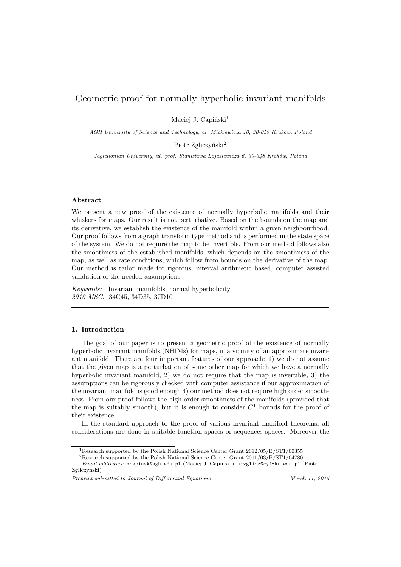# Geometric proof for normally hyperbolic invariant manifolds

Maciej J. Capiński<sup>1</sup>

AGH University of Science and Technology, al. Mickiewicza 10, 30-059 Kraków, Poland

Piotr Zgliczyński<sup>2</sup>

Jagiellonian University, ul. prof. Stanisława Łojasiewicza 6, 30-348 Kraków, Poland

## Abstract

We present a new proof of the existence of normally hyperbolic manifolds and their whiskers for maps. Our result is not perturbative. Based on the bounds on the map and its derivative, we establish the existence of the manifold within a given neighbourhood. Our proof follows from a graph transform type method and is performed in the state space of the system. We do not require the map to be invertible. From our method follows also the smoothness of the established manifolds, which depends on the smoothness of the map, as well as rate conditions, which follow from bounds on the derivative of the map. Our method is tailor made for rigorous, interval arithmetic based, computer assisted validation of the needed assumptions.

Keywords: Invariant manifolds, normal hyperbolicity 2010 MSC: 34C45, 34D35, 37D10

## 1. Introduction

The goal of our paper is to present a geometric proof of the existence of normally hyperbolic invariant manifolds (NHIMs) for maps, in a vicinity of an approximate invariant manifold. There are four important features of our approach: 1) we do not assume that the given map is a perturbation of some other map for which we have a normally hyperbolic invariant manifold, 2) we do not require that the map is invertible, 3) the assumptions can be rigorously checked with computer assistance if our approximation of the invariant manifold is good enough 4) our method does not require high order smoothness. From our proof follows the high order smoothness of the manifolds (provided that the map is suitably smooth), but it is enough to consider  $C<sup>1</sup>$  bounds for the proof of their existence.

In the standard approach to the proof of various invariant manifold theorems, all considerations are done in suitable function spaces or sequences spaces. Moreover the

Preprint submitted to Journal of Differential Equations March 11, 2015

<sup>1</sup>Research supported by the Polish National Science Center Grant 2012/05/B/ST1/00355

<sup>2</sup>Research supported by the Polish National Science Center Grant 2011/03/B/ST1/04780

Email addresses: mcapinsk@agh.edu.pl (Maciej J. Capiński), umzglicz@cyf-kr.edu.pl (Piotr Zgliczyński)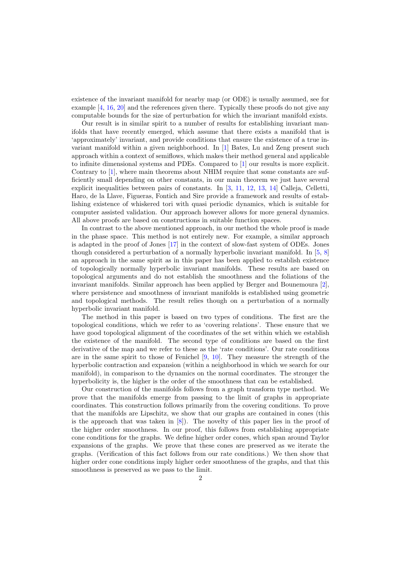existence of the invariant manifold for nearby map (or ODE) is usually assumed, see for example [\[4,](#page-62-0) [16,](#page-63-0) [20\]](#page-63-1) and the references given there. Typically these proofs do not give any computable bounds for the size of perturbation for which the invariant manifold exists.

Our result is in similar spirit to a number of results for establishing invariant manifolds that have recently emerged, which assume that there exists a manifold that is 'approximately' invariant, and provide conditions that ensure the existence of a true invariant manifold within a given neighborhood. In [\[1\]](#page-62-1) Bates, Lu and Zeng present such approach within a context of semiflows, which makes their method general and applicable to infinite dimensional systems and PDEs. Compared to [\[1\]](#page-62-1) our results is more explicit. Contrary to [\[1\]](#page-62-1), where main theorems about NHIM require that some constants are sufficiently small depending on other constants, in our main theorem we just have several explicit inequalities between pairs of constants. In [\[3,](#page-62-2) [11,](#page-63-2) [12,](#page-63-3) [13,](#page-63-4) [14\]](#page-63-5) Calleja, Celletti, Haro, de la Llave, Figueras, Fontich and Sire provide a framework and results of establishing existence of whiskered tori with quasi periodic dynamics, which is suitable for computer assisted validation. Our approach however allows for more general dynamics. All above proofs are based on constructions in suitable function spaces.

In contrast to the above mentioned approach, in our method the whole proof is made in the phase space. This method is not entirely new. For example, a similar approach is adapted in the proof of Jones [\[17\]](#page-63-6) in the context of slow-fast system of ODEs. Jones though considered a perturbation of a normally hyperbolic invariant manifold. In [\[5,](#page-62-3) [8\]](#page-62-4) an approach in the same spirit as in this paper has been applied to establish existence of topologically normally hyperbolic invariant manifolds. These results are based on topological arguments and do not establish the smoothness and the foliations of the invariant manifolds. Similar approach has been applied by Berger and Bounemoura [\[2\]](#page-62-5), where persistence and smoothness of invariant manifolds is established using geometric and topological methods. The result relies though on a perturbation of a normally hyperbolic invariant manifold.

The method in this paper is based on two types of conditions. The first are the topological conditions, which we refer to as 'covering relations'. These ensure that we have good topological alignment of the coordinates of the set within which we establish the existence of the manifold. The second type of conditions are based on the first derivative of the map and we refer to these as the 'rate conditions'. Our rate conditions are in the same spirit to those of Fenichel [\[9,](#page-62-6) [10\]](#page-63-7). They measure the strength of the hyperbolic contraction and expansion (within a neighborhood in which we search for our manifold), in comparison to the dynamics on the normal coordinates. The stronger the hyperbolicity is, the higher is the order of the smoothness that can be established.

Our construction of the manifolds follows from a graph transform type method. We prove that the manifolds emerge from passing to the limit of graphs in appropriate coordinates. This construction follows primarily from the covering conditions. To prove that the manifolds are Lipschitz, we show that our graphs are contained in cones (this is the approach that was taken in  $[8]$ . The novelty of this paper lies in the proof of the higher order smoothness. In our proof, this follows from establishing appropriate cone conditions for the graphs. We define higher order cones, which span around Taylor expansions of the graphs. We prove that these cones are preserved as we iterate the graphs. (Verification of this fact follows from our rate conditions.) We then show that higher order cone conditions imply higher order smoothness of the graphs, and that this smoothness is preserved as we pass to the limit.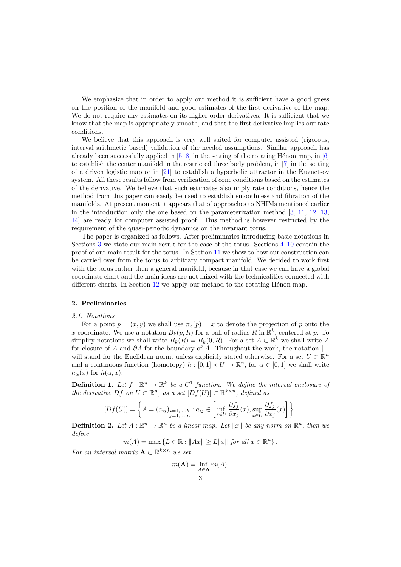We emphasize that in order to apply our method it is sufficient have a good guess on the position of the manifold and good estimates of the first derivative of the map. We do not require any estimates on its higher order derivatives. It is sufficient that we know that the map is appropriately smooth, and that the first derivative implies our rate conditions.

We believe that this approach is very well suited for computer assisted (rigorous, interval arithmetic based) validation of the needed assumptions. Similar approach has already been successfully applied in  $[5, 8]$  $[5, 8]$  $[5, 8]$  in the setting of the rotating Hénon map, in  $[6]$ to establish the center manifold in the restricted three body problem, in [\[7\]](#page-62-8) in the setting of a driven logistic map or in [\[21\]](#page-63-8) to establish a hyperbolic attractor in the Kuznetsov system. All these results follow from verification of cone conditions based on the estimates of the derivative. We believe that such estimates also imply rate conditions, hence the method from this paper can easily be used to establish smoothness and fibration of the manifolds. At present moment it appears that of approaches to NHIMs mentioned earlier in the introduction only the one based on the parameterization method [\[3,](#page-62-2) [11,](#page-63-2) [12,](#page-63-3) [13,](#page-63-4) [14\]](#page-63-5) are ready for computer assisted proof. This method is however restricted by the requirement of the quasi-periodic dynamics on the invariant torus.

The paper is organized as follows. After preliminaries introducing basic notations in Sections [3](#page-3-0) we state our main result for the case of the torus. Sections [4–](#page-11-0)[10](#page-31-0) contain the proof of our main result for the torus. In Section [11](#page-36-0) we show to how our construction can be carried over from the torus to arbitrary compact manifold. We decided to work first with the torus rather then a general manifold, because in that case we can have a global coordinate chart and the main ideas are not mixed with the technicalities connected with different charts. In Section  $12$  we apply our method to the rotating Hénon map.

## 2. Preliminaries

#### 2.1. Notations

For a point  $p = (x, y)$  we shall use  $\pi_x(p) = x$  to denote the projection of p onto the x coordinate. We use a notation  $B_k(p, R)$  for a ball of radius R in  $\mathbb{R}^k$ , centered at p. To simplify notations we shall write  $B_k(R) = B_k(0, R)$ . For a set  $A \subset \mathbb{R}^k$  we shall write  $\overline{A}$ for closure of A and ∂A for the boundary of A. Throughout the work, the notation  $\|\|$ will stand for the Euclidean norm, unless explicitly stated otherwise. For a set  $U \subset \mathbb{R}^n$ and a continuous function (homotopy)  $h : [0,1] \times U \to \mathbb{R}^n$ , for  $\alpha \in [0,1]$  we shall write  $h_{\alpha}(x)$  for  $h(\alpha, x)$ .

**Definition 1.** Let  $f : \mathbb{R}^n \to \mathbb{R}^k$  be a  $C^1$  function. We define the interval enclosure of the derivative Df on  $U \subset \mathbb{R}^n$ , as a set  $[Df(U)] \subset \mathbb{R}^{k \times n}$ , defined as

$$
[Df(U)] = \left\{ A = (a_{ij})_{\substack{i=1,\ldots,k \\ j=1,\ldots,n}} : a_{ij} \in \left[ \inf_{x \in U} \frac{\partial f_j}{\partial x_j}(x), \sup_{x \in U} \frac{\partial f_j}{\partial x_j}(x) \right] \right\}.
$$

**Definition 2.** Let  $A : \mathbb{R}^n \to \mathbb{R}^n$  be a linear map. Let  $||x||$  be any norm on  $\mathbb{R}^n$ , then we define

 $m(A) = \max \{ L \in \mathbb{R} : ||Ax|| \ge L ||x|| \text{ for all } x \in \mathbb{R}^n \}.$ 

For an interval matrix  $\mathbf{A} \subset \mathbb{R}^{k \times n}$  we set

 $m(\mathbf{A}) = \inf_{A \in \mathbf{A}} m(A).$ 3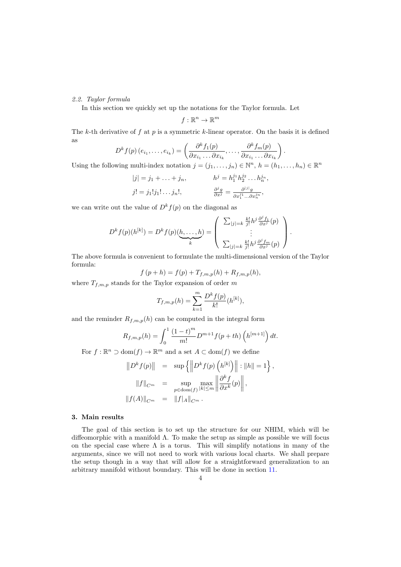# 2.2. Taylor formula

In this section we quickly set up the notations for the Taylor formula. Let

$$
f:\mathbb{R}^n\to\mathbb{R}^m
$$

The k-th derivative of  $f$  at  $p$  is a symmetric k-linear operator. On the basis it is defined as

$$
D^{k} f(p) (e_{i_1}, \ldots, e_{i_k}) = \left( \frac{\partial^{k} f_1(p)}{\partial x_{i_1} \ldots \partial x_{i_k}}, \ldots, \frac{\partial^{k} f_m(p)}{\partial x_{i_1} \ldots \partial x_{i_k}} \right).
$$

Using the following multi-index notation  $j = (j_1, \ldots, j_n) \in \mathbb{N}^n$ ,  $h = (h_1, \ldots, h_n) \in \mathbb{R}^n$ 

$$
|j| = j_1 + \dots + j_n, \qquad h^j = h_1^{j_1} h_2^{j_2} \dots h_n^{j_n},
$$
  

$$
j! = j_1! j_1! \dots j_n!, \qquad \frac{\partial^j g}{\partial x^j} = \frac{\partial^{|j|} g}{\partial x_1^{j_1} \dots \partial x_n^{j_n}},
$$

we can write out the value of  $D^k f(p)$  on the diagonal as

$$
D^{k} f(p)(h^{[k]}) = D^{k} f(p)(\underbrace{h, \ldots, h}_{k}) = \left( \begin{array}{c} \sum_{|j|=k} \frac{k!}{j!} h^{j} \frac{\partial^{j} f_{1}}{\partial x^{j}}(p) \\ \vdots \\ \sum_{|j|=k} \frac{k!}{j!} h^{j} \frac{\partial^{j} f_{m}}{\partial x^{j}}(p) \end{array} \right).
$$

The above formula is convenient to formulate the multi-dimensional version of the Taylor formula:

$$
f(p+h) = f(p) + T_{f,m,p}(h) + R_{f,m,p}(h),
$$

where  $T_{f,m,p}$  stands for the Taylor expansion of order m

$$
T_{f,m,p}(h) = \sum_{k=1}^{m} \frac{D^k f(p)}{k!} (h^{[k]}),
$$

and the reminder  $R_{f,m,p}(h)$  can be computed in the integral form

$$
R_{f,m,p}(h) = \int_0^1 \frac{(1-t)^m}{m!} D^{m+1} f(p+th) \left( h^{[m+1]} \right) dt.
$$

For  $f : \mathbb{R}^n \supset \text{dom}(f) \to \mathbb{R}^m$  and a set  $A \subset \text{dom}(f)$  we define

$$
||D^k f(p)|| = \sup \{ ||D^k f(p) (h^{[k]})|| : ||h|| = 1 \},
$$
  

$$
||f||_{C^m} = \sup_{p \in \text{dom}(f)} \max_{|k| \le m} \left\| \frac{\partial^k f}{\partial x^k}(p) \right\|,
$$
  

$$
||f(A)||_{C^m} = ||f|_A||_{C^m}.
$$

## <span id="page-3-0"></span>3. Main results

The goal of this section is to set up the structure for our NHIM, which will be diffeomorphic with a manifold Λ. To make the setup as simple as possible we will focus on the special case where  $\Lambda$  is a torus. This will simplify notations in many of the arguments, since we will not need to work with various local charts. We shall prepare the setup though in a way that will allow for a straightforward generalization to an arbitrary manifold without boundary. This will be done in section [11.](#page-36-0)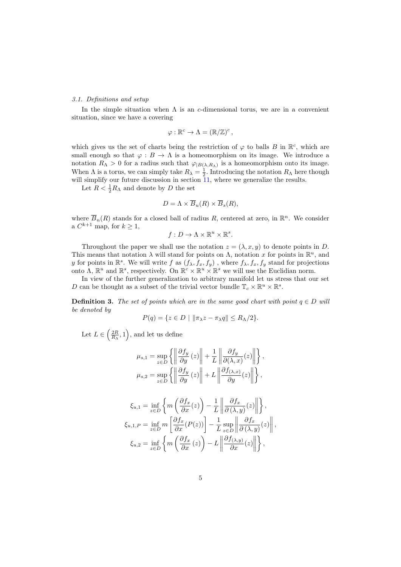## 3.1. Definitions and setup

In the simple situation when  $\Lambda$  is an c-dimensional torus, we are in a convenient situation, since we have a covering

$$
\varphi : \mathbb{R}^c \to \Lambda = (\mathbb{R}/\mathbb{Z})^c ,
$$

which gives us the set of charts being the restriction of  $\varphi$  to balls B in  $\mathbb{R}^c$ , which are small enough so that  $\varphi : B \to \Lambda$  is a homeomorphism on its image. We introduce a notation  $R_{\Lambda} > 0$  for a radius such that  $\varphi_{|B(\lambda,R_{\Lambda})}$  is a homeomorphism onto its image. When  $\Lambda$  is a torus, we can simply take  $R_{\lambda} = \frac{1}{2}$ . Introducing the notation  $R_{\Lambda}$  here though will simplify our future discussion in section  $\overline{11}$ , where we generalize the results.

Let  $R < \frac{1}{2}R_{\Lambda}$  and denote by D the set

$$
D = \Lambda \times \overline{B}_u(R) \times \overline{B}_s(R),
$$

where  $\overline{B}_n(R)$  stands for a closed ball of radius R, centered at zero, in  $\mathbb{R}^n$ . We consider a  $C^{k+1}$  map, for  $k \geq 1$ ,

$$
f: D \to \Lambda \times \mathbb{R}^u \times \mathbb{R}^s.
$$

Throughout the paper we shall use the notation  $z = (\lambda, x, y)$  to denote points in D. This means that notation  $\lambda$  will stand for points on  $\Lambda$ , notation x for points in  $\mathbb{R}^u$ , and y for points in  $\mathbb{R}^s$ . We will write f as  $(f_\lambda, f_x, f_y)$ , where  $f_\lambda, f_x, f_y$  stand for projections onto  $\Lambda$ ,  $\mathbb{R}^u$  and  $\mathbb{R}^s$ , respectively. On  $\mathbb{R}^c \times \mathbb{R}^u \times \mathbb{R}^s$  we will use the Euclidian norm.

In view of the further generalization to arbitrary manifold let us stress that our set D can be thought as a subset of the trivial vector bundle  $\mathbb{T}_c \times \mathbb{R}^u \times \mathbb{R}^s$ .

**Definition 3.** The set of points which are in the same good chart with point  $q \in D$  will be denoted by

$$
P(q) = \{ z \in D \mid \|\pi_{\lambda} z - \pi_{\lambda} q\| \le R_{\Lambda}/2 \}.
$$

Let  $L \in \left(\frac{2R}{R_{\Lambda}}, 1\right)$ , and let us define

$$
\mu_{s,1} = \sup_{z \in D} \left\{ \left\| \frac{\partial f_y}{\partial y}(z) \right\| + \frac{1}{L} \left\| \frac{\partial f_y}{\partial(\lambda, x)}(z) \right\| \right\},
$$

$$
\mu_{s,2} = \sup_{z \in D} \left\{ \left\| \frac{\partial f_y}{\partial y}(z) \right\| + L \left\| \frac{\partial f_{(\lambda, x)}}{\partial y}(z) \right\| \right\},
$$

$$
\xi_{u,1} = \inf_{z \in D} \left\{ m \left( \frac{\partial f_x}{\partial x}(z) \right) - \frac{1}{L} \left\| \frac{\partial f_x}{\partial(\lambda, y)}(z) \right\| \right\},
$$

$$
\xi_{u,1,P} = \inf_{z \in D} m \left[ \frac{\partial f_x}{\partial x}(P(z)) \right] - \frac{1}{L} \sup_{z \in D} \left\| \frac{\partial f_x}{\partial(\lambda, y)}(z) \right\|
$$

$$
\xi_{u,2} = \inf_{z \in D} \left\{ m \left( \frac{\partial f_x}{\partial x}(z) \right) - L \left\| \frac{\partial f_{(\lambda,y)}}{\partial x}(z) \right\| \right\},
$$

,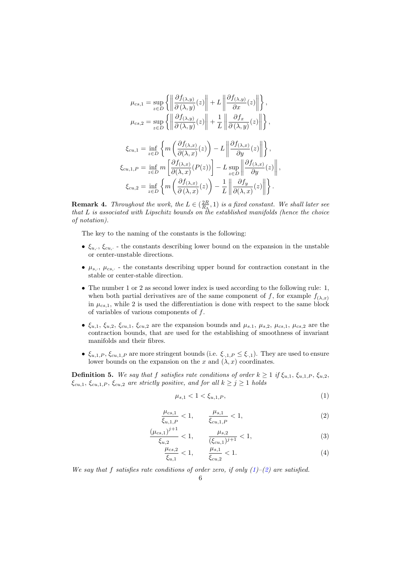$$
\mu_{cs,1} = \sup_{z \in D} \left\{ \left\| \frac{\partial f_{(\lambda,y)}}{\partial(\lambda,y)}(z) \right\| + L \left\| \frac{\partial f_{(\lambda,y)}}{\partial x}(z) \right\| \right\},
$$
\n
$$
\mu_{cs,2} = \sup_{z \in D} \left\{ \left\| \frac{\partial f_{(\lambda,y)}}{\partial(\lambda,y)}(z) \right\| + \frac{1}{L} \left\| \frac{\partial f_x}{\partial(\lambda,y)}(z) \right\| \right\},
$$
\n
$$
\xi_{cu,1} = \inf_{z \in D} \left\{ m \left( \frac{\partial f_{(\lambda,x)}}{\partial(\lambda,x)}(z) \right) - L \left\| \frac{\partial f_{(\lambda,x)}}{\partial y}(z) \right\| \right\},
$$
\n
$$
\xi_{cu,1,P} = \inf_{z \in D} m \left[ \frac{\partial f_{(\lambda,x)}}{\partial(\lambda,x)}(P(z)) \right] - L \sup_{z \in D} \left\| \frac{\partial f_{(\lambda,x)}}{\partial y}(z) \right\|,
$$
\n
$$
\xi_{cu,2} = \inf_{z \in D} \left\{ m \left( \frac{\partial f_{(\lambda,x)}}{\partial(\lambda,x)}(z) \right) - \frac{1}{L} \left\| \frac{\partial f_y}{\partial(\lambda,x)}(z) \right\| \right\}.
$$

**Remark 4.** Throughout the work, the  $L \in (\frac{2R}{R_A}, 1)$  is a fixed constant. We shall later see that L is associated with Lipschitz bounds on the established manifolds (hence the choice of notation).

The key to the naming of the constants is the following:

- $\bullet$   $\xi_{u,\cdot}, \xi_{cu,\cdot}$  the constants describing lower bound on the expansion in the unstable or center-unstable directions.
- $\mu_{s,\cdot}, \mu_{cs,\cdot}$  the constants describing upper bound for contraction constant in the stable or center-stable direction.
- The number 1 or 2 as second lower index is used according to the following rule: 1, when both partial derivatives are of the same component of f, for example  $f_{(\lambda,x)}$ in  $\mu_{cs,1}$ , while 2 is used the differentiation is done with respect to the same block of variables of various components of  $f$ .
- $\xi_{u,1}, \xi_{u,2}, \xi_{cu,1}, \xi_{cu,2}$  are the expansion bounds and  $\mu_{s,1}, \mu_{s,2}, \mu_{cs,1}, \mu_{cs,2}$  are the contraction bounds, that are used for the establishing of smoothness of invariant manifolds and their fibres.
- $\xi_{u,1,P}, \xi_{cu,1,P}$  are more stringent bounds (i.e.  $\xi_{\cdot,1,P} \leq \xi_{\cdot,1}$ ). They are used to ensure lower bounds on the expansion on the x and  $(\lambda, x)$  coordinates.

<span id="page-5-2"></span>**Definition 5.** We say that f satisfies rate conditions of order  $k \geq 1$  if  $\xi_{u,1}, \xi_{u,1,P}, \xi_{u,2}$ ,  $\xi_{cu,1}, \xi_{cu,1,P}, \xi_{cu,2}$  are strictly positive, and for all  $k \ge j \ge 1$  holds

<span id="page-5-3"></span><span id="page-5-1"></span><span id="page-5-0"></span>
$$
\mu_{s,1} < 1 < \xi_{u,1,P},\tag{1}
$$

$$
\frac{\mu_{cs,1}}{\xi_{u,1,P}} < 1, \qquad \frac{\mu_{s,1}}{\xi_{cu,1,P}} < 1,\tag{2}
$$

$$
\frac{(\mu_{cs,1})^{j+1}}{\xi_{u,2}} < 1, \qquad \frac{\mu_{s,2}}{(\xi_{cu,1})^{j+1}} < 1,\tag{3}
$$

$$
\frac{\mu_{cs,2}}{\xi_{u,1}} < 1, \qquad \frac{\mu_{s,1}}{\xi_{cu,2}} < 1. \tag{4}
$$

We say that f satisfies rate conditions of order zero, if only  $(1)$ – $(2)$  are satisfied.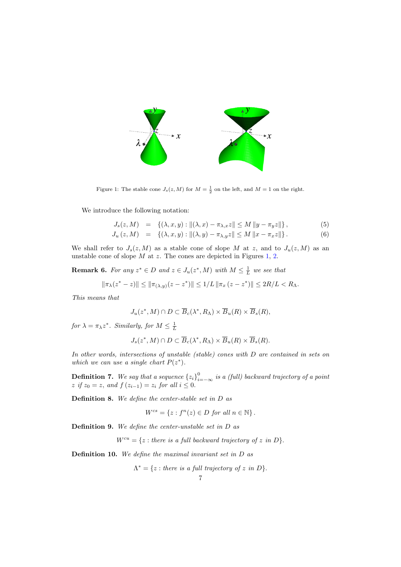

<span id="page-6-0"></span>Figure 1: The stable cone  $J_s(z, M)$  for  $M = \frac{1}{2}$  on the left, and  $M = 1$  on the right.

We introduce the following notation:

<span id="page-6-1"></span>
$$
J_s(z,M) = \{(\lambda, x, y) : \|(\lambda, x) - \pi_{\lambda, x} z\| \le M \|y - \pi_y z\| \},
$$
 (5)

$$
J_u(z, M) = \{ (\lambda, x, y) : ||(\lambda, y) - \pi_{\lambda, y} z|| \le M ||x - \pi_x z|| \}.
$$
 (6)

We shall refer to  $J_s(z, M)$  as a stable cone of slope M at z, and to  $J_u(z, M)$  as an unstable cone of slope  $M$  at  $z$ . The cones are depicted in Figures [1,](#page-6-0) [2.](#page-7-0)

<span id="page-6-2"></span>**Remark 6.** For any  $z^* \in D$  and  $z \in J_u(z^*, M)$  with  $M \leq \frac{1}{L}$  we see that

$$
\|\pi_{\lambda}(z^*-z)\| \le \|\pi_{(\lambda,y)}(z-z^*)\| \le 1/L \|\pi_x(z-z^*)\| \le 2R/L < R_{\Lambda}.
$$

This means that

$$
J_u(z^*,M)\cap D\subset\overline{B}_c(\lambda^*,R_\Lambda)\times\overline{B}_u(R)\times\overline{B}_s(R),
$$

for  $\lambda = \pi_{\lambda} z^*$ . Similarly, for  $M \leq \frac{1}{L}$ 

$$
J_s(z^*, M) \cap D \subset \overline{B}_c(\lambda^*, R_\Lambda) \times \overline{B}_u(R) \times \overline{B}_s(R).
$$

In other words, intersections of unstable (stable) cones with D are contained in sets on which we can use a single chart  $P(z^*)$ .

**Definition 7.** We say that a sequence  $\{z_i\}_{i=-\infty}^0$  is a (full) backward trajectory of a point  $z \text{ if } z_0 = z, \text{ and } f(z_{i-1}) = z_i \text{ for all } i \leq 0.$ 

Definition 8. We define the center-stable set in D as

$$
W^{cs} = \{ z : f^n(z) \in D \text{ for all } n \in \mathbb{N} \} .
$$

Definition 9. We define the center-unstable set in D as

 $W^{cu} = \{z : \text{there is a full backward trajectory of } z \text{ in } D\}.$ 

Definition 10. We define the maximal invariant set in D as

$$
\Lambda^* = \{ z : \text{there is a full trajectory of } z \text{ in } D \}.
$$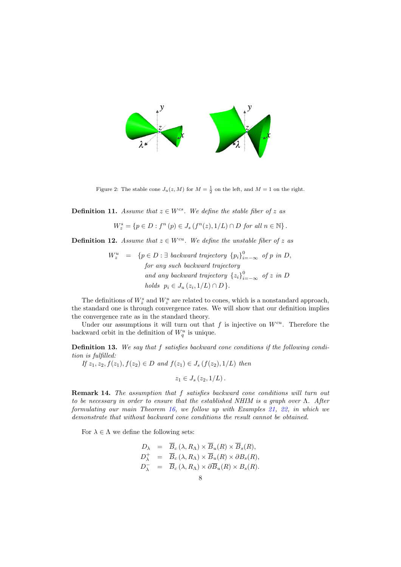

<span id="page-7-0"></span>Figure 2: The stable cone  $J_u(z, M)$  for  $M = \frac{1}{2}$  on the left, and  $M = 1$  on the right.

**Definition 11.** Assume that  $z \in W^{cs}$ . We define the stable fiber of z as

$$
W_z^s = \{ p \in D : f^n(p) \in J_s(f^n(z), 1/L) \cap D \text{ for all } n \in \mathbb{N} \}.
$$

<span id="page-7-1"></span>**Definition 12.** Assume that  $z \in W^{cu}$ . We define the unstable fiber of z as

$$
W_z^u = \{p \in D : \exists \ backward \ trajectory \{p_i\}_{i=-\infty}^0 \text{ of } p \text{ in } D, \\ \text{for any such backward trajectory} \\ \text{and any backward trajectory } \{z_i\}_{i=-\infty}^0 \text{ of } z \text{ in } D \\ \text{holds } p_i \in J_u(z_i, 1/L) \cap D \}.
$$

The definitions of  $W_z^s$  and  $W_z^u$  are related to cones, which is a nonstandard approach, the standard one is through convergence rates. We will show that our definition implies the convergence rate as in the standard theory.

Under our assumptions it will turn out that  $f$  is injective on  $W^{cu}$ . Therefore the backward orbit in the definition of  $W_q^u$  is unique.

<span id="page-7-2"></span>Definition 13. We say that f satisfies backward cone conditions if the following condition is fulfilled:

If  $z_1, z_2, f(z_1), f(z_2) \in D$  and  $f(z_1) \in J_s(f(z_2), 1/L)$  then

 $z_1 \in J_s(z_2, 1/L)$ .

Remark 14. The assumption that  $f$  satisfies backward cone conditions will turn out to be necessary in order to ensure that the established NHIM is a graph over Λ. After formulating our main Theorem [16,](#page-8-0) we follow up with Examples [21,](#page-10-0) [22,](#page-11-1) in which we demonstrate that without backward cone conditions the result cannot be obtained.

<span id="page-7-3"></span>For  $\lambda \in \Lambda$  we define the following sets:

$$
D_{\lambda} = \overline{B}_{c} (\lambda, R_{\Lambda}) \times \overline{B}_{u}(R) \times \overline{B}_{s}(R),
$$
  
\n
$$
D_{\lambda}^{+} = \overline{B}_{c} (\lambda, R_{\Lambda}) \times \overline{B}_{u}(R) \times \partial B_{s}(R),
$$
  
\n
$$
D_{\lambda}^{-} = \overline{B}_{c} (\lambda, R_{\Lambda}) \times \partial \overline{B}_{u}(R) \times B_{s}(R).
$$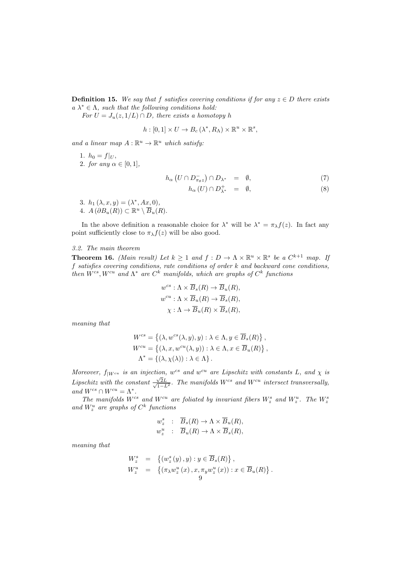**Definition 15.** We say that f satisfies covering conditions if for any  $z \in D$  there exists  $a \lambda^* \in \Lambda$ , such that the following conditions hold:

For  $U = J_u(z, 1/L) \cap D$ , there exists a homotopy h

$$
h:[0,1]\times U\to B_c\left(\lambda^*,R_\Lambda\right)\times\mathbb{R}^u\times\mathbb{R}^s,
$$

and a linear map  $A: \mathbb{R}^u \to \mathbb{R}^u$  which satisfy:

1.  $h_0 = f|_U$ , 2. for any  $\alpha \in [0,1]$ ,

<span id="page-8-1"></span>
$$
h_{\alpha} \left( U \cap D_{\pi_{\theta} z}^{-} \right) \cap D_{\lambda^{*}} = \emptyset, \tag{7}
$$

$$
h_{\alpha}(U) \cap D_{\lambda^*}^+ = \emptyset, \tag{8}
$$

3.  $h_1(\lambda, x, y) = (\lambda^*, Ax, 0),$ 4.  $A(\partial B_u(R)) \subset \mathbb{R}^u \setminus \overline{B}_u(R)$ .

In the above definition a reasonable choice for  $\lambda^*$  will be  $\lambda^* = \pi_\lambda f(z)$ . In fact any point sufficiently close to  $\pi_{\lambda} f(z)$  will be also good.

## 3.2. The main theorem

<span id="page-8-0"></span>**Theorem 16.** (Main result) Let  $k \geq 1$  and  $f: D \to \Lambda \times \mathbb{R}^u \times \mathbb{R}^s$  be a  $C^{k+1}$  map. If f satisfies covering conditions, rate conditions of order k and backward cone conditions, then  $W^{cs}$ ,  $W^{cu}$  and  $\Lambda^*$  are  $C^k$  manifolds, which are graphs of  $C^k$  functions

$$
w^{cs} : \Lambda \times \overline{B}_s(R) \to \overline{B}_u(R),
$$
  

$$
w^{cu} : \Lambda \times \overline{B}_u(R) \to \overline{B}_s(R),
$$
  

$$
\chi : \Lambda \to \overline{B}_u(R) \times \overline{B}_s(R),
$$

meaning that

$$
W^{cs} = \{ (\lambda, w^{cs}(\lambda, y), y) : \lambda \in \Lambda, y \in \overline{B}_s(R) \},
$$
  
\n
$$
W^{cu} = \{ (\lambda, x, w^{cu}(\lambda, y)) : \lambda \in \Lambda, x \in \overline{B}_u(R) \},
$$
  
\n
$$
\Lambda^* = \{ (\lambda, \chi(\lambda)) : \lambda \in \Lambda \}.
$$

Moreover,  $f_{|W^{cu}}$  is an injection, w<sup>cs</sup> and w<sup>cu</sup> are Lipschitz with constants L, and  $\chi$  is Lipschitz with the constant  $\frac{\sqrt{}}{\sqrt{2}}$  $\frac{\sqrt{2L}}{2}$  $\frac{\sqrt{2}L}{1-L^2}$ . The manifolds  $W^{cs}$  and  $W^{cu}$  intersect transversally, and  $W^{cs} \cap W^{cu} = \Lambda^*$ .

The manifolds  $W^{cs}$  and  $W^{cu}$  are foliated by invariant fibers  $W_z^s$  and  $W_z^u$ . The  $W_z^s$ and  $W_z^u$  are graphs of  $C^k$  functions

$$
w_z^s : \overline{B}_s(R) \to \Lambda \times \overline{B}_u(R),
$$
  

$$
w_z^u : \overline{B}_u(R) \to \Lambda \times \overline{B}_s(R),
$$

meaning that

$$
W_z^s = \left\{ (w_z^s(y), y) : y \in \overline{B}_s(R) \right\},
$$
  
\n
$$
W_z^u = \left\{ (\pi_\lambda w_z^u(x), x, \pi_y w_z^u(x)) : x \in \overline{B}_u(R) \right\}.
$$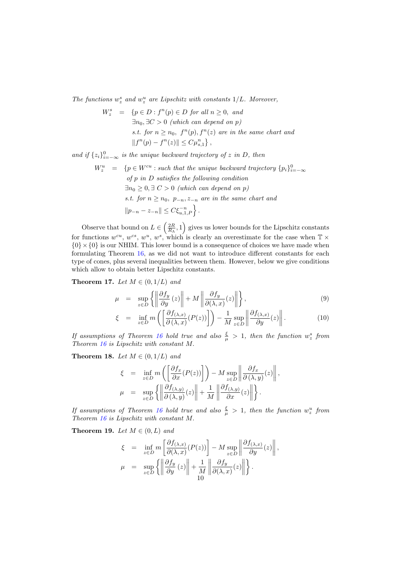The functions  $w_z^s$  and  $w_z^u$  are Lipschitz with constants  $1/L$ . Moreover,

$$
W_z^s = \{ p \in D : f^n(p) \in D \text{ for all } n \ge 0, \text{ and}
$$
  
\n
$$
\exists n_0, \exists C > 0 \text{ (which can depend on } p)
$$
  
\n*s.t.* for  $n \ge n_0$ ,  $f^n(p)$ ,  $f^n(z)$  are in the same chart and  
\n
$$
||f^n(p) - f^n(z)|| \le C\mu_{s,1}^n \},
$$

and if  $\{z_i\}_{i=-\infty}^0$  is the unique backward trajectory of z in D, then

 $W_z^u = \{p \in W^{cu} : \text{such that the unique backward trajectory } \{p_i\}_{i=-\infty}^0\}$ of  $p$  in  $D$  satisfies the following condition  $\exists n_0 \geq 0, \exists C > 0$  (which can depend on p) s.t. for  $n \geq n_0$ ,  $p_{-n}, z_{-n}$  are in the same chart and  $||p_{-n} - z_{-n}|| \leq C \xi_{u,1,P}^{-n}$ .

Observe that bound on  $L \in \left(\frac{2R}{R_{\Lambda}}, 1\right)$  gives us lower bounds for the Lipschitz constants for functions  $w^{cu}$ ,  $w^{cs}$ ,  $w^u$ ,  $w^s$ , which is clearly an overestimate for the case when  $\mathbb{T} \times$  $\{0\} \times \{0\}$  is our NHIM. This lower bound is a consequence of choices we have made when formulating Theorem [16,](#page-8-0) as we did not want to introduce different constants for each type of cones, plus several inequalities between them. However, below we give conditions which allow to obtain better Lipschitz constants.

<span id="page-9-2"></span>Theorem 17. Let  $M \in (0, 1/L)$  and

$$
\mu = \sup_{z \in D} \left\{ \left\| \frac{\partial f_y}{\partial y}(z) \right\| + M \left\| \frac{\partial f_y}{\partial (\lambda, x)}(z) \right\| \right\},\tag{9}
$$

$$
\xi = \inf_{z \in D} m \left( \left[ \frac{\partial f_{(\lambda, x)}}{\partial (\lambda, x)} (P(z)) \right] \right) - \frac{1}{M} \sup_{z \in D} \left\| \frac{\partial f_{(\lambda, x)}}{\partial y} (z) \right\|. \tag{10}
$$

If assumptions of Theorem [16](#page-8-0) hold true and also  $\frac{\xi}{\mu} > 1$ , then the function  $w_z^s$  from Theorem [16](#page-8-0) is Lipschitz with constant M.

<span id="page-9-1"></span>Theorem 18. Let  $M \in (0, 1/L)$  and

$$
\xi = \inf_{z \in D} m \left( \left[ \frac{\partial f_x}{\partial x} (P(z)) \right] \right) - M \sup_{z \in D} \left\| \frac{\partial f_x}{\partial (\lambda, y)} (z) \right\|,
$$
  

$$
\mu = \sup_{z \in D} \left\{ \left\| \frac{\partial f_{(\lambda, y)}}{\partial (\lambda, y)} (z) \right\| + \frac{1}{M} \left\| \frac{\partial f_{(\lambda, y)}}{\partial x} (z) \right\| \right\}.
$$

If assumptions of Theorem [16](#page-8-0) hold true and also  $\frac{\xi}{\mu} > 1$ , then the function  $w_z^u$  from Theorem [16](#page-8-0) is Lipschitz with constant M.

<span id="page-9-0"></span>Theorem 19. Let  $M \in (0, L)$  and

$$
\xi = \inf_{z \in D} m \left[ \frac{\partial f_{(\lambda, x)}}{\partial(\lambda, x)} (P(z)) \right] - M \sup_{z \in D} \left\| \frac{\partial f_{(\lambda, x)}}{\partial y} (z) \right\|,
$$
  

$$
\mu = \sup_{z \in D} \left\{ \left\| \frac{\partial f_y}{\partial y} (z) \right\| + \frac{1}{M} \left\| \frac{\partial f_y}{\partial(\lambda, x)} (z) \right\| \right\}.
$$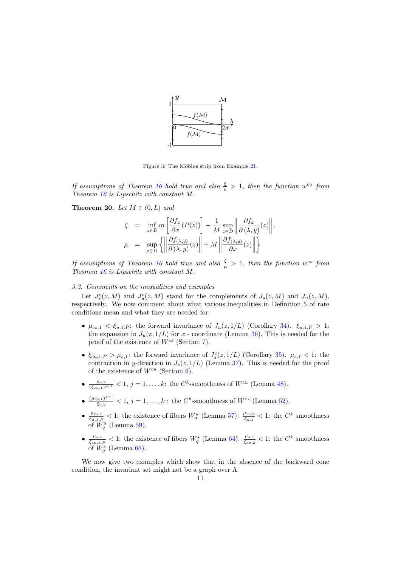

<span id="page-10-1"></span>Figure 3: The Möbius strip from Example [21.](#page-10-0)

If assumptions of Theorem [16](#page-8-0) hold true and also  $\frac{\xi}{\mu} > 1$ , then the function w<sup>cu</sup> from Theorem [16](#page-8-0) is Lipschitz with constant M.

<span id="page-10-2"></span>**Theorem 20.** Let  $M \in (0, L)$  and

$$
\xi = \inf_{z \in D} m \left[ \frac{\partial f_x}{\partial x} (P(z)) \right] - \frac{1}{M} \sup_{z \in D} \left\| \frac{\partial f_x}{\partial (\lambda, y)} (z) \right\|,
$$
  

$$
\mu = \sup_{z \in D} \left\{ \left\| \frac{\partial f_{(\lambda, y)}}{\partial (\lambda, y)} (z) \right\| + M \left\| \frac{\partial f_{(\lambda, y)}}{\partial x} (z) \right\| \right\}
$$

If assumptions of Theorem [16](#page-8-0) hold true and also  $\frac{\xi}{\mu} > 1$ , then the function w<sup>cs</sup> from Theorem [16](#page-8-0) is Lipschitz with constant M.

## 3.3. Comments on the inequalities and examples

Let  $J_s^c(z, M)$  and  $J_u^c(z, M)$  stand for the complements of  $J_s(z, M)$  and  $J_u(z, M)$ , respectively. We now comment about what various inequalities in Definition [5](#page-5-2) of rate conditions mean and what they are needed for:

- $\mu_{cs,1} < \xi_{u,1,P}$ : the forward invariance of  $J_u(z,1/L)$  (Corollary [34\)](#page-16-0).  $\xi_{u,1,P} > 1$ : the expansion in  $J_u(z, 1/L)$  for x - coordinate (Lemma [36\)](#page-16-1). This is needed for the proof of the existence of  $W^{cs}$  (Section [7\)](#page-21-0).
- $\xi_{cu,1,P} > \mu_{s,1}$ : the forward invariance of  $J_s^c(z,1/L)$  (Corollary [35\)](#page-16-2).  $\mu_{s,1} < 1$ : the contraction in y-direction in  $J_s(z, 1/L)$  (Lemma [37\)](#page-16-3). This is needed for the proof of the existence of  $W^{cu}$  (Section [6\)](#page-18-0).
- $\bullet$   $\frac{\mu_{s,2}}{(\epsilon)}$  $\frac{\mu_{s,2}}{(\xi_{cu,1})^{j+1}}$  < 1,  $j = 1, ..., k$ : the  $C^k$ -smoothness of  $W^{cu}$  (Lemma [48\)](#page-20-0).
- $\bullet \frac{(\mu_{cs,1})^{j+1}}{6}$  $\frac{s,1^{j+1}}{\xi_{u,2}} < 1, j = 1, ..., k$ : the  $C^k$ -smoothness of  $W^{cs}$  (Lemma [52\)](#page-23-0).
- $\bullet$   $\frac{\mu_{cs,1}}{\epsilon}$  $\frac{\mu_{cs,1}}{\xi_{u,1,P}}$  < 1: the existence of fibers  $W_q^u$  (Lemma [57\)](#page-27-0).  $\frac{\mu_{cs,2}}{\xi_{u,1}}$  < 1: the  $C^k$  smoothness of  $W_q^u$  (Lemma [59\)](#page-28-0).
- $\bullet$   $\frac{\mu_{s,1}}{\epsilon}$  $\frac{\mu_{s,1}}{\xi_{cu,1,P}}$  < 1: the existence of fibers  $W_q^s$  (Lemma [64\)](#page-33-0).  $\frac{\mu_{s,1}}{\xi_{cu,2}}$  < 1: the  $C^k$  smoothness of  $W_q^s$  (Lemma [66\)](#page-34-0).

<span id="page-10-0"></span>We now give two examples which show that in the absence of the backward cone condition, the invariant set might not be a graph over  $\Lambda$ .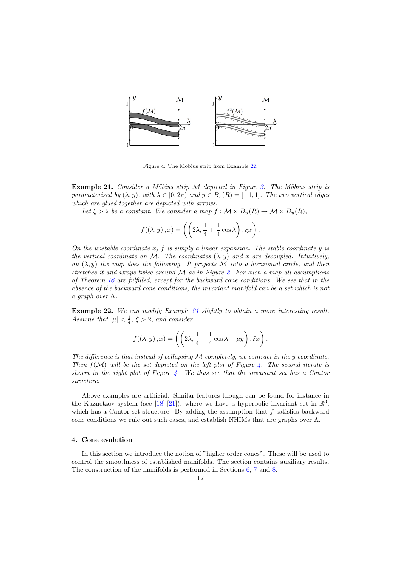

<span id="page-11-2"></span>Figure 4: The Möbius strip from Example [22.](#page-11-1)

Example 21. Consider a Möbius strip  $M$  depicted in Figure [3.](#page-10-1) The Möbius strip is parameterised by  $(\lambda, y)$ , with  $\lambda \in [0, 2\pi)$  and  $y \in \overline{B}_s(R) = [-1, 1]$ . The two vertical edges which are glued together are depicted with arrows.

Let  $\xi > 2$  be a constant. We consider a map  $f : \mathcal{M} \times \overline{B}_u(R) \to \mathcal{M} \times \overline{B}_u(R)$ ,

$$
f((\lambda, y), x) = \left( \left( 2\lambda, \frac{1}{4} + \frac{1}{4}\cos \lambda \right), \xi x \right).
$$

On the unstable coordinate  $x, f$  is simply a linear expansion. The stable coordinate  $y$  is the vertical coordinate on M. The coordinates  $(\lambda, y)$  and x are decoupled. Intuitively, on  $(\lambda, y)$  the map does the following. It projects M into a horizontal circle, and then stretches it and wraps twice around  $\mathcal M$  as in Figure [3.](#page-10-1) For such a map all assumptions of Theorem [16](#page-8-0) are fulfilled, except for the backward cone conditions. We see that in the absence of the backward cone conditions, the invariant manifold can be a set which is not a graph over  $\Lambda$ .

<span id="page-11-1"></span>Example 22. We can modify Example [21](#page-10-0) slightly to obtain a more interesting result. Assume that  $|\mu| < \frac{1}{4}$ ,  $\xi > 2$ , and consider

$$
f((\lambda, y), x) = \left( \left( 2\lambda, \frac{1}{4} + \frac{1}{4}\cos \lambda + \mu y \right), \xi x \right).
$$

The difference is that instead of collapsing  $M$  completely, we contract in the y coordinate. Then  $f(M)$  will be the set depicted on the left plot of Figure [4.](#page-11-2) The second iterate is shown in the right plot of Figure  $\lambda$ . We thus see that the invariant set has a Cantor structure.

Above examples are artificial. Similar features though can be found for instance in the Kuznetzov system (see [\[18\]](#page-63-9), [\[21\]](#page-63-8)), where we have a hyperbolic invariant set in  $\mathbb{R}^3$ , which has a Cantor set structure. By adding the assumption that  $f$  satisfies backward cone conditions we rule out such cases, and establish NHIMs that are graphs over  $\Lambda$ .

### <span id="page-11-0"></span>4. Cone evolution

In this section we introduce the notion of "higher order cones". These will be used to control the smoothness of established manifolds. The section contains auxiliary results. The construction of the manifolds is performed in Sections [6,](#page-18-0) [7](#page-21-0) and [8.](#page-24-0)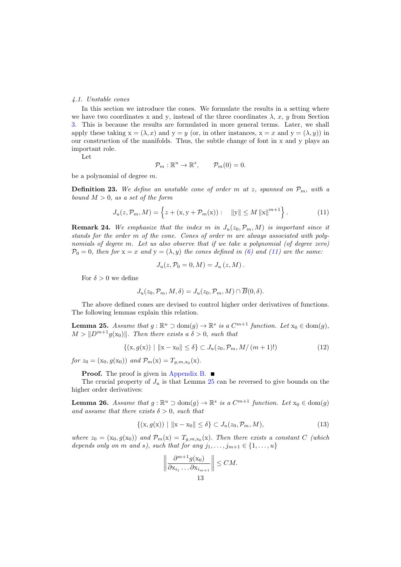#### <span id="page-12-3"></span>4.1. Unstable cones

In this section we introduce the cones. We formulate the results in a setting where we have two coordinates x and y, instead of the three coordinates  $\lambda$ , x, y from Section [3.](#page-3-0) This is because the results are formulated in more general terms. Later, we shall apply these taking  $x = (\lambda, x)$  and  $y = y$  (or, in other instances,  $x = x$  and  $y = (\lambda, y)$ ) in our construction of the manifolds. Thus, the subtle change of font in x and y plays an important role.

Let

<span id="page-12-0"></span>
$$
\mathcal{P}_m: \mathbb{R}^u \to \mathbb{R}^s, \qquad \mathcal{P}_m(0) = 0.
$$

be a polynomial of degree m.

**Definition 23.** We define an unstable cone of order m at z, spanned on  $\mathcal{P}_m$ , with a bound  $M > 0$ , as a set of the form

$$
J_u(z, \mathcal{P}_m, M) = \left\{ z + (\mathbf{x}, \mathbf{y} + \mathcal{P}_m(\mathbf{x})): \quad \|\mathbf{y}\| \le M \left\| \mathbf{x} \right\|^{m+1} \right\}.
$$
 (11)

**Remark 24.** We emphasize that the index m in  $J_u(z_0, \mathcal{P}_m, M)$  is important since it stands for the order m of the cone. Cones of order m are always associated with polynomials of degree m. Let us also observe that if we take a polynomial (of degree zero)  $\mathcal{P}_0 = 0$ , then for  $x = x$  and  $y = (\lambda, y)$  the cones defined in [\(6\)](#page-6-1) and [\(11\)](#page-12-0) are the same:

<span id="page-12-4"></span>
$$
J_u(z, \mathcal{P}_0 = 0, M) = J_u(z, M).
$$

For  $\delta > 0$  we define

$$
J_u(z_0, \mathcal{P}_m, M, \delta) = J_u(z_0, \mathcal{P}_m, M) \cap \overline{B}(0, \delta).
$$

The above defined cones are devised to control higher order derivatives of functions. The following lemmas explain this relation.

<span id="page-12-1"></span>**Lemma 25.** Assume that  $g : \mathbb{R}^u \supset \text{dom}(g) \to \mathbb{R}^s$  is a  $C^{m+1}$  function. Let  $x_0 \in \text{dom}(g)$ ,  $M > ||D^{m+1}g(x_0)||$ . Then there exists a  $\delta > 0$ , such that

$$
\{(x, g(x)) \mid ||x - x_0|| \le \delta\} \subset J_u(z_0, \mathcal{P}_m, M/(m+1)!)
$$
\n(12)

for  $z_0 = (x_0, g(x_0))$  and  $\mathcal{P}_m(x) = T_{g,m,x_0}(x)$ .

**Proof.** The proof is given in [Appendix B.](#page-47-0)

The crucial property of  $J_u$  is that Lemma [25](#page-12-1) can be reversed to give bounds on the higher order derivatives:

<span id="page-12-2"></span>**Lemma 26.** Assume that  $g : \mathbb{R}^u \supset \text{dom}(g) \to \mathbb{R}^s$  is a  $C^{m+1}$  function. Let  $x_0 \in \text{dom}(g)$ and assume that there exists  $\delta > 0$ , such that

$$
\{(x, g(x)) \mid ||x - x_0|| \le \delta\} \subset J_u(z_0, \mathcal{P}_m, M),
$$
\n(13)

where  $z_0 = (x_0, g(x_0))$  and  $\mathcal{P}_m(x) = T_{g,m,x_0}(x)$ . Then there exists a constant C (which depends only on m and s), such that for any  $j_1, \ldots, j_{m+1} \in \{1, \ldots, u\}$ 

$$
\left\|\frac{\partial^{m+1}g(\mathbf{x}_0)}{\partial \mathbf{x}_{i_1}\dots\partial \mathbf{x}_{i_{m+1}}}\right\| \leq CM.
$$
  
13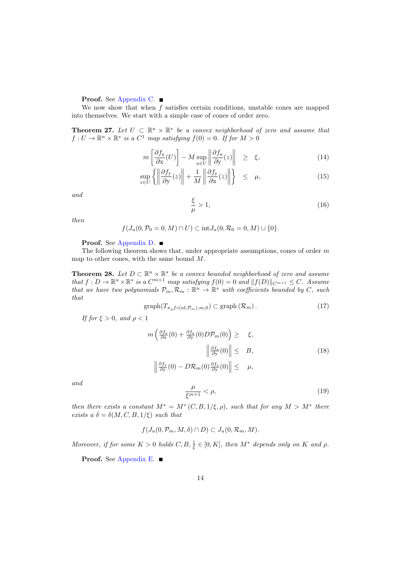# Proof. See [Appendix C.](#page-47-1) ■

We now show that when f satisfies certain conditions, unstable cones are mapped into themselves. We start with a simple case of cones of order zero.

<span id="page-13-0"></span>**Theorem 27.** Let  $U \subset \mathbb{R}^u \times \mathbb{R}^s$  be a convex neighborhood of zero and assume that  $f: U \to \mathbb{R}^u \times \mathbb{R}^s$  is a  $C^1$  map satisfying  $f(0) = 0$ . If for  $M > 0$ 

<span id="page-13-4"></span>
$$
m\left[\frac{\partial f_{\mathbf{x}}}{\partial \mathbf{x}}(U)\right] - M \sup_{\mathbf{x} \in U} \left\|\frac{\partial f_{\mathbf{x}}}{\partial \mathbf{y}}(z)\right\| \geq \xi, \tag{14}
$$

$$
\sup_{z \in U} \left\{ \left\| \frac{\partial f_y}{\partial y}(z) \right\| + \frac{1}{M} \left\| \frac{\partial f_y}{\partial x}(z) \right\| \right\} \le \mu,
$$
\n(15)

<span id="page-13-2"></span>and

$$
\frac{\xi}{\mu} > 1,\tag{16}
$$

then

$$
f(J_u(0,\mathcal{P}_0=0,M)\cap U)\subset \text{int}J_u(0,\mathcal{R}_0=0,M)\cup\{0\}.
$$

### Proof. See [Appendix D.](#page-50-0) ■

The following theorem shows that, under appropriate assumptions, cones of order  $m$ map to other cones, with the same bound M.

<span id="page-13-1"></span>**Theorem 28.** Let  $D \subset \mathbb{R}^u \times \mathbb{R}^s$  be a convex bounded neighborhood of zero and assume that  $f: D \to \mathbb{R}^u \times \mathbb{R}^s$  is a  $C^{m+1}$  map satisfying  $f(0) = 0$  and  $||f(D)||_{C^{m+1}} \leq C$ . Assume that we have two polynomials  $\mathcal{P}_m, \mathcal{R}_m : \mathbb{R}^u \to \mathbb{R}^s$  with coefficients bounded by C, such that

<span id="page-13-5"></span>
$$
\text{graph}(T_{\pi_y f \circ (\text{id}, \mathcal{P}_m), m, 0}) \subset \text{graph}(\mathcal{R}_m). \tag{17}
$$

<span id="page-13-6"></span>If for  $\xi > 0$ , and  $\rho < 1$ 

$$
m\left(\frac{\partial f_{\mathbf{x}}}{\partial \mathbf{x}}(0) + \frac{\partial f_{\mathbf{x}}}{\partial \mathbf{y}}(0)D\mathcal{P}_m(0)\right) \geq \xi,
$$
  

$$
\left\|\frac{\partial f_{\mathbf{x}}}{\partial \mathbf{y}}(0)\right\| \leq B,
$$
  

$$
\left\|\frac{\partial f_{\mathbf{y}}}{\partial \mathbf{y}}(0) - D\mathcal{R}_m(0)\frac{\partial f_{\mathbf{x}}}{\partial \mathbf{y}}(0)\right\| \leq \mu,
$$
 (18)

<span id="page-13-3"></span>and

$$
\frac{\mu}{\xi^{m+1}} < \rho,\tag{19}
$$

then there exists a constant  $M^* = M^*(C, B, 1/\xi, \rho)$ , such that for any  $M > M^*$  there exists a  $\delta = \delta(M, C, B, 1/\xi)$  such that

$$
f(J_u(0,\mathcal{P}_m,M,\delta)\cap D)\subset J_u(0,\mathcal{R}_m,M).
$$

Moreover, if for some  $K > 0$  holds  $C, B, \frac{1}{\xi} \in [0, K]$ , then  $M^*$  depends only on K and  $\rho$ .

**Proof.** See [Appendix E.](#page-50-1)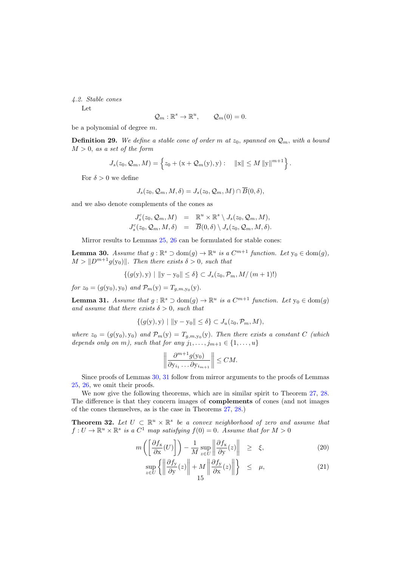<span id="page-14-2"></span>4.2. Stable cones

Let

$$
\mathcal{Q}_m: \mathbb{R}^s \to \mathbb{R}^u, \qquad \mathcal{Q}_m(0) = 0.
$$

be a polynomial of degree m.

**Definition 29.** We define a stable cone of order m at  $z_0$ , spanned on  $\mathcal{Q}_m$ , with a bound  $M > 0$ , as a set of the form

$$
J_s(z_0, Q_m, M) = \left\{ z_0 + (\mathbf{x} + Q_m(\mathbf{y}), \mathbf{y}) : ||\mathbf{x}|| \le M ||\mathbf{y}||^{m+1} \right\}.
$$

For  $\delta > 0$  we define

$$
J_s(z_0, \mathcal{Q}_m, M, \delta) = J_s(z_0, \mathcal{Q}_m, M) \cap \overline{B}(0, \delta),
$$

and we also denote complements of the cones as

$$
J_s^c(z_0, \mathcal{Q}_m, M) = \mathbb{R}^u \times \mathbb{R}^s \setminus J_s(z_0, \mathcal{Q}_m, M),
$$
  

$$
J_s^c(z_0, \mathcal{Q}_m, M, \delta) = \overline{B}(0, \delta) \setminus J_s(z_0, \mathcal{Q}_m, M, \delta).
$$

Mirror results to Lemmas [25,](#page-12-1) [26](#page-12-2) can be formulated for stable cones:

<span id="page-14-0"></span>**Lemma 30.** Assume that  $g : \mathbb{R}^s \supset \text{dom}(g) \to \mathbb{R}^u$  is a  $C^{m+1}$  function. Let  $y_0 \in \text{dom}(g)$ ,  $M > ||D^{m+1}g(y_0)||$ . Then there exists  $\delta > 0$ , such that

$$
\{(g(y), y) \mid ||y - y_0|| \le \delta\} \subset J_s(z_0, \mathcal{P}_m, M/(m+1)!)
$$

for  $z_0 = (g(y_0), y_0)$  and  $\mathcal{P}_m(y) = T_{g,m,y_0}(y)$ .

<span id="page-14-1"></span>**Lemma 31.** Assume that  $g : \mathbb{R}^s \supset \text{dom}(g) \to \mathbb{R}^u$  is a  $C^{m+1}$  function. Let  $y_0 \in \text{dom}(g)$ and assume that there exists  $\delta > 0$ , such that

$$
\{(g(y), y) \mid ||y - y_0|| \le \delta\} \subset J_u(z_0, \mathcal{P}_m, M),
$$

where  $z_0 = (g(y_0), y_0)$  and  $\mathcal{P}_m(y) = T_{g,m,y_0}(y)$ . Then there exists a constant C (which depends only on m), such that for any  $j_1, \ldots, j_{m+1} \in \{1, \ldots, u\}$ 

$$
\left\|\frac{\partial^{m+1}g(y_0)}{\partial y_{i_1}\dots\partial y_{i_{m+1}}}\right\| \le CM.
$$

Since proofs of Lemmas [30,](#page-14-0) [31](#page-14-1) follow from mirror arguments to the proofs of Lemmas [25,](#page-12-1) [26,](#page-12-2) we omit their proofs.

We now give the following theorems, which are in similar spirit to Theorem [27,](#page-13-0) [28.](#page-13-1) The difference is that they concern images of complements of cones (and not images of the cones themselves, as is the case in Theorems [27,](#page-13-0) [28.](#page-13-1))

<span id="page-14-3"></span>**Theorem 32.** Let  $U \subset \mathbb{R}^u \times \mathbb{R}^s$  be a convex neighborhood of zero and assume that  $f: U \to \mathbb{R}^u \times \mathbb{R}^s$  is a  $C^1$  map satisfying  $f(0) = 0$ . Assume that for  $M > 0$ 

<span id="page-14-4"></span>
$$
m\left(\left[\frac{\partial f_{\mathbf{x}}}{\partial \mathbf{x}}(U)\right]\right) - \frac{1}{M} \sup_{z \in U} \left\|\frac{\partial f_{\mathbf{x}}}{\partial \mathbf{y}}(z)\right\| \geq \xi,\tag{20}
$$

$$
\sup_{z \in U} \left\{ \left\| \frac{\partial f_y}{\partial y}(z) \right\| + M \left\| \frac{\partial f_y}{\partial x}(z) \right\| \right\} \le \mu,
$$
\n(21)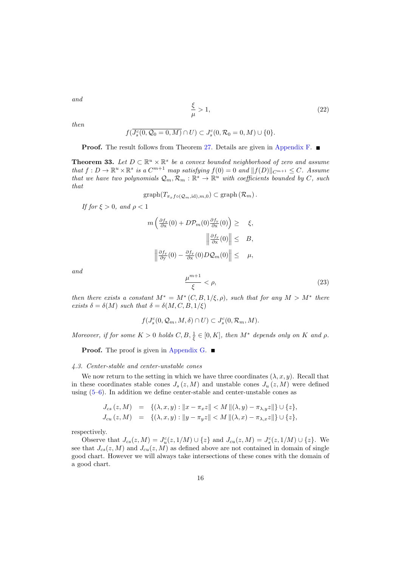<span id="page-15-2"></span>and

$$
\frac{\xi}{\mu} > 1,\tag{22}
$$

then

$$
f(\overline{J_s^c(0,\mathcal{Q}_0=0,M)}\cap U)\subset J_s^c(0,\mathcal{R}_0=0,M)\cup\{0\}.
$$

**Proof.** The result follows from Theorem [27.](#page-13-0) Details are given in [Appendix F.](#page-54-0)

<span id="page-15-0"></span>**Theorem 33.** Let  $D \subset \mathbb{R}^u \times \mathbb{R}^s$  be a convex bounded neighborhood of zero and assume that  $f: D \to \mathbb{R}^u \times \mathbb{R}^s$  is a  $C^{m+1}$  map satisfying  $f(0) = 0$  and  $||f(D)||_{C^{m+1}} \leq C$ . Assume that we have two polynomials  $\mathcal{Q}_m, \mathcal{R}_m : \mathbb{R}^s \to \mathbb{R}^u$  with coefficients bounded by C, such that

$$
\mathrm{graph}(T_{\pi_x f \circ (\mathcal{Q}_m, \mathrm{id}), m, 0}) \subset \mathrm{graph}(\mathcal{R}_m).
$$

If for  $\xi > 0$ , and  $\rho < 1$ 

$$
m\left(\frac{\partial f_{\mathbf{x}}}{\partial \mathbf{x}}(0) + D\mathcal{P}_{m}(0)\frac{\partial f_{\mathbf{y}}}{\partial \mathbf{x}}(0)\right) \geq \xi,
$$
  

$$
\left\|\frac{\partial f_{\mathbf{y}}}{\partial \mathbf{x}}(0)\right\| \leq B,
$$
  

$$
\left\|\frac{\partial f_{\mathbf{y}}}{\partial \mathbf{y}}(0) - \frac{\partial f_{\mathbf{y}}}{\partial \mathbf{x}}(0)D\mathcal{Q}_{m}(0)\right\| \leq \mu,
$$

<span id="page-15-1"></span>and

$$
\frac{\mu^{m+1}}{\xi} < \rho,\tag{23}
$$

then there exists a constant  $M^* = M^*(C, B, 1/\xi, \rho)$ , such that for any  $M > M^*$  there exists  $\delta = \delta(M)$  such that  $\delta = \delta(M, C, B, 1/\xi)$ 

$$
f(J_s^c(0,\mathcal{Q}_m,M,\delta)\cap U)\subset J_s^c(0,\mathcal{R}_m,M).
$$

Moreover, if for some  $K > 0$  holds  $C, B, \frac{1}{\xi} \in [0, K]$ , then  $M^*$  depends only on K and  $\rho$ .

**Proof.** The proof is given in [Appendix G.](#page-54-1)

#### 4.3. Center-stable and center-unstable cones

We now return to the setting in which we have three coordinates  $(\lambda, x, y)$ . Recall that in these coordinates stable cones  $J_s(z, M)$  and unstable cones  $J_u(z, M)$  were defined using  $(5-6)$ . In addition we define center-stable and center-unstable cones as

$$
J_{cs}(z, M) = \{(\lambda, x, y) : ||x - \pi_x z|| < M ||(\lambda, y) - \pi_{\lambda, y} z||\} \cup \{z\},
$$
  
\n
$$
J_{cu}(z, M) = \{(\lambda, x, y) : ||y - \pi_y z|| < M ||(\lambda, x) - \pi_{\lambda, x} z||\} \cup \{z\},
$$

respectively.

Observe that  $J_{cs}(z, M) = J_u^c(z, 1/M) \cup \{z\}$  and  $J_{cu}(z, M) = J_s^c(z, 1/M) \cup \{z\}$ . We see that  $J_{cs}(z, M)$  and  $J_{cu}(z, M)$  as defined above are not contained in domain of single good chart. However we will always take intersections of these cones with the domain of a good chart.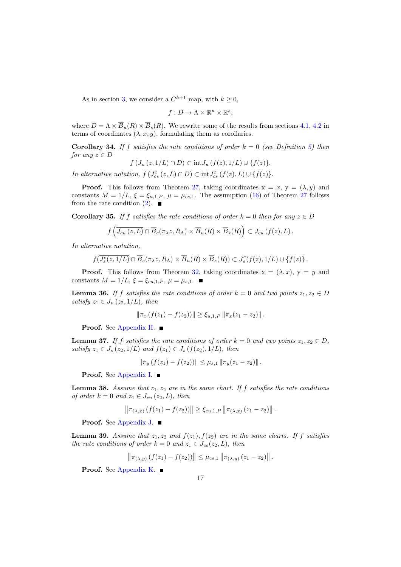As in section [3,](#page-3-0) we consider a  $C^{k+1}$  map, with  $k \geq 0$ ,

$$
f: D \to \Lambda \times \mathbb{R}^u \times \mathbb{R}^s,
$$

where  $D = \Lambda \times \overline{B}_u(R) \times \overline{B}_s(R)$ . We rewrite some of the results from sections [4.1,](#page-12-3) [4.2](#page-14-2) in terms of coordinates  $(\lambda, x, y)$ , formulating them as corollaries.

<span id="page-16-0"></span>**Corollary 34.** If f satisfies the rate conditions of order  $k = 0$  (see Definition [5\)](#page-5-2) then for any  $z \in D$ 

$$
f\left(J_u\left(z,1/L\right)\cap D\right)\subset \text{int}J_u\left(f(z),1/L\right)\cup\{f(z)\}.
$$

In alternative notation,  $f(J_{cs}^c(z,L) \cap D) \subset int J_{cs}^c(f(z),L) \cup \{f(z)\}.$ 

**Proof.** This follows from Theorem [27,](#page-13-0) taking coordinates  $x = x$ ,  $y = (\lambda, y)$  and constants  $M = 1/L$ ,  $\xi = \xi_{u,1,P}$ ,  $\mu = \mu_{cs,1}$ . The assumption [\(16\)](#page-13-2) of Theorem [27](#page-13-0) follows from the rate condition  $(2)$ .

<span id="page-16-2"></span>**Corollary 35.** If f satisfies the rate conditions of order  $k = 0$  then for any  $z \in D$ 

$$
f\left(\overline{J_{cu}(z,L)}\cap \overline{B}_c(\pi_\lambda z,R_\Lambda)\times \overline{B}_u(R)\times \overline{B}_s(R)\right)\subset J_{cu}(f(z),L).
$$

In alternative notation,

$$
f(\overline{J_s^c(z,1/L)} \cap \overline{B}_c(\pi_\lambda z, R_\Lambda) \times \overline{B}_u(R) \times \overline{B}_s(R)) \subset J_s^c(f(z), 1/L) \cup \{f(z)\}.
$$

**Proof.** This follows from Theorem [32,](#page-14-3) taking coordinates  $x = (\lambda, x)$ ,  $y = y$  and constants  $M = 1/L$ ,  $\xi = \xi_{cu,1,P}$ ,  $\mu = \mu_{s,1}$ .

<span id="page-16-1"></span>**Lemma 36.** If f satisfies the rate conditions of order  $k = 0$  and two points  $z_1, z_2 \in D$ satisfy  $z_1 \in J_u(z_2, 1/L)$ , then

$$
\|\pi_x(f(z_1)-f(z_2))\| \ge \xi_{u,1,P} \|\pi_x(z_1-z_2)\|.
$$

Proof. See [Appendix H.](#page-56-0) ■

<span id="page-16-3"></span>**Lemma 37.** If f satisfies the rate conditions of order  $k = 0$  and two points  $z_1, z_2 \in D$ , satisfy  $z_1 \in J_s(z_2, 1/L)$  and  $f(z_1) \in J_s(f(z_2), 1/L)$ , then

$$
\|\pi_y(f(z_1)-f(z_2))\| \leq \mu_{s,1} \|\pi_y(z_1-z_2)\|.
$$

Proof. See [Appendix I.](#page-57-0) ■

<span id="page-16-5"></span>**Lemma 38.** Assume that  $z_1, z_2$  are in the same chart. If f satisfies the rate conditions of order  $k = 0$  and  $z_1 \in J_{cu} (z_2, L)$ , then

$$
\|\pi_{(\lambda,x)}(f(z_1)-f(z_2))\| \geq \xi_{cu,1,P} \|\pi_{(\lambda,x)}(z_1-z_2)\|.
$$

Proof. See [Appendix J.](#page-57-1) ■

<span id="page-16-4"></span>**Lemma 39.** Assume that  $z_1, z_2$  and  $f(z_1), f(z_2)$  are in the same charts. If f satisfies the rate conditions of order  $k = 0$  and  $z_1 \in J_{cs}(z_2, L)$ , then

$$
\left\|\pi_{(\lambda,y)}(f(z_1)-f(z_2))\right\| \leq \mu_{cs,1} \left\|\pi_{(\lambda,y)}(z_1-z_2)\right\|.
$$

Proof. See [Appendix K.](#page-58-0) ■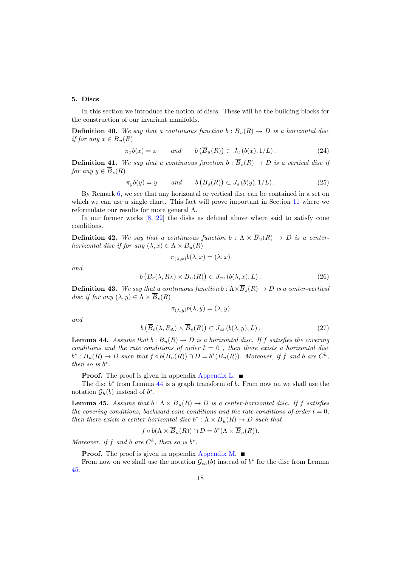## 5. Discs

In this section we introduce the notion of discs. These will be the building blocks for the construction of our invariant manifolds.

**Definition 40.** We say that a continuous function  $b : \overline{B}_u(R) \to D$  is a horizontal disc if for any  $x \in \overline{B}_u(R)$ 

<span id="page-17-4"></span>
$$
\pi_x b(x) = x \qquad and \qquad b\left(\overline{B}_u(R)\right) \subset J_u\left(b(x), 1/L\right). \tag{24}
$$

**Definition 41.** We say that a continuous function  $b : \overline{B}_s(R) \to D$  is a vertical disc if for any  $y \in \overline{B}_s(R)$ 

<span id="page-17-5"></span>
$$
\pi_y b(y) = y \qquad \text{and} \qquad b\left(\overline{B}_s(R)\right) \subset J_s\left(b(y), 1/L\right). \tag{25}
$$

By Remark [6,](#page-6-2) we see that any horizontal or vertical disc can be contained in a set on which we can use a single chart. This fact will prove important in Section [11](#page-36-0) where we reformulate our results for more general Λ.

In our former works  $[8, 22]$  $[8, 22]$  $[8, 22]$  the disks as defined above where said to satisfy cone conditions.

**Definition 42.** We say that a continuous function  $b : \Lambda \times \overline{B}_u(R) \to D$  is a centerhorizontal disc if for any  $(\lambda, x) \in \Lambda \times \overline{B}_u(R)$ 

 $\pi_{(\lambda, x)}b(\lambda, x) = (\lambda, x)$ 

<span id="page-17-2"></span>and

$$
b\left(\overline{B}_c(\lambda, R_\Lambda) \times \overline{B}_u(R)\right) \subset J_{cu}\left(b(\lambda, x), L\right). \tag{26}
$$

**Definition 43.** We say that a continuous function  $b : \Lambda \times \overline{B}_s(R) \to D$  is a center-vertical disc if for any  $(\lambda, y) \in \Lambda \times \overline{B}_s(R)$ 

$$
\pi_{(\lambda,y)}b(\lambda,y)=(\lambda,y)
$$

<span id="page-17-3"></span>and

$$
b\left(\overline{B}_c(\lambda, R_\Lambda) \times \overline{B}_s(R)\right) \subset J_{cs}\left(b(\lambda, y), L\right). \tag{27}
$$

<span id="page-17-0"></span>**Lemma 44.** Assume that  $b : \overline{B}_u(R) \to D$  is a horizontal disc. If f satisfies the covering conditions and the rate conditions of order  $l = 0$  , then there exists a horizontal disc  $b^*: \overline{B}_u(R) \to D$  such that  $f \circ b(\overline{B}_u(R)) \cap D = b^*(\overline{B}_u(R))$ . Moreover, if f and b are  $C^k$ , then so is  $b^*$ .

**Proof.** The proof is given in appendix [Appendix L.](#page-58-1)

The disc  $b^*$  from Lemma [44](#page-17-0) is a graph transform of  $b$ . From now on we shall use the notation  $\mathcal{G}_h(b)$  instead of  $b^*$ .

<span id="page-17-1"></span>**Lemma 45.** Assume that  $b : \Lambda \times \overline{B}_u(R) \to D$  is a center-horizontal disc. If f satisfies the covering conditions, backward cone conditions and the rate conditions of order  $l = 0$ , then there exists a center-horizontal disc  $b^* : \Lambda \times \overline{B}_u(R) \to D$  such that

$$
f \circ b(\Lambda \times \overline{B}_u(R)) \cap D = b^*(\Lambda \times \overline{B}_u(R)).
$$

Moreover, if f and b are  $C^k$ , then so is  $b^*$ .

**Proof.** The proof is given in appendix [Appendix M.](#page-61-0)

From now on we shall use the notation  $\mathcal{G}_{ch}(b)$  instead of  $b^*$  for the disc from Lemma [45.](#page-17-1)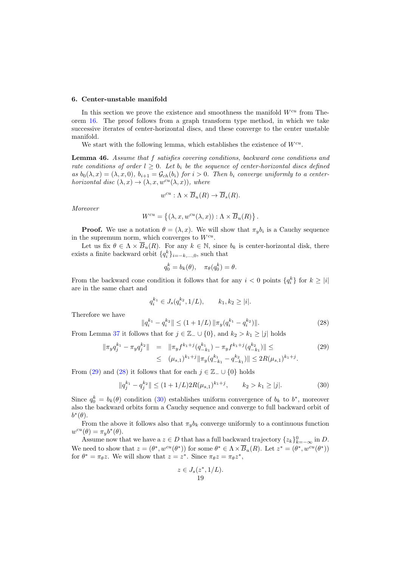#### <span id="page-18-0"></span>6. Center-unstable manifold

In this section we prove the existence and smoothness the manifold  $W^{cu}$  from Theorem [16.](#page-8-0) The proof follows from a graph transform type method, in which we take successive iterates of center-horizontal discs, and these converge to the center unstable manifold.

We start with the following lemma, which establishes the existence of  $W^{cu}$ .

<span id="page-18-4"></span>Lemma 46. Assume that f satisfies covering conditions, backward cone conditions and rate conditions of order  $l \geq 0$ . Let  $b_i$  be the sequence of center-horizontal discs defined as  $b_0(\lambda, x) = (\lambda, x, 0), b_{i+1} = \mathcal{G}_{ch}(b_i)$  for  $i > 0$ . Then  $b_i$  converge uniformly to a centerhorizontal disc  $(\lambda, x) \rightarrow (\lambda, x, w^{cu}(\lambda, x))$ , where

$$
w^{cu} : \Lambda \times \overline{B}_u(R) \to \overline{B}_s(R).
$$

Moreover

$$
W^{cu} = \{ (\lambda, x, w^{cu}(\lambda, x)) : \Lambda \times \overline{B}_u(R) \} .
$$

**Proof.** We use a notation  $\theta = (\lambda, x)$ . We will show that  $\pi_y b_i$  is a Cauchy sequence in the supremum norm, which converges to  $W^{cu}$ .

Let us fix  $\theta \in \Lambda \times \overline{B}_u(R)$ . For any  $k \in \mathbb{N}$ , since  $b_k$  is center-horizontal disk, there exists a finite backward orbit  $\{q_i^k\}_{i=-k,\dots,0}$ , such that

$$
q_0^k = b_k(\theta), \quad \pi_\theta(q_0^k) = \theta.
$$

From the backward cone condition it follows that for any  $i < 0$  points  $\{q_i^k\}$  for  $k \geq |i|$ are in the same chart and

$$
q_i^{k_1} \in J_s(q_i^{k_2}, 1/L), \qquad k_1, k_2 \ge |i|.
$$

Therefore we have

<span id="page-18-3"></span><span id="page-18-2"></span>
$$
||q_i^{k_1} - q_i^{k_2}|| \le (1 + 1/L) ||\pi_y(q_i^{k_1} - q_i^{k_2})||.
$$
 (28)

From Lemma [37](#page-16-3) it follows that for  $j \in \mathbb{Z}_- \cup \{0\}$ , and  $k_2 > k_1 \geq |j|$  holds

<span id="page-18-1"></span>
$$
\|\pi_y q_j^{k_1} - \pi_y q_j^{k_2}\| = \|\pi_y f^{k_1+j} (q_{-k_1}^{k_1}) - \pi_y f^{k_1+j} (q_{-k_1}^{k_2})\| \le
$$
  

$$
\le (\mu_{s,1})^{k_1+j} \|\pi_y (q_{-k_1}^{k_1} - q_{-k_1}^{k_2})\| \le 2R(\mu_{s,1})^{k_1+j}.
$$

$$
(29)
$$

From [\(29\)](#page-18-1) and [\(28\)](#page-18-2) it follows that for each  $j \in \mathbb{Z}_- \cup \{0\}$  holds

$$
||q_j^{k_1} - q_j^{k_2}|| \le (1 + 1/L)2R(\mu_{s,1})^{k_1 + j}, \qquad k_2 > k_1 \ge |j|.
$$
 (30)

Since  $q_0^k = b_k(\theta)$  condition [\(30\)](#page-18-3) establishes uniform convergence of  $b_k$  to  $b^*$ , moreover also the backward orbits form a Cauchy sequence and converge to full backward orbit of  $b^*(\theta)$ .

From the above it follows also that  $\pi_{\psi}b_k$  converge uniformly to a continuous function  $w^{cu}(\theta) = \pi_y b^*(\theta).$ 

Assume now that we have a  $z \in D$  that has a full backward trajectory  $\{z_k\}_{k=-\infty}^0$  in D. We need to show that  $z = (\theta^*, w^{cu}(\theta^*))$  for some  $\theta^* \in \Lambda \times \overline{B}_u(R)$ . Let  $z^* = (\theta^*, w^{cu}(\theta^*))$ for  $\theta^* = \pi_{\theta} z$ . We will show that  $z = z^*$ . Since  $\pi_{\theta} z = \pi_{\theta} z^*$ ,

$$
z \in J_s(z^*, 1/L).
$$
  
19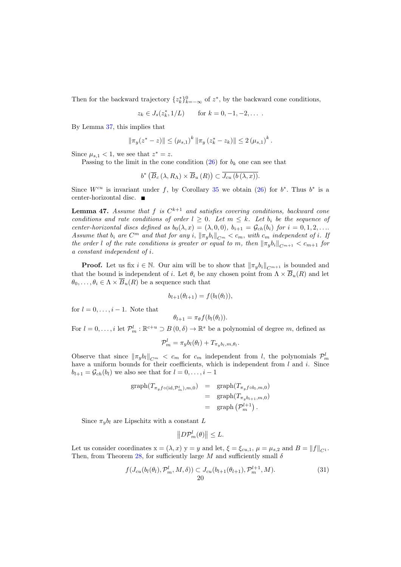Then for the backward trajectory  $\{z_k^*\}_{k=-\infty}^0$  of  $z^*$ , by the backward cone conditions,

$$
z_k \in J_s(z_k^*, 1/L)
$$
 for  $k = 0, -1, -2, \dots$ .

By Lemma [37,](#page-16-3) this implies that

$$
\|\pi_y(z^*-z)\| \leq (\mu_{s,1})^k \|\pi_y(z_k^*-z_k)\| \leq 2 (\mu_{s,1})^k.
$$

Since  $\mu_{s,1} < 1$ , we see that  $z^* = z$ .

Passing to the limit in the cone condition [\(26\)](#page-17-2) for  $b_k$  one can see that

$$
b^* \left( \overline{B}_c \left( \lambda, R_\Lambda \right) \times \overline{B}_u \left( R \right) \right) \subset \overline{J_{cu} \left( b \left( \lambda, x \right) \right)}.
$$

Since  $W^{cu}$  is invariant under f, by Corollary [35](#page-16-2) we obtain [\(26\)](#page-17-2) for  $b^*$ . Thus  $b^*$  is a center-horizontal disc.

<span id="page-19-1"></span>**Lemma 47.** Assume that f is  $C^{k+1}$  and satisfies covering conditions, backward cone conditions and rate conditions of order  $l \geq 0$ . Let  $m \leq k$ . Let  $b_i$  be the sequence of center-horizontal discs defined as  $b_0(\lambda, x) = (\lambda, 0, 0), b_{i+1} = \mathcal{G}_{ch}(b_i)$  for  $i = 0, 1, 2, \ldots$ Assume that  $b_i$  are  $C^m$  and that for any i,  $\|\pi_y b_i\|_{C^m} < c_m$ , with  $c_m$  independent of i. If the order l of the rate conditions is greater or equal to m, then  $\|\pi_y b_i\|_{C^{m+1}} < c_{m+1}$  for a constant independent of i.

**Proof.** Let us fix  $i \in \mathbb{N}$ . Our aim will be to show that  $\|\pi_y b_i\|_{C^{m+1}}$  is bounded and that the bound is independent of i. Let  $\theta_i$  be any chosen point from  $\Lambda \times \overline{B}_u(R)$  and let  $\theta_0, \ldots, \theta_i \in \Lambda \times \overline{B}_u(R)$  be a sequence such that

$$
b_{l+1}(\theta_{l+1}) = f(b_l(\theta_l)),
$$

for  $l = 0, \ldots, i - 1$ . Note that

$$
\theta_{l+1} = \pi_{\theta} f(b_l(\theta_l)).
$$

For  $l = 0, \ldots, i$  let  $\mathcal{P}_m^l : \mathbb{R}^{c+u} \supset B(0, \delta) \to \mathbb{R}^s$  be a polynomial of degree m, defined as

$$
\mathcal{P}_m^l = \pi_y b_l(\theta_l) + T_{\pi_y b_l, m, \theta_l}.
$$

Observe that since  $\|\pi_y b_l\|_{C^m} < c_m$  for  $c_m$  independent from l, the polynomials  $\mathcal{P}_m^l$ have a uniform bounds for their coefficients, which is independent from  $l$  and  $i$ . Since  $b_{l+1} = \mathcal{G}_{ch}(b_l)$  we also see that for  $l = 0, \ldots, i-1$ 

$$
\begin{array}{rcl}\n\text{graph}(T_{\pi_y f \circ (\text{id}, \mathcal{P}_m^l), m, 0}) & = & \text{graph}(T_{\pi_y f \circ b_l, m, 0}) \\
& = & \text{graph}(T_{\pi_y b_{l+1}, m, 0}) \\
& = & \text{graph}\left(\mathcal{P}_m^{l+1}\right).\n\end{array}
$$

Since  $\pi_{\nu}b_l$  are Lipschitz with a constant L

<span id="page-19-0"></span>
$$
||D\mathcal{P}_m^l(\theta)|| \leq L.
$$

Let us consider coordinates  $x = (\lambda, x)$  y = y and let,  $\xi = \xi_{cu,1}$ ,  $\mu = \mu_{s,2}$  and  $B = ||f||_{C_1}$ . Then, from Theorem [28,](#page-13-1) for sufficiently large M and sufficiently small  $\delta$ 

$$
f(J_{cu}(b_l(\theta_l), \mathcal{P}_m^l, M, \delta)) \subset J_{cu}(b_{l+1}(\theta_{l+1}), \mathcal{P}_m^{l+1}, M). \tag{31}
$$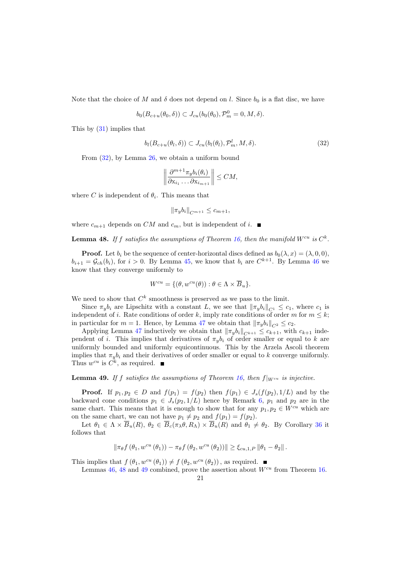Note that the choice of M and  $\delta$  does not depend on l. Since  $b_0$  is a flat disc, we have

<span id="page-20-1"></span>
$$
b_0(B_{c+u}(\theta_0,\delta)) \subset J_{cu}(b_0(\theta_0), \mathcal{P}_m^0 = 0, M, \delta).
$$

This by [\(31\)](#page-19-0) implies that

$$
b_l(B_{c+u}(\theta_l,\delta)) \subset J_{cu}(b_l(\theta_l), \mathcal{P}_m^l, M, \delta).
$$
\n(32)

From [\(32\)](#page-20-1), by Lemma [26,](#page-12-2) we obtain a uniform bound

$$
\left\|\frac{\partial^{m+1}\pi_y b_i(\theta_i)}{\partial x_{i_1}\dots\partial x_{i_{m+1}}}\right\| \le CM,
$$

where C is independent of  $\theta_i$ . This means that

$$
\|\pi_y b_i\|_{C^{m+1}} \le c_{m+1},
$$

<span id="page-20-0"></span>where  $c_{m+1}$  depends on CM and  $c_m$ , but is independent of i.

**Lemma 48.** If f satisfies the assumptions of Theorem [16,](#page-8-0) then the manifold  $W^{cu}$  is  $C^k$ .

**Proof.** Let  $b_i$  be the sequence of center-horizontal discs defined as  $b_0(\lambda, x) = (\lambda, 0, 0)$ ,  $b_{i+1} = \mathcal{G}_{ch}(b_i)$ , for  $i > 0$ . By Lemma [45,](#page-17-1) we know that  $b_i$  are  $C^{k+1}$ . By Lemma [46](#page-18-4) we know that they converge uniformly to

$$
W^{cu} = \{(\theta, w^{cu}(\theta)) : \theta \in \Lambda \times \overline{B}_u\}.
$$

We need to show that  $C^k$  smoothness is preserved as we pass to the limit.

Since  $\pi_{\nu}b_i$  are Lipschitz with a constant L, we see that  $\|\pi_{\nu}b_i\|_{C_1} \leq c_1$ , where  $c_1$  is independent of i. Rate conditions of order k, imply rate conditions of order m for  $m \leq k$ ; in particular for  $m = 1$ . Hence, by Lemma [47](#page-19-1) we obtain that  $\|\pi_y b_i\|_{C^2} \leq c_2$ .

Applying Lemma [47](#page-19-1) inductively we obtain that  $\|\pi_y b_i\|_{C^{k+1}} \leq c_{k+1}$ , with  $c_{k+1}$  independent of i. This implies that derivatives of  $\pi_y b_i$  of order smaller or equal to k are uniformly bounded and uniformly equicontinuous. This by the Arzela Ascoli theorem implies that  $\pi_y b_i$  and their derivatives of order smaller or equal to k converge uniformly. Thus  $w^{cu}$  is  $\overrightarrow{C}^k$ , as required.

<span id="page-20-2"></span>**Lemma 49.** If f satisfies the assumptions of Theorem [16,](#page-8-0) then  $f|_{W^{cu}}$  is injective.

**Proof.** If  $p_1, p_2 \in D$  and  $f(p_1) = f(p_2)$  then  $f(p_1) \in J_s(f(p_2), 1/L)$  and by the backward cone conditions  $p_1 \in J_s(p_2, 1/L)$  hence by Remark [6,](#page-6-2)  $p_1$  and  $p_2$  are in the same chart. This means that it is enough to show that for any  $p_1, p_2 \in W^{cu}$  which are on the same chart, we can not have  $p_1 \neq p_2$  and  $f(p_1) = f(p_2)$ .

Let  $\theta_1 \in \Lambda \times \overline{B}_u(R)$ ,  $\theta_2 \in \overline{B}_c(\pi_\lambda \theta, R_\Lambda) \times \overline{B}_u(R)$  and  $\theta_1 \neq \theta_2$ . By Corollary [36](#page-16-1) it follows that

$$
\|\pi_{\theta}f(\theta_1, w^{cu}(\theta_1)) - \pi_{\theta}f(\theta_2, w^{cu}(\theta_2))\| \geq \xi_{cu,1,P} \|\theta_1 - \theta_2\|.
$$

This implies that  $f(\theta_1, w^{cu}(\theta_1)) \neq f(\theta_2, w^{cu}(\theta_2))$ , as required.

Lemmas [46,](#page-18-4) [48](#page-20-0) and [49](#page-20-2) combined, prove the assertion about  $W^{cu}$  from Theorem [16.](#page-8-0)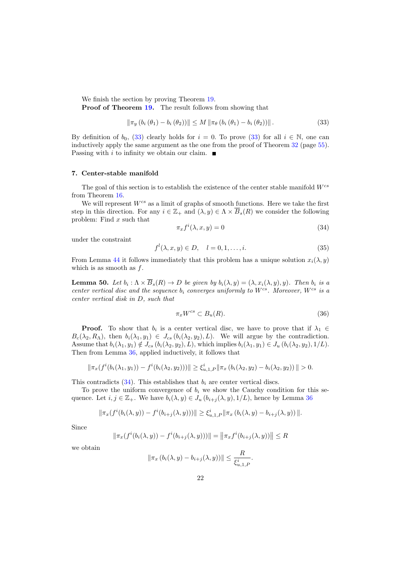We finish the section by proving Theorem [19.](#page-9-0) Proof of Theorem [19.](#page-9-0) The result follows from showing that

<span id="page-21-1"></span>
$$
\|\pi_y(b_i(\theta_1) - b_i(\theta_2))\| \le M \|\pi_\theta(b_i(\theta_1) - b_i(\theta_2))\|.
$$
\n(33)

By definition of  $b_0$ , [\(33\)](#page-21-1) clearly holds for  $i = 0$ . To prove (33) for all  $i \in \mathbb{N}$ , one can inductively apply the same argument as the one from the proof of Theorem [32](#page-14-3) (page [55\)](#page-54-0). Passing with i to infinity we obtain our claim.  $\blacksquare$ 

### <span id="page-21-0"></span>7. Center-stable manifold

The goal of this section is to establish the existence of the center stable manifold  $W^{cs}$ from Theorem [16.](#page-8-0)

We will represent  $W^{cs}$  as a limit of graphs of smooth functions. Here we take the first step in this direction. For any  $i \in \mathbb{Z}_+$  and  $(\lambda, y) \in \Lambda \times \overline{B}_s(R)$  we consider the following problem: Find  $x$  such that

<span id="page-21-2"></span>
$$
\pi_x f^i(\lambda, x, y) = 0 \tag{34}
$$

under the constraint

$$
f^{l}(\lambda, x, y) \in D, \quad l = 0, 1, \dots, i.
$$
\n
$$
(35)
$$

From Lemma [44](#page-17-0) it follows immediately that this problem has a unique solution  $x_i(\lambda, y)$ which is as smooth as  $f$ .

<span id="page-21-4"></span>**Lemma 50.** Let  $b_i : \Lambda \times B_s(R) \to D$  be given by  $b_i(\lambda, y) = (\lambda, x_i(\lambda, y), y)$ . Then  $b_i$  is a center vertical disc and the sequence  $b_i$  converges uniformly to  $W^{cs}$ . Moreover,  $W^{cs}$  is a center vertical disk in D, such that

<span id="page-21-3"></span>
$$
\pi_x W^{cs} \subset B_u(R). \tag{36}
$$

**Proof.** To show that  $b_i$  is a center vertical disc, we have to prove that if  $\lambda_1 \in$  $B_c(\lambda_2, R_\Lambda)$ , then  $b_i(\lambda_1, y_1) \in J_{cs}(b_i(\lambda_2, y_2), L)$ . We will argue by the contradiction. Assume that  $b_i(\lambda_1, y_1) \notin J_{cs}$   $(b_i(\lambda_2, y_2), L)$ , which implies  $b_i(\lambda_1, y_1) \in J_u$   $(b_i(\lambda_2, y_2), 1/L)$ . Then from Lemma [36,](#page-16-1) applied inductively, it follows that

$$
\|\pi_x(f^i(b_i(\lambda_1,y_1)) - f^i(b_i(\lambda_2,y_2)))\| \ge \xi_{u,1,P}^i \|\pi_x(b_i(\lambda_2,y_2) - b_i(\lambda_2,y_2))\| > 0.
$$

This contradicts  $(34)$ . This establishes that  $b_i$  are center vertical discs.

To prove the uniform convergence of  $b_i$  we show the Cauchy condition for this sequence. Let  $i, j \in \mathbb{Z}_+$ . We have  $b_i(\lambda, y) \in J_u(b_{i+j}(\lambda, y), 1/L)$ , hence by Lemma [36](#page-16-1)

$$
\|\pi_x(f^{i}(b_i(\lambda, y)) - f^{i}(b_{i+j}(\lambda, y)))\| \ge \xi_{u,1,P}^i \|\pi_x(b_i(\lambda, y) - b_{i+j}(\lambda, y))\|.
$$

Since

$$
\|\pi_x(f^i(b_i(\lambda, y)) - f^i(b_{i+j}(\lambda, y)))\| = \|\pi_x f^i(b_{i+j}(\lambda, y))\| \le R
$$

we obtain

$$
\|\pi_x(b_i(\lambda, y) - b_{i+j}(\lambda, y))\| \le \frac{R}{\xi_{u,1,P}^i}.
$$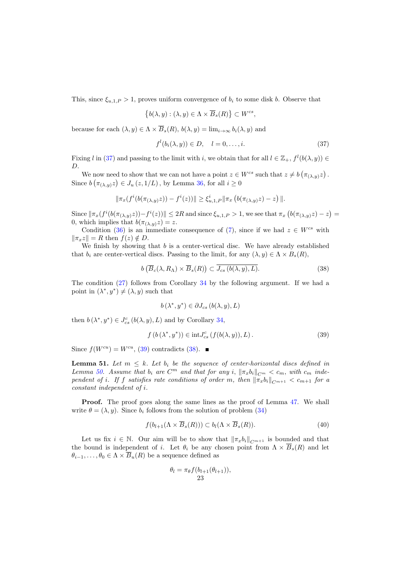This, since  $\xi_{u,1,P} > 1$ , proves uniform convergence of  $b_i$  to some disk b. Observe that

$$
\left\{b(\lambda, y) : (\lambda, y) \in \Lambda \times \overline{B}_s(R)\right\} \subset W^{cs},
$$

because for each  $(\lambda, y) \in \Lambda \times \overline{B}_s(R)$ ,  $b(\lambda, y) = \lim_{i \to \infty} b_i(\lambda, y)$  and

<span id="page-22-0"></span>
$$
f^{l}(b_i(\lambda, y)) \in D, \quad l = 0, \dots, i. \tag{37}
$$

Fixing l in [\(37\)](#page-22-0) and passing to the limit with i, we obtain that for all  $l \in \mathbb{Z}_+$ ,  $f^l(b(\lambda, y)) \in$ D.

We now need to show that we can not have a point  $z \in W^{cs}$  such that  $z \neq b \left( \pi_{(\lambda,y)} z \right)$ . Since  $b\left(\pi_{(\lambda,y)}z\right) \in J_u(z,1/L)$ , by Lemma [36,](#page-16-1) for all  $i \geq 0$ 

$$
\|\pi_x(f^i(b(\pi_{(\lambda,y)}z)) - f^i(z))\| \geq \xi^i_{u,1,P} \|\pi_x(b(\pi_{(\lambda,y)}z) - z)\|.
$$

Since  $\|\pi_x(f^i(b(\pi_{(\lambda,y)}z))-f^i(z))\|\leq 2R$  and since  $\xi_{u,1,P}>1$ , we see that  $\pi_x(b(\pi_{(\lambda,y)}z)-z)=$ 0, which implies that  $b(\pi_{(\lambda,y)}z) = z$ .

Condition [\(36\)](#page-21-3) is an immediate consequence of [\(7\)](#page-8-1), since if we had  $z \in W^{cs}$  with  $\|\pi_x z\| = R$  then  $f(z) \notin D$ .

We finish by showing that  $b$  is a center-vertical disc. We have already established that  $b_i$  are center-vertical discs. Passing to the limit, for any  $(\lambda, y) \in \Lambda \times B_s(R)$ ,

$$
b\left(\overline{B}_c(\lambda, R_\Lambda) \times \overline{B}_s(R)\right) \subset \overline{J_{cs}\left(b(\lambda, y), L\right)}.
$$
\n(38)

The condition [\(27\)](#page-17-3) follows from Corollary [34](#page-16-0) by the following argument. If we had a point in  $(\lambda^*, y^*) \neq (\lambda, y)$  such that

<span id="page-22-2"></span><span id="page-22-1"></span>
$$
b(\lambda^*, y^*) \in \partial J_{cs} (b(\lambda, y), L)
$$

then  $b(\lambda^*, y^*) \in J_{cs}^c(b(\lambda, y), L)$  and by Corollary [34,](#page-16-0)

$$
f(b(\lambda^*, y^*)) \in \text{int} J_{cs}^c(f(b(\lambda, y)), L). \tag{39}
$$

<span id="page-22-4"></span>Since  $f(W^{cu}) = W^{cu},$  [\(39\)](#page-22-1) contradicts [\(38\)](#page-22-2).

**Lemma 51.** Let  $m \leq k$ . Let  $b_i$  be the sequence of center-horizontal discs defined in Lemma [50.](#page-21-4) Assume that  $b_i$  are  $C^m$  and that for any i,  $\|\pi_x b_i\|_{C^m} < c_m$ , with  $c_m$  independent of i. If f satisfies rate conditions of order m, then  $\|\pi_x b_i\|_{C^{m+1}} < c_{m+1}$  for a constant independent of i.

**Proof.** The proof goes along the same lines as the proof of Lemma [47.](#page-19-1) We shall write  $\theta = (\lambda, y)$ . Since b<sub>i</sub> follows from the solution of problem [\(34\)](#page-21-2)

$$
f(b_{l+1}(\Lambda \times \overline{B}_s(R))) \subset b_l(\Lambda \times \overline{B}_s(R)).
$$
\n(40)

Let us fix  $i \in \mathbb{N}$ . Our aim will be to show that  $\|\pi_x b_i\|_{C^{m+1}}$  is bounded and that the bound is independent of i. Let  $\theta_i$  be any chosen point from  $\Lambda \times \overline{B}_s(R)$  and let  $\theta_{i-1}, \ldots, \theta_0 \in \Lambda \times \overline{B}_u(R)$  be a sequence defined as

<span id="page-22-3"></span>
$$
\theta_l = \pi_{\theta} f(b_{l+1}(\theta_{l+1})),
$$
  
23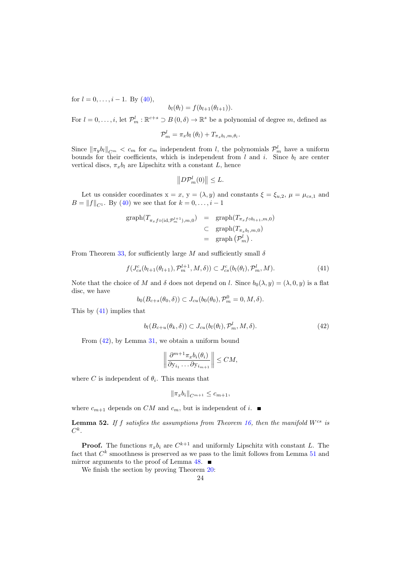for  $l = 0, \ldots, i - 1$ . By  $(40)$ ,

$$
b_l(\theta_l) = f(b_{l+1}(\theta_{l+1})).
$$

For  $l = 0, \ldots, i$ , let  $\mathcal{P}_m^l : \mathbb{R}^{c+s} \supset B(0,\delta) \to \mathbb{R}^s$  be a polynomial of degree m, defined as

$$
\mathcal{P}_m^l = \pi_x b_l \left( \theta_l \right) + T_{\pi_x b_l, m, \theta_l}.
$$

Since  $\|\pi_y b_l\|_{C^m} < c_m$  for  $c_m$  independent from l, the polynomials  $\mathcal{P}_m^l$  have a uniform bounds for their coefficients, which is independent from  $l$  and  $i$ . Since  $b_l$  are center vertical discs,  $\pi_x b_l$  are Lipschitz with a constant L, hence

<span id="page-23-1"></span>
$$
||D\mathcal{P}_m^l(0)|| \leq L.
$$

Let us consider coordinates  $x = x$ ,  $y = (\lambda, y)$  and constants  $\xi = \xi_{u,2}$ ,  $\mu = \mu_{cs,1}$  and  $B = ||f||_{C_1}$ . By [\(40\)](#page-22-3) we see that for  $k = 0, \ldots, i - 1$ 

$$
\begin{array}{rcl}\n\text{graph}(T_{\pi_x f \circ (\text{id}, \mathcal{P}_m^{l+1}), m, 0}) & = & \text{graph}(T_{\pi_x f \circ b_{l+1}, m, 0}) \\
& \subset & \text{graph}(T_{\pi_x b_l, m, 0}) \\
& = & \text{graph}(\mathcal{P}_m^l)\n\end{array}
$$

From Theorem [33,](#page-15-0) for sufficiently large M and sufficiently small  $\delta$ 

$$
f(J_{cs}^{c}(b_{l+1}(\theta_{l+1}), \mathcal{P}_m^{l+1}, M, \delta)) \subset J_{cs}^{c}(b_l(\theta_l), \mathcal{P}_m^l, M). \tag{41}
$$

Note that the choice of M and  $\delta$  does not depend on l. Since  $b_0(\lambda, y) = (\lambda, 0, y)$  is a flat disc, we have

<span id="page-23-2"></span>
$$
b_0(B_{c+s}(\theta_0,\delta)) \subset J_{cu}(b_0(\theta_0), \mathcal{P}_m^0 = 0, M, \delta).
$$

This by [\(41\)](#page-23-1) implies that

$$
b_l(B_{c+u}(\theta_k,\delta)) \subset J_{cu}(b_l(\theta_l), \mathcal{P}_m^l, M, \delta).
$$
\n(42)

From [\(42\)](#page-23-2), by Lemma [31,](#page-14-1) we obtain a uniform bound

$$
\left\|\frac{\partial^{m+1}\pi_x b_i(\theta_i)}{\partial y_{i_1}\dots\partial y_{i_{m+1}}}\right\| \le CM,
$$

where C is independent of  $\theta_i$ . This means that

$$
\|\pi_x b_i\|_{C^{m+1}} \leq c_{m+1},
$$

<span id="page-23-0"></span>where  $c_{m+1}$  depends on CM and  $c_m$ , but is independent of i.

**Lemma 52.** If f satisfies the assumptions from Theorem [16,](#page-8-0) then the manifold  $W^{cs}$  is  $C^k.$ 

**Proof.** The functions  $\pi_x b_i$  are  $C^{k+1}$  and uniformly Lipschitz with constant L. The fact that  $C^k$  smoothness is preserved as we pass to the limit follows from Lemma [51](#page-22-4) and mirror arguments to the proof of Lemma  $48.$ 

We finish the section by proving Theorem [20:](#page-10-2)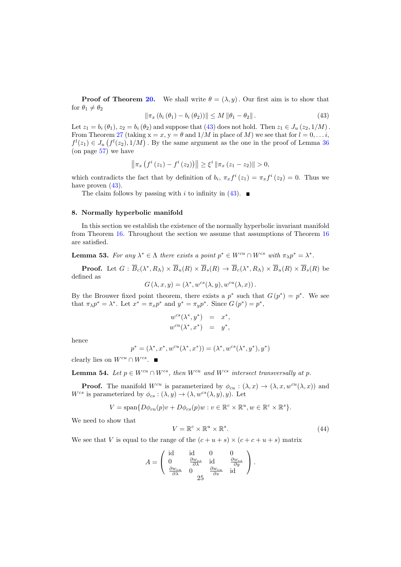<span id="page-24-1"></span>**Proof of Theorem [20.](#page-10-2)** We shall write  $\theta = (\lambda, y)$ . Our first aim is to show that for  $\theta_1 \neq \theta_2$ 

$$
\|\pi_x(b_i(\theta_1) - b_i(\theta_2))\| \le M \|\theta_1 - \theta_2\|.
$$
 (43)

Let  $z_1 = b_i (\theta_1)$ ,  $z_2 = b_i (\theta_2)$  and suppose that [\(43\)](#page-24-1) does not hold. Then  $z_1 \in J_u(z_2, 1/M)$ . From Theorem [27](#page-13-0) (taking  $x = x$ ,  $y = \theta$  and  $1/M$  in place of M) we see that for  $l = 0, \ldots i$ ,  $f^l(z_1) \in J_u(f^l(z_2), 1/M)$ . By the same argument as the one in the proof of Lemma [36](#page-16-1) (on page [57\)](#page-56-0) we have

$$
\left\|\pi_{x}\left(f^{i}\left(z_{1}\right)-f^{i}\left(z_{2}\right)\right)\right\| \geq \xi^{i}\left\|\pi_{x}\left(z_{1}-z_{2}\right)\right\| > 0,
$$

which contradicts the fact that by definition of  $b_i$ ,  $\pi_x f^i(z_1) = \pi_x f^i(z_2) = 0$ . Thus we have proven  $(43)$ .

The claim follows by passing with i to infinity in [\(43\)](#page-24-1).  $\blacksquare$ 

#### <span id="page-24-0"></span>8. Normally hyperbolic manifold

In this section we establish the existence of the normally hyperbolic invariant manifold from Theorem [16.](#page-8-0) Throughout the section we assume that assumptions of Theorem [16](#page-8-0) are satisfied.

<span id="page-24-3"></span>**Lemma 53.** For any  $\lambda^* \in \Lambda$  there exists a point  $p^* \in W^{cu} \cap W^{cs}$  with  $\pi_{\lambda} p^* = \lambda^*$ .

**Proof.** Let  $G : \overline{B}_c(\lambda^*, R_\Lambda) \times \overline{B}_u(R) \times \overline{B}_s(R) \to \overline{B}_c(\lambda^*, R_\Lambda) \times \overline{B}_u(R) \times \overline{B}_s(R)$  be defined as

$$
G(\lambda, x, y) = (\lambda^*, w^{cs}(\lambda, y), w^{cu}(\lambda, x)).
$$

By the Brouwer fixed point theorem, there exists a  $p^*$  such that  $G(p^*) = p^*$ . We see that  $\pi_{\lambda} p^* = \lambda^*$ . Let  $x^* = \pi_x p^*$  and  $y^* = \pi_y p^*$ . Since  $G(p^*) = p^*$ ,

$$
w^{cs}(\lambda^*, y^*) = x^*,
$$
  

$$
w^{cu}(\lambda^*, x^*) = y^*,
$$

hence

$$
p^* = (\lambda^*, x^*, w^{cu}(\lambda^*, x^*)) = (\lambda^*, w^{cs}(\lambda^*, y^*), y^*)
$$

clearly lies on  $W^{cu} \cap W^{cs}$ .

<span id="page-24-4"></span>**Lemma 54.** Let  $p \in W^{cu} \cap W^{cs}$ , then  $W^{cu}$  and  $W^{cs}$  intersect transversally at p.

**Proof.** The manifold  $W^{cu}$  is parameterized by  $\phi_{cu} : (\lambda, x) \to (\lambda, x, w^{cu}(\lambda, x))$  and  $W^{cs}$  is parameterized by  $\phi_{cs} : (\lambda, y) \to (\lambda, w^{cs}(\lambda, y), y)$ . Let

<span id="page-24-2"></span>
$$
V = \text{span}\{D\phi_{cu}(p)v + D\phi_{cs}(p)w : v \in \mathbb{R}^c \times \mathbb{R}^u, w \in \mathbb{R}^c \times \mathbb{R}^s\}.
$$

We need to show that

$$
V = \mathbb{R}^c \times \mathbb{R}^u \times \mathbb{R}^s. \tag{44}
$$

We see that V is equal to the range of the  $(c + u + s) \times (c + c + u + s)$  matrix

$$
A = \begin{pmatrix} \mathrm{id} & \mathrm{id} & 0 & 0 \\ 0 & \frac{\partial w_{cs}}{\partial \lambda} & \mathrm{id} & \frac{\partial w_{cs}}{\partial y} \\ \frac{\partial w_{cu}}{\partial \lambda} & 0 & \frac{\partial w_{cu}}{\partial x} & \mathrm{id} \end{pmatrix}.
$$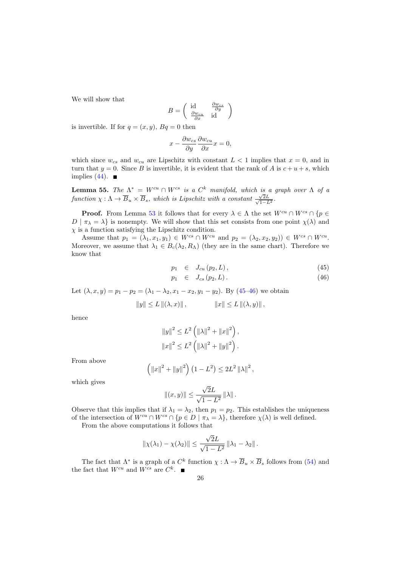We will show that

$$
B = \begin{pmatrix} \operatorname{id} & \frac{\partial w_{cs}}{\partial y} \\ \frac{\partial w_{cu}}{\partial x} & \operatorname{id} \end{pmatrix}
$$

is invertible. If for  $q = (x, y)$ ,  $Bq = 0$  then

$$
x - \frac{\partial w_{cs}}{\partial y} \frac{\partial w_{cu}}{\partial x} x = 0,
$$

which since  $w_{cs}$  and  $w_{cu}$  are Lipschitz with constant  $L < 1$  implies that  $x = 0$ , and in turn that  $y = 0$ . Since B is invertible, it is evident that the rank of A is  $c + u + s$ , which implies  $(44)$ .

**Lemma 55.** The  $\Lambda^* = W^{cu} \cap W^{cs}$  is a  $C^k$  manifold, which is a graph over  $\Lambda$  of a function  $\chi : \Lambda \to \overline{B}_u \times \overline{B}_s$ , which is Lipschitz with a constant  $\frac{\sqrt{2L}}{\sqrt{1-L}}$  $\frac{\sqrt{2L}}{1-L^2}$ .

**Proof.** From Lemma [53](#page-24-3) it follows that for every  $\lambda \in \Lambda$  the set  $W^{cu} \cap W^{cs} \cap \{p \in \Lambda\}$  $D | \pi_{\lambda} = \lambda$  is nonempty. We will show that this set consists from one point  $\chi(\lambda)$  and  $\chi$  is a function satisfying the Lipschitz condition.

Assume that  $p_1 = (\lambda_1, x_1, y_1) \in W^{cs} \cap W^{cu}$  and  $p_2 = (\lambda_2, x_2, y_2) \in W^{cs} \cap W^{cu}$ . Moreover, we assume that  $\lambda_1 \in B_c(\lambda_2, R_\Lambda)$  (they are in the same chart). Therefore we know that

<span id="page-25-0"></span>
$$
p_1 \quad \in \quad J_{cu}\left(p_2, L\right),\tag{45}
$$

$$
p_1 \quad \in \quad J_{cs}(p_2, L) \,. \tag{46}
$$

Let  $(\lambda, x, y) = p_1 - p_2 = (\lambda_1 - \lambda_2, x_1 - x_2, y_1 - y_2)$ . By  $(45-46)$  we obtain

$$
||y|| \le L ||(\lambda, x)||
$$
,  $||x|| \le L ||(\lambda, y)||$ ,

hence

$$
||y||^{2} \leq L^{2} (||\lambda||^{2} + ||x||^{2}),
$$
  

$$
||x||^{2} \leq L^{2} (||\lambda||^{2} + ||y||^{2}).
$$

From above

$$
\left(\|x\|^2 + \|y\|^2\right) \left(1 - L^2\right) \le 2L^2 \left\|\lambda\right\|^2,
$$

which gives

$$
||(x,y)|| \leq \frac{\sqrt{2}L}{\sqrt{1-L^2}} ||\lambda||.
$$

Observe that this implies that if  $\lambda_1 = \lambda_2$ , then  $p_1 = p_2$ . This establishes the uniqueness of the intersection of  $W^{cu} \cap W^{cs} \cap {\{p \in D \mid \pi_{\lambda} = \lambda\}}$ , therefore  $\chi(\lambda)$  is well defined.

From the above computations it follows that

$$
\|\chi(\lambda_1) - \chi(\lambda_2)\| \le \frac{\sqrt{2}L}{\sqrt{1 - L^2}} \|\lambda_1 - \lambda_2\|.
$$

The fact that  $\Lambda^*$  is a graph of a  $C^k$  function  $\chi : \Lambda \to \overline{B}_u \times \overline{B}_s$  follows from [\(54\)](#page-24-4) and the fact that  $W^{cu}$  and  $W^{cs}$  are  $C^k$ .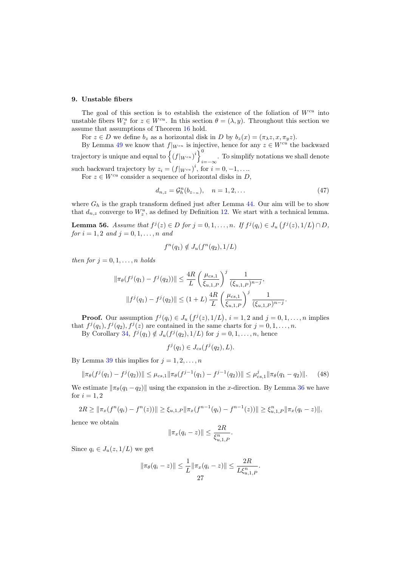# <span id="page-26-2"></span>9. Unstable fibers

The goal of this section is to establish the existence of the foliation of  $W^{cu}$  into unstable fibers  $W_z^u$  for  $z \in W^{cu}$ . In this section  $\theta = (\lambda, y)$ . Throughout this section we assume that assumptions of Theorem [16](#page-8-0) hold.

For  $z \in D$  we define  $b_z$  as a horizontal disk in D by  $b_z(x) = (\pi_\lambda z, x, \pi_y z)$ .

By Lemma [49](#page-20-2) we know that  $f|_{W^{cu}}$  is injective, hence for any  $z \in W^{cu}$  the backward trajectory is unique and equal to  $\left\{ (f|_{W^{cu}})^i \right\}$ . To simplify notations we shall denote  $i=-\infty$ . such backward trajectory by  $z_i = (f|_{W^{cu}})^i$ , for  $i = 0, -1, \ldots$ 

For  $z \in W^{cu}$  consider a sequence of horizontal disks in D,

$$
d_{n,z} = \mathcal{G}_h^n(b_{z_{-n}}), \quad n = 1, 2, \dots \tag{47}
$$

where  $G_h$  is the graph transform defined just after Lemma [44.](#page-17-0) Our aim will be to show that  $d_{n,z}$  converge to  $W_z^u$ , as defined by Definition [12.](#page-7-1) We start with a technical lemma.

<span id="page-26-1"></span>**Lemma 56.** Assume that  $f^j(z) \in D$  for  $j = 0, 1, ..., n$ . If  $f^j(q_i) \in J_u(f^j(z), 1/L) \cap D$ , for  $i = 1, 2$  and  $j = 0, 1, ..., n$  and

$$
f^n(q_1) \notin J_u(f^n(q_2), 1/L)
$$

then for  $j = 0, 1, \ldots, n$  holds

$$
\|\pi_{\theta}(f^{j}(q_{1}) - f^{j}(q_{2}))\| \leq \frac{4R}{L} \left(\frac{\mu_{cs,1}}{\xi_{u,1,P}}\right)^{j} \frac{1}{(\xi_{u,1,P})^{n-j}},
$$

$$
\|f^{j}(q_{1}) - f^{j}(q_{2})\| \leq (1+L) \frac{4R}{L} \left(\frac{\mu_{cs,1}}{\xi_{u,1,P}}\right)^{j} \frac{1}{(\xi_{u,1,P})^{n-j}}.
$$

**Proof.** Our assumption  $f^j(q_i) \in J_u(f^j(z), 1/L)$ ,  $i = 1, 2$  and  $j = 0, 1, \ldots, n$  implies that  $f^j(q_1), f^j(q_2), f^j(z)$  are contained in the same charts for  $j = 0, 1, \ldots, n$ .

By Corollary [34,](#page-16-0)  $f^j(q_1) \notin J_u(f^j(q_2), 1/L)$  for  $j = 0, 1, \ldots, n$ , hence

<span id="page-26-0"></span>
$$
f^j(q_1) \in J_{cs}(f^j(q_2), L).
$$

By Lemma [39](#page-16-4) this implies for  $j = 1, 2, \ldots, n$ 

$$
\|\pi_{\theta}(f^{j}(q_1) - f^{j}(q_2))\| \leq \mu_{cs,1} \|\pi_{\theta}(f^{j-1}(q_1) - f^{j-1}(q_2))\| \leq \mu_{cs,1}^{j} \|\pi_{\theta}(q_1 - q_2)\|.
$$
 (48)

We estimate  $\|\pi_{\theta}(q_1 - q_2)\|$  using the expansion in the x-direction. By Lemma [36](#page-16-1) we have for  $i = 1, 2$ 

$$
2R \geq \|\pi_x(f^n(q_i) - f^n(z))\| \geq \xi_{u,1,P} \|\pi_x(f^{n-1}(q_i) - f^{n-1}(z))\| \geq \xi_{u,1,P}^n \|\pi_x(q_i - z)\|,
$$

hence we obtain

$$
\|\pi_x(q_i - z)\| \le \frac{2R}{\xi_{u,1,P}^n}.
$$

Since  $q_i \in J_u(z, 1/L)$  we get

$$
\|\pi_{\theta}(q_i - z)\| \leq \frac{1}{L} \|\pi_x(q_i - z)\| \leq \frac{2R}{L\xi_{u,1,P}^n}.
$$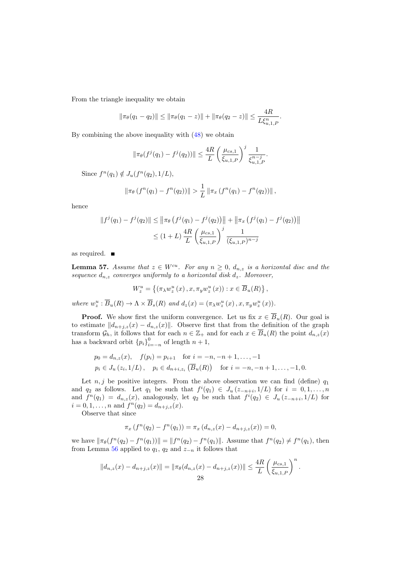From the triangle inequality we obtain

$$
\|\pi_{\theta}(q_1 - q_2)\| \le \|\pi_{\theta}(q_1 - z)\| + \|\pi_{\theta}(q_2 - z)\| \le \frac{4R}{L\xi_{u,1,P}^n}.
$$

By combining the above inequality with [\(48\)](#page-26-0) we obtain

$$
\|\pi_{\theta}(f^{j}(q_1)-f^{j}(q_2))\| \leq \frac{4R}{L} \left(\frac{\mu_{cs,1}}{\xi_{u,1,P}}\right)^{j} \frac{1}{\xi_{u,1,P}^{n-j}}.
$$

Since  $f^{n}(q_{1}) \notin J_{u}(f^{n}(q_{2}), 1/L),$ 

$$
\|\pi_{\theta}\left(f^{n}(q_{1})-f^{n}(q_{2})\right)\|>\frac{1}{L}\|\pi_{x}\left(f^{n}(q_{1})-f^{n}(q_{2})\right)\|,
$$

hence

$$
||f^{j}(q_{1}) - f^{j}(q_{2})|| \le ||\pi_{\theta} (f^{j}(q_{1}) - f^{j}(q_{2}))|| + ||\pi_{x} (f^{j}(q_{1}) - f^{j}(q_{2}))||
$$
  

$$
\le (1 + L) \frac{4R}{L} \left(\frac{\mu_{cs,1}}{\xi_{u,1,P}}\right)^{j} \frac{1}{(\xi_{u,1,P})^{n-j}}
$$

as required.

<span id="page-27-0"></span>**Lemma 57.** Assume that  $z \in W^{cu}$ . For any  $n \geq 0$ ,  $d_{n,z}$  is a horizontal disc and the sequence  $d_{n,z}$  converges uniformly to a horizontal disk  $d_z$ . Moreover,

$$
W_z^u = \left\{ (\pi_\lambda w_z^u(x), x, \pi_y w_z^u(x)) : x \in \overline{B}_u(R) \right\},\,
$$

where  $w_z^u : \overline{B}_u(R) \to \Lambda \times \overline{B}_s(R)$  and  $d_z(x) = (\pi_\lambda w_z^u(x), x, \pi_y w_z^u(x)).$ 

**Proof.** We show first the uniform convergence. Let us fix  $x \in \overline{B}_u(R)$ . Our goal is to estimate  $||d_{n+j,z}(x) - d_{n,z}(x)||$ . Observe first that from the definition of the graph transform  $\mathcal{G}_h$ , it follows that for each  $n \in \mathbb{Z}_+$  and for each  $x \in \overline{B}_u(R)$  the point  $d_{n,z}(x)$ has a backward orbit  ${p_i}_{i=-n}^0$  of length  $n+1$ ,

$$
p_0 = d_{n,z}(x), \quad f(p_i) = p_{i+1} \quad \text{for } i = -n, -n+1, \dots, -1
$$
  
\n
$$
p_i \in J_u(z_i, 1/L), \quad p_i \in d_{n+i,z_i}(\overline{B}_u(R)) \quad \text{for } i = -n, -n+1, \dots, -1, 0.
$$

Let  $n, j$  be positive integers. From the above observation we can find (define)  $q_1$ and  $q_2$  as follows. Let  $q_1$  be such that  $f^i(q_1) \in J_u(z_{-n+i}, 1/L)$  for  $i = 0, 1, ..., n$ and  $f^{n}(q_1) = d_{n,z}(x)$ , analogously, let  $q_2$  be such that  $f^{i}(q_2) \in J_u(z_{-n+i}, 1/L)$  for  $i = 0, 1, \ldots, n$  and  $f^{(n)}(q_2) = d_{n+j,z}(x)$ .

Observe that since

$$
\pi_x(f^n(q_2) - f^n(q_1)) = \pi_x(d_{n,z}(x) - d_{n+j,z}(x)) = 0,
$$

we have  $\|\pi_{\theta}(f^{n}(q_2) - f^{n}(q_1))\| = \|f^{n}(q_2) - f^{n}(q_1)\|$ . Assume that  $f^{n}(q_2) \neq f^{n}(q_1)$ , then from Lemma [56](#page-26-1) applied to  $q_1$ ,  $q_2$  and  $z_{-n}$  it follows that

$$
||d_{n,z}(x) - d_{n+j,z}(x)|| = ||\pi_{\theta}(d_{n,z}(x) - d_{n+j,z}(x))|| \leq \frac{4R}{L} \left(\frac{\mu_{cs,1}}{\xi_{u,1,P}}\right)^n.
$$
  
28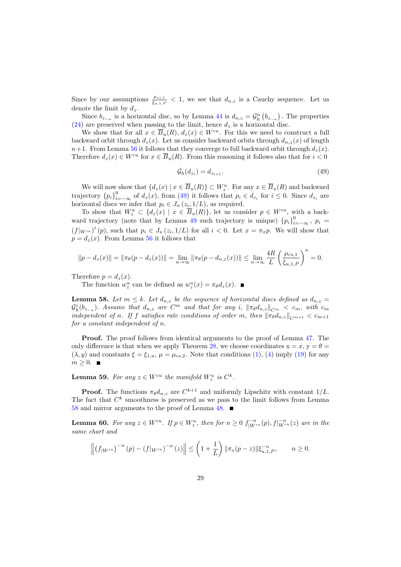Since by our assumptions  $\frac{\mu_{cs,1}}{\xi_{u,1,P}} < 1$ , we see that  $d_{n,z}$  is a Cauchy sequence. Let us denote the limit by  $d_z$ .

Since  $b_{z_{-n}}$  is a horizontal disc, so by Lemma [44](#page-17-0) is  $d_{n,z} = \mathcal{G}_h^n(b_{z_{-n}})$ . The properties [\(24\)](#page-17-4) are preserved when passing to the limit, hence  $d_z$  is a horizontal disc.

We show that for all  $x \in \overline{B}_u(R)$ ,  $d_z(x) \in W^{cu}$ . For this we need to construct a full backward orbit through  $d_z(x)$ . Let us consider backward orbits through  $d_{n,z}(x)$  of length  $n+1$ . From Lemma [56](#page-26-1) it follows that they converge to full backward orbit through  $d_z(x)$ . Therefore  $d_z(x) \in W^{cu}$  for  $x \in \overline{B}_u(R)$ . From this reasoning it follows also that for  $i < 0$ 

<span id="page-28-1"></span>
$$
\mathcal{G}_h(d_{z_i}) = d_{z_{i+1}}.\tag{49}
$$

We will now show that  $\{d_z(x) \mid x \in \overline{B}_u(R)\} \subset W_z^u$ . For any  $x \in \overline{B}_u(R)$  and backward trajectory  ${p_i}_{i=-\infty}^0$  of  $d_z(x)$ , from [\(49\)](#page-28-1) it follows that  $p_i \in d_{z_i}$  for  $i \leq 0$ . Since  $d_{z_i}$  are horizontal discs we infer that  $p_i \in J_u(z_i, 1/L)$ , as required.

To show that  $W_z^u \subset \{d_z(x) \mid x \in \overline{B}_u(R)\}\,$  let us consider  $p \in W^{cu}$ , with a back-ward trajectory (note that by Lemma [49](#page-20-2) such trajectory is unique)  ${p_i}_{i=-\infty}^0$ ,  $p_i =$  $(f|_{W^{cu}})^i(p)$ , such that  $p_i \in J_u(z_i, 1/L)$  for all  $i < 0$ . Let  $x = \pi_x p$ . We will show that  $p = d_z(x)$ . From Lemma [56](#page-26-1) it follows that

$$
||p - d_z(x)|| = ||\pi_\theta(p - d_z(x))|| = \lim_{n \to \infty} ||\pi_\theta(p - d_{n,z}(x))|| \le \lim_{n \to \infty} \frac{4R}{L} \left(\frac{\mu_{cs,1}}{\xi_{u,1,P}}\right)^n = 0.
$$

Therefore  $p = d_z(x)$ .

The function  $w_z^u$  can be defined as  $w_z^u(x) = \pi_\theta d_z(x)$ .

<span id="page-28-2"></span>**Lemma 58.** Let  $m \leq k$ . Let  $d_{n,z}$  be the sequence of horizontal discs defined as  $d_{n,z}$  =  $\mathcal{G}_h^i(b_{z_{-n}})$ . Assume that  $d_{n,z}$  are  $C^m$  and that for any i,  $\|\pi_\theta d_{n,z}\|_{C^m} < c_m$ , with  $c_m$ independent of n. If f satisfies rate conditions of order m, then  $\|\pi_\theta d_{n,z}\|_{C^{m+1}} < c_{m+1}$ for a constant independent of n.

Proof. The proof follows from identical arguments to the proof of Lemma [47.](#page-19-1) The only difference is that when we apply Theorem [28,](#page-13-1) we choose coordinates  $x = x$ ,  $y = \theta =$  $(\lambda, y)$  and constants  $\xi = \xi_{1,u}, \mu = \mu_{cs,2}$ . Note that conditions [\(1\)](#page-5-0), [\(4\)](#page-5-3) imply [\(19\)](#page-13-3) for any  $m \geq 0$ .

<span id="page-28-0"></span>**Lemma 59.** For any  $z \in W^{cu}$  the manifold  $W_z^u$  is  $C^k$ .

**Proof.** The functions  $\pi_{\theta}d_{n,z}$  are  $C^{k+1}$  and uniformly Lipschitz with constant  $1/L$ . The fact that  $C^k$  smoothness is preserved as we pass to the limit follows from Lemma [58](#page-28-2) and mirror arguments to the proof of Lemma [48.](#page-20-0)

<span id="page-28-3"></span>**Lemma 60.** For any  $z \in W^{cu}$ . If  $p \in W_z^u$ , then for  $n \geq 0$   $f_{|W^{cu}}^{-n}(p)$ ,  $f|_{W^{cu}}^{-n}(z)$  are in the same chart and

$$
\left\| \left( f_{|W^{cu}} \right)^{-n} (p) - \left( f|_{W^{cu}} \right)^{-n} (z) \right\| \leq \left( 1 + \frac{1}{L} \right) \|\pi_x(p-z)\| \xi_{u,1,P}^{-n}, \qquad n \geq 0.
$$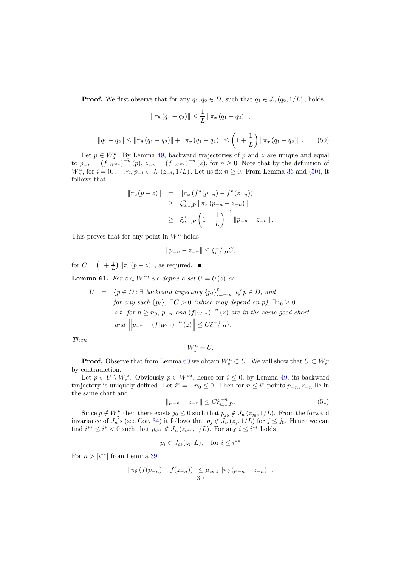**Proof.** We first observe that for any  $q_1, q_2 \in D$ , such that  $q_1 \in J_u(q_2, 1/L)$ , holds

$$
\|\pi_{\theta}(q_1 - q_2)\| \leq \frac{1}{L} \|\pi_x(q_1 - q_2)\|,
$$

<span id="page-29-0"></span>
$$
||q_1 - q_2|| \le ||\pi_\theta (q_1 - q_2)|| + ||\pi_x (q_1 - q_2)|| \le \left(1 + \frac{1}{L}\right) ||\pi_x (q_1 - q_2)||. \tag{50}
$$

Let  $p \in W_z^u$ . By Lemma [49,](#page-20-2) backward trajectories of p and z are unique and equal to  $p_{-n} = (f|_{W^{cu}})^{-n}(p), z_{-n} = (f|_{W^{cu}})^{-n}(z),$  for  $n \ge 0$ . Note that by the definition of  $W_z^u$ , for  $i = 0, \ldots, n$ ,  $p_{-i} \in J_u(z_{-i}, 1/L)$ . Let us fix  $n \ge 0$ . From Lemma [36](#page-16-1) and [\(50\)](#page-29-0), it follows that

$$
\|\pi_x(p-z)\| = \|\pi_x(f^n(p_{-n}) - f^n(z_{-n}))\|
$$
  
\n
$$
\geq \xi_{u,1,P}^n \|\pi_x(p_{-n} - z_{-n})\|
$$
  
\n
$$
\geq \xi_{u,1,P}^n \left(1 + \frac{1}{L}\right)^{-1} \|p_{-n} - z_{-n}\|.
$$

This proves that for any point in  $W_z^u$  holds

$$
||p_{-n} - z_{-n}|| \le \xi_{u,1,P}^{-n} C,
$$

for  $C = \left(1 + \frac{1}{L}\right) \|\pi_x(p - z)\|$ , as required.

<span id="page-29-2"></span>**Lemma 61.** For  $z \in W^{cu}$  we define a set  $U = U(z)$  as

$$
U = \{p \in D : \exists \text{ backward trajectory } \{p_i\}_{i=-\infty}^0 \text{ of } p \in D, \text{ and}
$$
  
for any such  $\{p_i\}, \exists C > 0 \text{ (which may depend on } p), \exists n_0 \ge 0$   
s.t. for  $n \ge n_0, p_{-n}$  and  $(f|_{W^{cu}})^{-n}(z)$  are in the same good chart  
and  $\left\|p_{-n} - (f|_{W^{cu}})^{-n}(z)\right\| \le C\xi_{u,1,P}^{-n}\}.$ 

Then

$$
W_z^u = U.
$$

**Proof.** Observe that from Lemma [60](#page-28-3) we obtain  $W_z^u \subset U$ . We will show that  $U \subset W_z^u$ by contradiction.

Let  $p \in U \setminus W_z^u$ . Obviously  $p \in W^{cu}$ , hence for  $i \leq 0$ , by Lemma [49,](#page-20-2) its backward trajectory is uniquely defined. Let  $i^* = -n_0 \leq 0$ . Then for  $n \leq i^*$  points  $p_{-n}, z_{-n}$  lie in the same chart and

<span id="page-29-1"></span>
$$
||p_{-n} - z_{-n}|| \le C \xi_{u,1,P}^{-n}.
$$
\n(51)

Since  $p \notin W_z^u$  then there exists  $j_0 \leq 0$  such that  $p_{j_0} \notin J_u(z_{j_0}, 1/L)$ . From the forward invariance of  $J_u$ 's (see Cor. [34\)](#page-16-0) it follows that  $p_j \notin J_u(z_j, 1/L)$  for  $j \leq j_0$ . Hence we can find  $i^{**} \leq i^* < 0$  such that  $p_{i^{**}} \notin J_u(z_{i^{**}}, 1/L)$ . For any  $i \leq i^{**}$  holds

$$
p_i \in J_{cs}(z_i, L), \quad \text{for } i \le i^{**}
$$

For  $n > |i^{**}|$  from Lemma [39](#page-16-4)

$$
\|\pi_{\theta}\left(f(p_{-n})-f(z_{-n})\right)\| \leq \mu_{cs,1} \|\pi_{\theta}\left(p_{-n}-z_{-n}\right)\|,
$$
  
30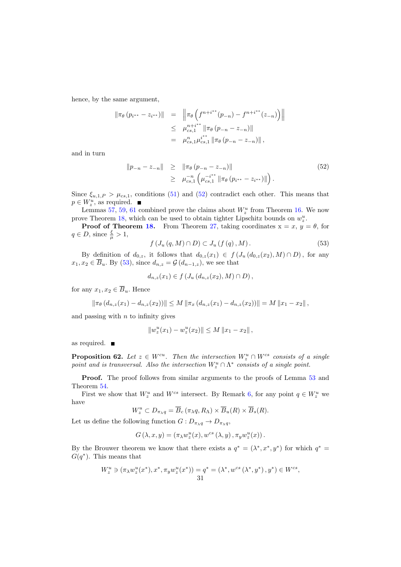hence, by the same argument,

$$
\|\pi_{\theta}(p_{i^{**}} - z_{i^{**}})\| = \|\pi_{\theta}\left(f^{n+i^{**}}(p_{-n}) - f^{n+i^{**}}(z_{-n})\right)\|
$$
  
\n
$$
\leq \mu_{cs,1}^{n+i^{**}} \|\pi_{\theta}(p_{-n} - z_{-n})\|
$$
  
\n
$$
= \mu_{cs,1}^n \mu_{cs,1}^{i^{**}} \|\pi_{\theta}(p_{-n} - z_{-n})\|,
$$

and in turn

<span id="page-30-0"></span>
$$
||p_{-n} - z_{-n}|| \ge ||\pi_{\theta} (p_{-n} - z_{-n})||
$$
  
\n
$$
\ge \mu_{cs,1}^{-n} \left( \mu_{cs,1}^{-i^{**}} ||\pi_{\theta} (p_{i^{**}} - z_{i^{**}})|| \right).
$$
 (52)

Since  $\xi_{u,1,P} > \mu_{cs,1}$ , conditions [\(51\)](#page-29-1) and [\(52\)](#page-30-0) contradict each other. This means that  $p \in W_z^u$ , as required.

Lemmas [57,](#page-27-0) [59,](#page-28-0) [61](#page-29-2) combined prove the claims about  $W_z^u$  from Theorem [16.](#page-8-0) We now prove Theorem [18,](#page-9-1) which can be used to obtain tighter Lipschitz bounds on  $w_z^u$ .

**Proof of Theorem [18.](#page-9-1)** From Theorem [27,](#page-13-0) taking coordinates  $x = x$ ,  $y = \theta$ , for  $q \in D$ , since  $\frac{\xi}{\mu} > 1$ ,

<span id="page-30-1"></span>
$$
f\left(J_u\left(q,M\right)\cap D\right)\subset J_u\left(f\left(q\right),M\right). \tag{53}
$$

By definition of  $d_{0,z}$ , it follows that  $d_{0,z}(x_1) \in f(J_u(d_{0,z}(x_2), M) \cap D)$ , for any  $x_1, x_2 \in \overline{B}_u$ . By [\(53\)](#page-30-1), since  $d_{n,z} = \mathcal{G}(d_{n-1,z})$ , we see that

$$
d_{n,z}(x_1) \in f(J_u(d_{n,z}(x_2), M) \cap D),
$$

for any  $x_1, x_2 \in \overline{B}_u$ . Hence

$$
\|\pi_{\theta}\left(d_{n,z}(x_1)-d_{n,z}(x_2)\right)\| \le M\|\pi_x\left(d_{n,z}(x_1)-d_{n,z}(x_2)\right)\| = M\|x_1-x_2\|,
$$

and passing with  $n$  to infinity gives

$$
||w_z^u(x_1) - w_z^u(x_2)|| \le M ||x_1 - x_2||,
$$

<span id="page-30-2"></span>as required.

**Proposition 62.** Let  $z \in W^{cu}$ . Then the intersection  $W_z^u \cap W^{cs}$  consists of a single point and is transversal. Also the intersection  $W_z^u \cap \Lambda^*$  consists of a single point.

Proof. The proof follows from similar arguments to the proofs of Lemma [53](#page-24-3) and Theorem [54.](#page-24-4)

First we show that  $W_z^u$  and  $W^{cs}$  intersect. By Remark [6,](#page-6-2) for any point  $q \in W_z^u$  we have

$$
W_z^u \subset D_{\pi_\lambda q} = \overline{B}_c \left( \pi_\lambda q, R_\Lambda \right) \times \overline{B}_u(R) \times \overline{B}_s(R).
$$

Let us define the following function  $G: D_{\pi_{\lambda}q} \to D_{\pi_{\lambda}q}$ ,

$$
G\left(\lambda,x,y\right)=\left(\pi_{\lambda}w_{z}^{u}(x),w^{cs}\left(\lambda,y\right),\pi_{y}w_{z}^{u}(x)\right).
$$

By the Brouwer theorem we know that there exists a  $q^* = (\lambda^*, x^*, y^*)$  for which  $q^* =$  $G(q^*)$ . This means that

$$
W_z^u \ni (\pi_\lambda w_z^u(x^*), x^*, \pi_y w_z^u(x^*)) = q^* = (\lambda^*, w^{cs}(\lambda^*, y^*), y^*) \in W^{cs},
$$
  
31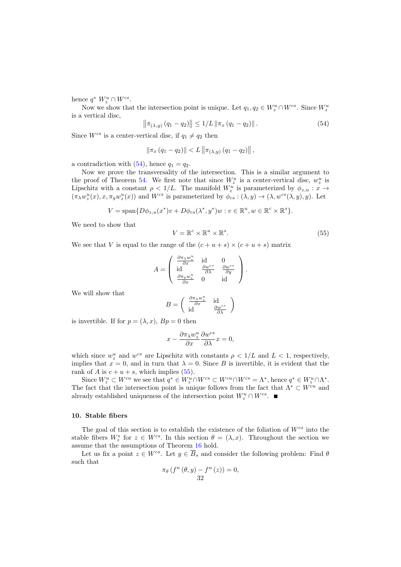hence  $q^* W_z^u \cap W^{cs}$ .

Now we show that the intersection point is unique. Let  $q_1, q_2 \in W_z^u \cap W_{\infty}^{cs}$ . Since  $W_z^u$ is a vertical disc,

<span id="page-31-1"></span>
$$
\left\|\pi_{(\lambda,y)}(q_1 - q_2)\right\| \le 1/L \left\|\pi_x(q_1 - q_2)\right\|.
$$
 (54)

Since  $W^{cs}$  is a center-vertical disc, if  $q_1 \neq q_2$  then

$$
\|\pi_x (q_1 - q_2)\| < L \|\pi_{(\lambda, y)} (q_1 - q_2)\| \,,
$$

a contradiction with  $(54)$ , hence  $q_1 = q_2$ .

Now we prove the transversality of the intersection. This is a similar argument to the proof of Theorem [54.](#page-24-4) We first note that since  $W_z^u$  is a center-vertical disc,  $w_z^u$  is Lipschitz with a constant  $\rho < 1/L$ . The manifold  $W_z^u$  is parameterized by  $\phi_{z,u} : x \to$  $(\pi_\lambda w_z^u(x), x, \pi_y w_z^u(x))$  and  $W^{cs}$  is parameterized by  $\phi_{cs} : (\lambda, y) \to (\lambda, w^{cs}(\lambda, y), y)$ . Let

<span id="page-31-2"></span>
$$
V = \text{span}\{D\phi_{z,u}(x^*)v + D\phi_{cs}(\lambda^*, y^*)w : v \in \mathbb{R}^u, w \in \mathbb{R}^c \times \mathbb{R}^s\}.
$$

We need to show that

$$
V = \mathbb{R}^c \times \mathbb{R}^u \times \mathbb{R}^s. \tag{55}
$$

We see that V is equal to the range of the  $(c + u + s) \times (c + u + s)$  matrix

$$
A = \begin{pmatrix} \frac{\partial \pi_{\lambda} w_{z}^{u}}{\partial x} & \text{id} & 0\\ \text{id} & \frac{\partial w^{cs}}{\partial \lambda} & \frac{\partial w^{cs}}{\partial y} \\ \frac{\partial \pi_{y} w_{z}^{u}}{\partial x} & 0 & \text{id} \end{pmatrix}.
$$

We will show that

$$
B = \begin{pmatrix} \frac{\partial \pi_{\lambda} w_{z}^{u}}{\partial x} & \text{id} \\ \text{id} & \frac{\partial w^{cs}}{\partial \lambda} \end{pmatrix}
$$

is invertible. If for  $p = (\lambda, x)$ ,  $Bp = 0$  then

$$
x - \frac{\partial \pi_\lambda w_z^u}{\partial x} \frac{\partial w^{cs}}{\partial \lambda} x = 0,
$$

which since  $w_z^u$  and  $w^{cs}$  are Lipschitz with constants  $\rho < 1/L$  and  $L < 1$ , respectively, implies that  $x = 0$ , and in turn that  $\lambda = 0$ . Since B is invertible, it is evident that the rank of A is  $c + u + s$ , which implies [\(55\)](#page-31-2).

Since  $W_z^u \subset W^{cu}$  we see that  $q^* \in W_z^u \cap W^{cs} \subset W^{cu} \cap W^{cs} = \Lambda^*$ , hence  $q^* \in W_z^u \cap \Lambda^*$ . The fact that the intersection point is unique follows from the fact that  $\Lambda^* \subset W^{cu}$  and already established uniqueness of the intersection point  $W_z^u \cap W^{cs}$ .

## <span id="page-31-0"></span>10. Stable fibers

The goal of this section is to establish the existence of the foliation of  $W^{cs}$  into the stable fibers  $W_z^s$  for  $z \in W^{cs}$ . In this section  $\theta = (\lambda, x)$ . Throughout the section we assume that the assumptions of Theorem [16](#page-8-0) hold.

Let us fix a point  $z \in W^{cs}$ . Let  $y \in \overline{B}_s$  and consider the following problem: Find  $\theta$ such that

$$
\pi_{\theta}\left(f^{n}\left(\theta,y\right)-f^{n}\left(z\right)\right)=0,\\32
$$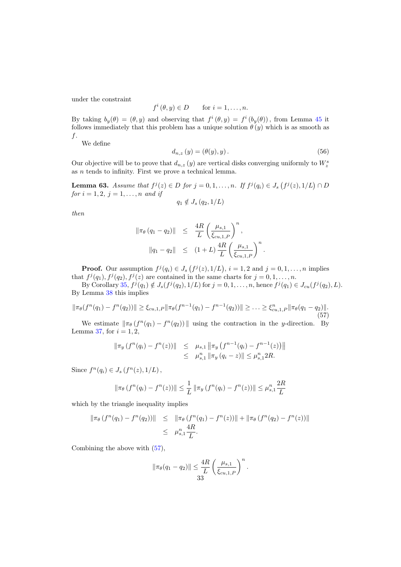under the constraint

$$
f^i(\theta, y) \in D \qquad \text{for } i = 1, \dots, n.
$$

By taking  $b_y(\theta) = (\theta, y)$  and observing that  $f^i(\theta, y) = f^i(b_y(\theta))$ , from Lemma [45](#page-17-1) it follows immediately that this problem has a unique solution  $\theta(y)$  which is as smooth as f.

<span id="page-32-2"></span>We define

$$
d_{n,z}(y) = (\theta(y), y). \tag{56}
$$

Our objective will be to prove that  $d_{n,z}(y)$  are vertical disks converging uniformly to  $W_z^s$ as  $n$  tends to infinity. First we prove a technical lemma.

<span id="page-32-1"></span>**Lemma 63.** Assume that  $f^j(z) \in D$  for  $j = 0, 1, ..., n$ . If  $f^j(q_i) \in J_s(f^j(z), 1/L) \cap D$ for  $i = 1, 2, j = 1, ..., n$  and if

$$
q_1 \notin J_s(q_2, 1/L)
$$

then

$$
\|\pi_{\theta}(q_{1} - q_{2})\| \leq \frac{4R}{L} \left(\frac{\mu_{s,1}}{\xi_{cu,1,P}}\right)^{n},
$$
  

$$
\|q_{1} - q_{2}\| \leq (1+L) \frac{4R}{L} \left(\frac{\mu_{s,1}}{\xi_{cu,1,P}}\right)^{n}.
$$

**Proof.** Our assumption  $f^j(q_i) \in J_s(f^j(z), 1/L)$ ,  $i = 1, 2$  and  $j = 0, 1, \ldots, n$  implies that  $f^j(q_1), f^j(q_2), f^j(z)$  are contained in the same charts for  $j = 0, 1, \ldots, n$ .

By Corollary [35,](#page-16-2)  $f^j(q_1) \notin J_s(f^j(q_2), 1/L)$  for  $j = 0, 1, ..., n$ , hence  $f^j(q_1) \in J_{cu}(f^j(q_2), L)$ . By Lemma [38](#page-16-5) this implies

$$
\|\pi_{\theta}(f^{n}(q_1) - f^{n}(q_2))\| \geq \xi_{cu,1,P} \|\pi_{\theta}(f^{n-1}(q_1) - f^{n-1}(q_2))\| \geq \ldots \geq \xi_{cu,1,P}^n \|\pi_{\theta}(q_1 - q_2)\|.
$$
\n(57)

We estimate  $\|\pi_{\theta}(f^{n}(q_1) - f^{n}(q_2))\|$  using the contraction in the y-direction. By Lemma [37,](#page-16-3) for  $i = 1, 2$ ,

<span id="page-32-0"></span>
$$
\begin{array}{rcl}\n\|\pi_y \left( f^n(q_i) - f^n(z) \right)\| & \leq & \mu_{s,1} \|\pi_y \left( f^{n-1}(q_i) - f^{n-1}(z) \right)\| \\
& \leq & \mu_{s,1}^n \|\pi_y \left( q_i - z \right)\| \leq \mu_{s,1}^n 2R.\n\end{array}
$$

Since  $f^{n}(q_i) \in J_s(f^{n}(z), 1/L)$ ,

$$
\|\pi_{\theta}\left(f^{n}(q_{i})-f^{n}(z)\right)\| \leq \frac{1}{L} \|\pi_{y}\left(f^{n}(q_{i})-f^{n}(z)\right)\| \leq \mu_{s,1}^{n} \frac{2R}{L}
$$

which by the triangle inequality implies

$$
\|\pi_{\theta}\left(f^{n}(q_{1})-f^{n}(q_{2})\right)\| \leq \|\pi_{\theta}\left(f^{n}(q_{1})-f^{n}(z)\right)\|+\|\pi_{\theta}\left(f^{n}(q_{2})-f^{n}(z)\right)\|
$$
  

$$
\leq \mu_{s,1}^{n} \frac{4R}{L}.
$$

Combining the above with [\(57\)](#page-32-0),

$$
\|\pi_{\theta}(q_1 - q_2)\| \leq \frac{4R}{L} \left(\frac{\mu_{s,1}}{\xi_{cu,1,P}}\right)^n.
$$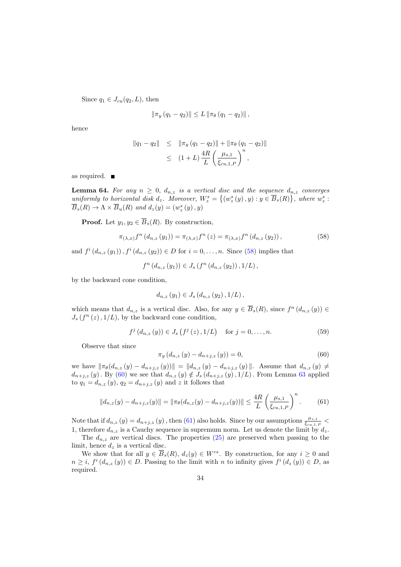Since  $q_1 \in J_{cu}(q_2, L)$ , then

$$
\|\pi_y (q_1 - q_2)\| \leq L \|\pi_\theta (q_1 - q_2)\|,
$$

hence

$$
\|q_1 - q_2\| \leq \|\pi_y (q_1 - q_2)\| + \|\pi_\theta (q_1 - q_2)\|
$$
  

$$
\leq (1+L) \frac{4R}{L} \left(\frac{\mu_{s,1}}{\xi_{cu,1,P}}\right)^n,
$$

<span id="page-33-0"></span>as required.

**Lemma 64.** For any  $n \geq 0$ ,  $d_{n,z}$  is a vertical disc and the sequence  $d_{n,z}$  converges uniformly to horizontal disk  $d_z$ . Moreover,  $W_z^s = \{(w_z^s(y), y) : y \in \overline{B}_s(R)\}\)$ , where  $w_z^s$ :  $\overline{B}_s(R) \to \Lambda \times \overline{B}_u(R)$  and  $d_z(y) = (w_z^s(y), y)$ 

**Proof.** Let  $y_1, y_2 \in \overline{B}_s(R)$ . By construction,

$$
\pi_{(\lambda,x)}f^{n}(d_{n,z}(y_{1})) = \pi_{(\lambda,x)}f^{n}(z) = \pi_{(\lambda,x)}f^{n}(d_{n,z}(y_{2})),
$$
\n(58)

and  $f^{i}(d_{n,z}(y_1)), f^{i}(d_{n,z}(y_2)) \in D$  for  $i = 0, ..., n$ . Since [\(58\)](#page-33-1) implies that

<span id="page-33-1"></span>
$$
f^{n} (d_{n,z} (y_1)) \in J_s (f^{n} (d_{n,z} (y_2)), 1/L),
$$

by the backward cone condition,

<span id="page-33-4"></span>
$$
d_{n,z}(y_1) \in J_s(d_{n,z}(y_2), 1/L),
$$

which means that  $d_{n,z}$  is a vertical disc. Also, for any  $y \in \overline{B}_s(R)$ , since  $f^n(d_{n,z}(y)) \in$  $J_s(f^n(z),1/L)$ , by the backward cone condition,

<span id="page-33-2"></span>
$$
f^{j}(d_{n,z}(y)) \in J_s(f^{j}(z), 1/L) \quad \text{for } j = 0, ..., n.
$$
 (59)

Observe that since

<span id="page-33-3"></span>
$$
\pi_y (d_{n,z} (y) - d_{n+j,z} (y)) = 0,
$$
\n(60)

we have  $\|\pi_{\theta}(d_{n,z}(y) - d_{n+j,z}(y))\| = \|d_{n,z}(y) - d_{n+j,z}(y)\|$ . Assume that  $d_{n,z}(y) \neq$  $d_{n+j,z}(y)$ . By [\(60\)](#page-33-2) we see that  $d_{n,z}(y) \notin J_s(d_{n+j,z}(y), 1/L)$ . From Lemma [63](#page-32-1) applied to  $q_1 = d_{n,z}(y)$ ,  $q_2 = d_{n+j,z}(y)$  and z it follows that

$$
||d_{n,z}(y) - d_{n+j,z}(y)|| = ||\pi_{\theta}(d_{n,z}(y) - d_{n+j,z}(y))|| \le \frac{4R}{L} \left(\frac{\mu_{s,1}}{\xi_{cu,1,P}}\right)^n.
$$
 (61)

Note that if  $d_{n,z}(y) = d_{n+j,z}(y)$ , then [\(61\)](#page-33-3) also holds. Since by our assumptions  $\frac{\mu_{s,1}}{\xi_{cu,1,P}}$ 1, therefore  $d_{n,z}$  is a Cauchy sequence in supremum norm. Let us denote the limit by  $d_z$ .

The  $d_{n,z}$  are vertical discs. The properties  $(25)$  are preserved when passing to the limit, hence  $d_z$  is a vertical disc.

We show that for all  $y \in \overline{B}_s(R)$ ,  $d_z(y) \in W^{cs}$ . By construction, for any  $i \geq 0$  and  $n \geq i$ ,  $f^i(d_{n,z}(y)) \in D$ . Passing to the limit with n to infinity gives  $f^i(d_z(y)) \in D$ , as required.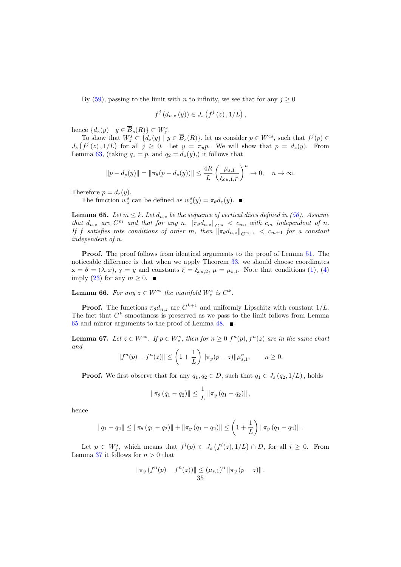By [\(59\)](#page-33-4), passing to the limit with n to infinity, we see that for any  $j \geq 0$ 

$$
f^{j}(d_{n,z}(y)) \in J_s(f^{j}(z), 1/L),
$$

hence  $\{d_z(y) \mid y \in \overline{B}_s(R)\} \subset W_z^s$ .

To show that  $W_z^s \subset \{d_z(y) \mid y \in \overline{B}_s(R)\}\,$  let us consider  $p \in W^{cs}$ , such that  $f^j(p) \in$  $J_s(f^j(z), 1/L)$  for all  $j \geq 0$ . Let  $y = \pi_y p$ . We will show that  $p = d_z(y)$ . From Lemma [63,](#page-32-1) (taking  $q_1 = p$ , and  $q_2 = d_z(y)$ ), it follows that

$$
||p - d_z(y)|| = ||\pi_\theta(p - d_z(y))|| \le \frac{4R}{L} \left(\frac{\mu_{s,1}}{\xi_{cu,1,P}}\right)^n \to 0, \quad n \to \infty.
$$

Therefore  $p = d_z(y)$ .

The function  $w_z^s$  can be defined as  $w_z^s(y) = \pi_{\theta} d_z(y)$ .

<span id="page-34-1"></span>**Lemma 65.** Let  $m \leq k$ . Let  $d_{n,z}$  be the sequence of vertical discs defined in [\(56\)](#page-32-2). Assume that  $d_{n,z}$  are  $C^m$  and that for any n,  $\|\pi_\theta d_{n,z}\|_{C^m} < c_m$ , with  $c_m$  independent of n. If f satisfies rate conditions of order m, then  $\|\pi_\theta d_{n,z}\|_{C^{m+1}} < c_{m+1}$  for a constant independent of n.

Proof. The proof follows from identical arguments to the proof of Lemma [51.](#page-22-4) The noticeable difference is that when we apply Theorem [33,](#page-15-0) we should choose coordinates  $x = \theta = (\lambda, x), y = y$  and constants  $\xi = \xi_{cu,2}, \mu = \mu_{s,1}$ . Note that conditions [\(1\)](#page-5-0), [\(4\)](#page-5-3) imply [\(23\)](#page-15-1) for any  $m \geq 0$ . ■

<span id="page-34-0"></span>**Lemma 66.** For any  $z \in W^{cs}$  the manifold  $W_z^s$  is  $C^k$ .

**Proof.** The functions  $\pi_{\theta}d_{n,z}$  are  $C^{k+1}$  and uniformly Lipschitz with constant  $1/L$ . The fact that  $C^k$  smoothness is preserved as we pass to the limit follows from Lemma [65](#page-34-1) and mirror arguments to the proof of Lemma [48.](#page-20-0)  $\blacksquare$ 

<span id="page-34-2"></span>**Lemma 67.** Let  $z \in W^{cs}$ . If  $p \in W_z^s$ , then for  $n \geq 0$   $f^n(p)$ ,  $f^n(z)$  are in the same chart and

$$
||f^{n}(p) - f^{n}(z)|| \le \left(1 + \frac{1}{L}\right) ||\pi_{y}(p - z)|| \mu_{s,1}^{n}, \qquad n \ge 0.
$$

**Proof.** We first observe that for any  $q_1, q_2 \in D$ , such that  $q_1 \in J_s(q_2, 1/L)$ , holds

$$
\|\pi_{\theta}(q_1-q_2)\| \leq \frac{1}{L} \|\pi_y(q_1-q_2)\|,
$$

hence

$$
||q_1 - q_2|| \le ||\pi_\theta (q_1 - q_2)|| + ||\pi_y (q_1 - q_2)|| \le \left(1 + \frac{1}{L}\right) ||\pi_y (q_1 - q_2)||.
$$

Let  $p \in W_s^s$ , which means that  $f^i(p) \in J_s(f^i(z), 1/L) \cap D$ , for all  $i \geq 0$ . From Lemma [37](#page-16-3) it follows for  $n > 0$  that

$$
\|\pi_y(f^n(p) - f^n(z))\| \le (\mu_{s,1})^n \|\pi_y(p - z)\|.
$$
  
35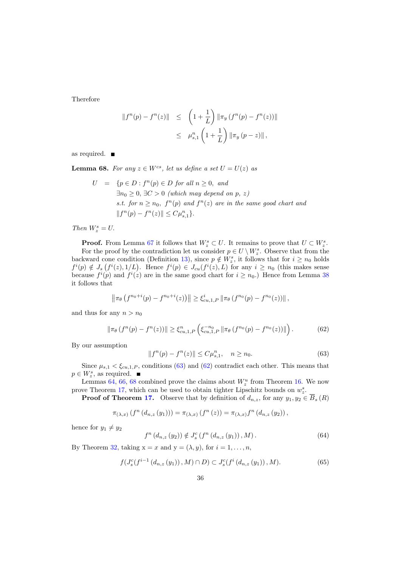Therefore

$$
||f^{n}(p) - f^{n}(z)|| \leq \left(1 + \frac{1}{L}\right) ||\pi_{y}(f^{n}(p) - f^{n}(z))||
$$
  

$$
\leq \mu_{s,1}^{n}\left(1 + \frac{1}{L}\right) ||\pi_{y}(p - z)||,
$$

<span id="page-35-2"></span>as required.

**Lemma 68.** For any  $z \in W^{cs}$ , let us define a set  $U = U(z)$  as

$$
U = \{p \in D : f^{n}(p) \in D \text{ for all } n \ge 0, \text{ and}
$$
  
\n
$$
\exists n_0 \ge 0, \exists C > 0 \text{ (which may depend on } p, z)
$$
  
\n*s.t.* for  $n \ge n_0$ ,  $f^{n}(p)$  and  $f^{n}(z)$  are in the same good chart and  
\n
$$
||f^{n}(p) - f^{n}(z)|| \le C\mu_{s,1}^{n}\}.
$$

 $\label{eq:Chen} \begin{aligned} \textit{Then } W^s_z = U. \end{aligned}$ 

**Proof.** From Lemma [67](#page-34-2) it follows that  $W_z^s \subset U$ . It remains to prove that  $U \subset W_z^s$ . For the proof by the contradiction let us consider  $p \in U \setminus W_z^s$ . Observe that from the backward cone condition (Definition [13\)](#page-7-2), since  $p \notin W_z^s$ , it follows that for  $i \geq n_0$  holds  $f^i(p) \notin J_s(f^i(z), 1/L)$ . Hence  $f^i(p) \in J_{cu}(f^i(z), L)$  for any  $i \geq n_0$  (this makes sense because  $f^{i}(p)$  and  $f^{i}(z)$  are in the same good chart for  $i \ge n_0$ .) Hence from Lemma [38](#page-16-5) it follows that

<span id="page-35-1"></span>
$$
\left\|\pi_{\theta}\left(f^{n_0+i}(p)-f^{n_0+i}(z)\right)\right\| \geq \xi_{cu,1,P}^i \left\|\pi_{\theta}\left(f^{n_0}(p)-f^{n_0}(z)\right)\right\|,
$$

and thus for any  $n > n_0$ 

$$
\|\pi_{\theta}\left(f^{n}(p)-f^{n}(z)\right)\| \geq \xi_{cu,1,P}^{n}\left(\xi_{cu,1,P}^{-n_{0}}\|\pi_{\theta}\left(f^{n_{0}}(p)-f^{n_{0}}(z)\right)\|\right). \tag{62}
$$

By our assumption

<span id="page-35-0"></span>
$$
||f^{n}(p) - f^{n}(z)|| \le C\mu_{s,1}^{n}, \quad n \ge n_{0}.
$$
\n(63)

Since  $\mu_{s,1} < \xi_{cu,1,P}$ , conditions [\(63\)](#page-35-0) and [\(62\)](#page-35-1) contradict each other. This means that  $p \in W_z^s$ , as required.

Lemmas [64,](#page-33-0) [66,](#page-34-0) [68](#page-35-2) combined prove the claims about  $W_z^u$  from Theorem [16.](#page-8-0) We now prove Theorem [17,](#page-9-2) which can be used to obtain tighter Lipschitz bounds on  $w_z^s$ .

**Proof of Theorem [17.](#page-9-2)** Observe that by definition of  $d_{n,z}$ , for any  $y_1, y_2 \in \overline{B}_s(R)$ 

<span id="page-35-4"></span>
$$
\pi_{(\lambda,x)}(f^{n}(d_{n,z}(y_1))) = \pi_{(\lambda,x)}(f^{n}(z)) = \pi_{(\lambda,x)}f^{n}(d_{n,z}(y_2)),
$$

hence for  $y_1 \neq y_2$ 

<span id="page-35-3"></span>
$$
f^{n}(d_{n,z}(y_2)) \notin J_s^c(f^{n}(d_{n,z}(y_1)), M).
$$
 (64)

By Theorem [32,](#page-14-3) taking  $x = x$  and  $y = (\lambda, y)$ , for  $i = 1, \ldots, n$ ,

$$
f(J_s^c(f^{i-1}(d_{n,z}(y_1)), M) \cap D) \subset J_s^c(f^i(d_{n,z}(y_1)), M). \tag{65}
$$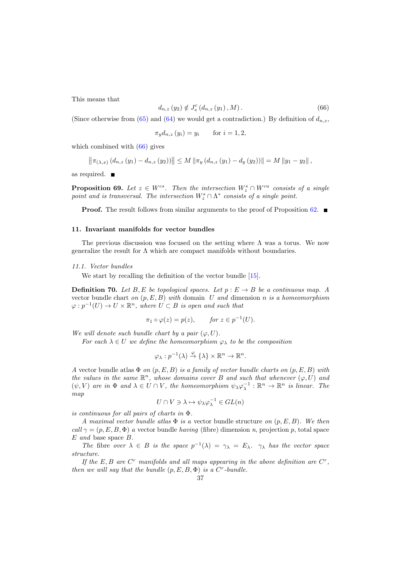This means that

<span id="page-36-1"></span>
$$
d_{n,z}(y_2) \notin J_s^c(d_{n,z}(y_1), M). \tag{66}
$$

(Since otherwise from [\(65\)](#page-35-3) and [\(64\)](#page-35-4) we would get a contradiction.) By definition of  $d_{n,z}$ ,

$$
\pi_y d_{n,z} (y_i) = y_i \quad \text{for } i = 1, 2,
$$

which combined with  $(66)$  gives

$$
\left\|\pi_{(\lambda,x)}(d_{n,z}(y_1)-d_{n,z}(y_2))\right\| \le M \left\|\pi_y(d_{n,z}(y_1)-d_y(y_2))\right\| = M \left\|y_1-y_2\right\|,
$$

as required.  $\blacksquare$ 

**Proposition 69.** Let  $z \in W^{cs}$ . Then the intersection  $W_z^s \cap W^{cu}$  consists of a single point and is transversal. The intersection  $W_z^s \cap \Lambda^*$  consists of a single point.

**Proof.** The result follows from similar arguments to the proof of Proposition [62.](#page-30-2)  $\blacksquare$ 

## <span id="page-36-0"></span>11. Invariant manifolds for vector bundles

The previous discussion was focused on the setting where  $\Lambda$  was a torus. We now generalize the result for  $\Lambda$  which are compact manifolds without boundaries.

#### 11.1. Vector bundles

We start by recalling the definition of the vector bundle [\[15\]](#page-63-11).

**Definition 70.** Let B, E be topological spaces. Let  $p : E \to B$  be a continuous map. A vector bundle chart on  $(p, E, B)$  with domain U and dimension n is a homeomorphism  $\varphi: p^{-1}(U) \to U \times \mathbb{R}^n$ , where  $U \subset B$  is open and such that

$$
\pi_1 \circ \varphi(z) = p(z), \quad \text{for } z \in p^{-1}(U).
$$

We will denote such bundle chart by a pair  $(\varphi, U)$ .

For each  $\lambda \in U$  we define the homeomorphism  $\varphi_{\lambda}$  to be the composition

$$
\varphi_{\lambda}:p^{-1}(\lambda)\stackrel{\varphi}{\to}\{\lambda\}\times\mathbb{R}^n\to\mathbb{R}^n.
$$

A vector bundle atlas  $\Phi$  on  $(p, E, B)$  is a family of vector bundle charts on  $(p, E, B)$  with the values in the same  $\mathbb{R}^n$ , whose domains cover B and such that whenever  $(\varphi, U)$  and  $(\psi, V)$  are in  $\Phi$  and  $\lambda \in U \cap V$ , the homeomorphism  $\psi_{\lambda} \varphi_{\lambda}^{-1} : \mathbb{R}^n \to \mathbb{R}^n$  is linear. The map

$$
U \cap V \ni \lambda \mapsto \psi_{\lambda} \varphi_{\lambda}^{-1} \in GL(n)
$$

is continuous for all pairs of charts in Φ.

A maximal vector bundle atlas  $\Phi$  is a vector bundle structure on  $(p, E, B)$ . We then call  $\gamma = (p, E, B, \Phi)$  a vector bundle having (fibre) dimension n, projection p, total space E and base space B.

The fibre over  $\lambda \in B$  is the space  $p^{-1}(\lambda) = \gamma_{\lambda} = E_{\lambda}$ .  $\gamma_{\lambda}$  has the vector space structure.

If the E, B are  $C<sup>r</sup>$  manifolds and all maps appearing in the above definition are  $C<sup>r</sup>$ , then we will say that the bundle  $(p, E, B, \Phi)$  is a C<sup>r</sup>-bundle.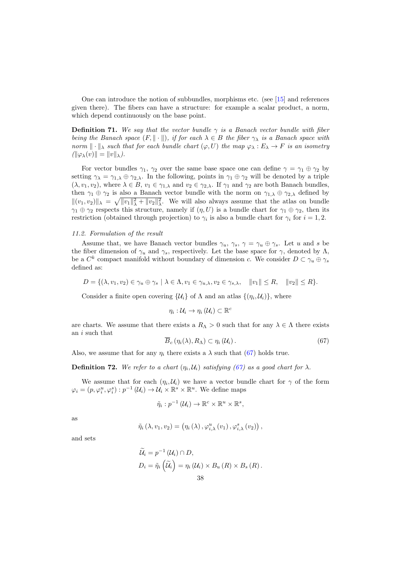One can introduce the notion of subbundles, morphisms etc. (see [\[15\]](#page-63-11) and references given there). The fibers can have a structure: for example a scalar product, a norm, which depend continuously on the base point.

**Definition 71.** We say that the vector bundle  $\gamma$  is a Banach vector bundle with fiber being the Banach space  $(F, \|\cdot\|)$ , if for each  $\lambda \in B$  the fiber  $\gamma_{\lambda}$  is a Banach space with norm  $\|\cdot\|_{\lambda}$  such that for each bundle chart  $(\varphi, U)$  the map  $\varphi_{\lambda}: E_{\lambda} \to F$  is an isometry  $(\|\varphi_\lambda(v)\| = \|v\|_{\lambda}).$ 

For vector bundles  $\gamma_1$ ,  $\gamma_2$  over the same base space one can define  $\gamma = \gamma_1 \oplus \gamma_2$  by setting  $\gamma_{\lambda} = \gamma_{1,\lambda} \oplus \gamma_{2,\lambda}$ . In the following, points in  $\gamma_1 \oplus \gamma_2$  will be denoted by a triple  $(\lambda, v_1, v_2)$ , where  $\lambda \in B$ ,  $v_1 \in \gamma_{1,\lambda}$  and  $v_2 \in \gamma_{2,\lambda}$ . If  $\gamma_1$  and  $\gamma_2$  are both Banach bundles, then  $\gamma_1 \oplus \gamma_2$  is also a Banach vector bundle with the norm on  $\gamma_{1,\lambda} \oplus \gamma_{2,\lambda}$  defined by  $||(v_1, v_2)||_\lambda = \sqrt{||v_1||_\lambda^2 + ||v_2||_\lambda^2}$ . We will also always assume that the atlas on bundle  $\gamma_1 \oplus \gamma_2$  respects this structure, namely if  $(\eta, U)$  is a bundle chart for  $\gamma_1 \oplus \gamma_2$ , then its restriction (obtained through projection) to  $\gamma_i$  is also a bundle chart for  $\gamma_i$  for  $i = 1, 2$ .

#### 11.2. Formulation of the result

Assume that, we have Banach vector bundles  $\gamma_u$ ,  $\gamma_s$ ,  $\gamma = \gamma_u \oplus \gamma_s$ . Let u and s be the fiber dimension of  $\gamma_u$  and  $\gamma_s$ , respectively. Let the base space for  $\gamma$ , denoted by  $\Lambda$ , be a  $C^k$  compact manifold without boundary of dimension c. We consider  $D \subset \gamma_u \oplus \gamma_s$ defined as:

$$
D = \{ (\lambda, v_1, v_2) \in \gamma_u \oplus \gamma_s \mid \lambda \in \Lambda, v_1 \in \gamma_{u,\lambda}, v_2 \in \gamma_{s,\lambda}, \quad ||v_1|| \le R, \quad ||v_2|| \le R \}.
$$

Consider a finite open covering  $\{\mathcal{U}_i\}$  of  $\Lambda$  and an atlas  $\{(\eta_i, \mathcal{U}_i)\},\$  where

$$
\eta_i:\mathcal{U}_i\to\eta_i\left(\mathcal{U}_i\right)\subset\mathbb{R}^c
$$

<span id="page-37-0"></span>are charts. We assume that there exists a  $R_{\Lambda} > 0$  such that for any  $\lambda \in \Lambda$  there exists an i such that

$$
\overline{B}_c(\eta_i(\lambda), R_\Lambda) \subset \eta_i(\mathcal{U}_i).
$$
\n(67)

Also, we assume that for any  $\eta_i$  there exists a  $\lambda$  such that [\(67\)](#page-37-0) holds true.

**Definition 72.** We refer to a chart  $(\eta_i, \mathcal{U}_i)$  satisfying [\(67\)](#page-37-0) as a good chart for  $\lambda$ .

We assume that for each  $(\eta_i, \mathcal{U}_i)$  we have a vector bundle chart for  $\gamma$  of the form  $\varphi_i = (p, \varphi_i^u, \varphi_i^s) : p^{-1} (\mathcal{U}_i) \to \mathcal{U}_i \times \mathbb{R}^s \times \mathbb{R}^u$ . We define maps

$$
\tilde{\eta}_i : p^{-1}(\mathcal{U}_i) \to \mathbb{R}^c \times \mathbb{R}^u \times \mathbb{R}^s,
$$

as

$$
\tilde{\eta}_{i}\left(\lambda, v_{1}, v_{2}\right) = \left(\eta_{i}\left(\lambda\right), \varphi_{i,\lambda}^{u}\left(v_{1}\right), \varphi_{i,\lambda}^{s}\left(v_{2}\right)\right),
$$

and sets

$$
\widetilde{\mathcal{U}}_i = p^{-1}(\mathcal{U}_i) \cap D,
$$
  
\n
$$
D_i = \widetilde{\eta}_i \left( \widetilde{\mathcal{U}}_i \right) = \eta_i \left( \mathcal{U}_i \right) \times B_u \left( R \right) \times B_s \left( R \right).
$$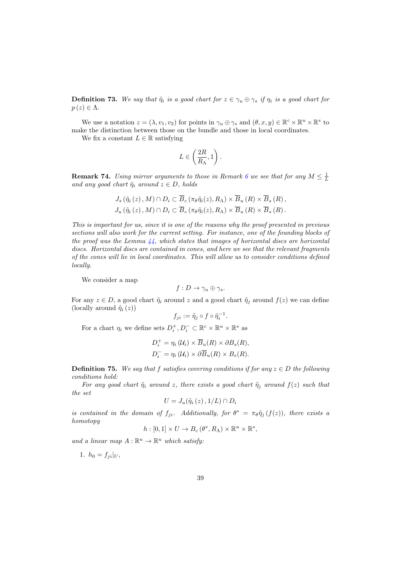**Definition 73.** We say that  $\tilde{\eta}_i$  is a good chart for  $z \in \gamma_u \oplus \gamma_s$  if  $\eta_i$  is a good chart for  $p(z) \in \Lambda$ .

We use a notation  $z = (\lambda, v_1, v_2)$  for points in  $\gamma_u \oplus \gamma_s$  and  $(\theta, x, y) \in \mathbb{R}^c \times \mathbb{R}^u \times \mathbb{R}^s$  to make the distinction between those on the bundle and those in local coordinates.

We fix a constant  $L \in \mathbb{R}$  satisfying

$$
L\in \left(\frac{2R}{R_{\Lambda}},1\right).
$$

**Remark 74.** Using mirror arguments to those in Remark [6](#page-6-2) we see that for any  $M \leq \frac{1}{L}$ and any good chart  $\tilde{\eta}_i$  around  $z \in D$ , holds

$$
J_s(\tilde{\eta}_i(z), M) \cap D_i \subset \overline{B}_c(\pi_\theta \tilde{\eta}_i(z), R_\Lambda) \times \overline{B}_u(R) \times \overline{B}_s(R),
$$
  

$$
J_u(\tilde{\eta}_i(z), M) \cap D_i \subset \overline{B}_c(\pi_\theta \tilde{\eta}_i(z), R_\Lambda) \times \overline{B}_u(R) \times \overline{B}_s(R).
$$

This is important for us, since it is one of the reasons why the proof presented in previous sections will also work for the current setting. For instance, one of the founding blocks of the proof was the Lemma  $44$ , which states that images of horizontal discs are horizontal discs. Horizontal discs are contained in cones, and here we see that the relevant fragments of the cones will lie in local coordinates. This will allow us to consider conditions defined locally.

We consider a map

$$
f: D \to \gamma_u \oplus \gamma_s.
$$

For any  $z \in D$ , a good chart  $\tilde{\eta}_i$  around z and a good chart  $\tilde{\eta}_i$  around  $f(z)$  we can define (locally around  $\tilde{\eta}_i(z)$ )

$$
f_{ji} := \tilde{\eta}_j \circ f \circ \tilde{\eta}_i^{-1}.
$$

For a chart  $\eta_i$  we define sets  $D_i^+, D_i^- \subset \mathbb{R}^c \times \mathbb{R}^u \times \mathbb{R}^s$  as

$$
D_i^+ = \eta_i (\mathcal{U}_i) \times \overline{B}_u(R) \times \partial B_s(R),
$$
  

$$
D_i^- = \eta_i (\mathcal{U}_i) \times \partial \overline{B}_u(R) \times B_s(R).
$$

<span id="page-38-0"></span>**Definition 75.** We say that f satisfies covering conditions if for any  $z \in D$  the following conditions hold:

For any good chart  $\tilde{\eta}_i$  around z, there exists a good chart  $\tilde{\eta}_j$  around  $f(z)$  such that the set

$$
U=J_u(\tilde{\eta}_i(z),1/L)\cap D_i
$$

is contained in the domain of  $f_{ji}$ . Additionally, for  $\theta^* = \pi_{\theta} \tilde{\eta}_j(f(z))$ , there exists a homotopy

$$
h:[0,1]\times U\to B_c(\theta^*,R_\Lambda)\times\mathbb{R}^u\times\mathbb{R}^s,
$$

and a linear map  $A: \mathbb{R}^u \to \mathbb{R}^u$  which satisfy:

1.  $h_0 = f_{ii}|_U$ ,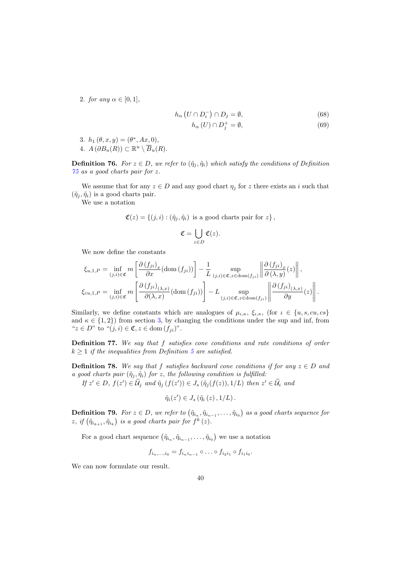2. for any  $\alpha \in [0,1]$ ,

$$
h_{\alpha}\left(U\cap D_{i}^{-}\right)\cap D_{j}=\emptyset,\tag{68}
$$

$$
h_{\alpha}(U) \cap D_j^+ = \emptyset,\tag{69}
$$

3.  $h_1(\theta, x, y) = (\theta^*, Ax, 0),$ 4.  $A(\partial B_u(R)) \subset \mathbb{R}^u \setminus \overline{B}_u(R)$ .

**Definition 76.** For  $z \in D$ , we refer to  $(\tilde{\eta}_i, \tilde{\eta}_i)$  which satisfy the conditions of Definition [75](#page-38-0) as a good charts pair for z.

We assume that for any  $z \in D$  and any good chart  $\eta_j$  for z there exists an i such that  $(\tilde{\eta}_i, \tilde{\eta}_i)$  is a good charts pair.

We use a notation

$$
\mathfrak{C}(z) = \{ (j,i) : (\tilde{\eta}_j, \tilde{\eta}_i) \text{ is a good charts pair for } z \},
$$

$$
\mathfrak{C}=\bigcup_{z\in D}\mathfrak{C}(z).
$$

We now define the constants

$$
\xi_{u,1,P} = \inf_{(j,i)\in\mathfrak{C}} m \left[ \frac{\partial (f_{ji})_x}{\partial x} (\text{dom } (f_{ji})) \right] - \frac{1}{L} \sup_{(j,i)\in\mathfrak{C},z\in\text{dom}(f_{ji})} \left\| \frac{\partial (f_{ji})_x}{\partial (\lambda, y)} (z) \right\|,
$$
  

$$
\xi_{cu,1,P} = \inf_{(j,i)\in\mathfrak{C}} m \left[ \frac{\partial (f_{ji})_{(\lambda,x)}}{\partial (\lambda, x)} (\text{dom } (f_{ji})) \right] - L \sup_{(j,i)\in\mathfrak{C},z\in\text{dom}(f_{ji})} \left\| \frac{\partial (f_{ji})_{(\lambda,x)}}{\partial y} (z) \right\|.
$$

Similarly, we define constants which are analogues of  $\mu_{\iota,\kappa}, \xi_{\iota,\kappa}$ , (for  $\iota \in \{u, s, cu, cs\}$ and  $\kappa \in \{1, 2\}$  from section [3,](#page-3-0) by changing the conditions under the sup and inf, from " $z \in D$ " to " $(j, i) \in \mathfrak{C}, z \in \text{dom}(f_{ii})$ ".

Definition 77. We say that f satisfies cone conditions and rate conditions of order  $k \geq 1$  if the inequalities from Definition [5](#page-5-2) are satisfied.

**Definition 78.** We say that f satisfies backward cone conditions if for any  $z \in D$  and a good charts pair  $(\tilde{\eta}_j, \tilde{\eta}_i)$  for z, the following condition is fulfilled:

If  $z' \in D$ ,  $f(z') \in \widetilde{\mathcal{U}}_j$  and  $\widetilde{\eta}_j(f(z')) \in J_s(\widetilde{\eta}_j(f(z)), 1/L)$  then  $z' \in \widetilde{\mathcal{U}}_i$  and

$$
\tilde{\eta}_i(z')\in J_s\left(\tilde{\eta}_i\left(z\right),1/L\right).
$$

**Definition 79.** For  $z \in D$ , we refer to  $(\tilde{\eta}_{i_n}, \tilde{\eta}_{i_{n-1}}, \ldots, \tilde{\eta}_{i_0})$  as a good charts sequence for z, if  $(\tilde{\eta}_{i_{k+1}}, \tilde{\eta}_{i_k})$  is a good charts pair for  $f^k(z)$ .

For a good chart sequence  $(\tilde{\eta}_{i_n}, \tilde{\eta}_{i_{n-1}}, \ldots, \tilde{\eta}_{i_0})$  we use a notation

$$
f_{i_n,\dots,i_0}=f_{i_n i_{n-1}}\circ \dots \circ f_{i_2 i_1}\circ f_{i_1 i_0}.
$$

<span id="page-39-0"></span>We can now formulate our result.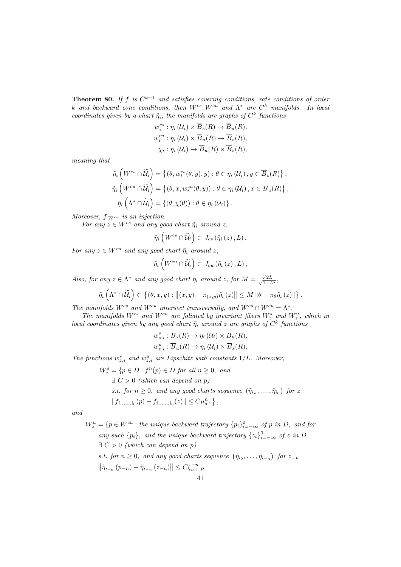**Theorem 80.** If f is  $C^{k+1}$  and satisfies covering conditions, rate conditions of order k and backward cone conditions, then  $W^{cs}$ ,  $W^{cu}$  and  $\Lambda^*$  are  $C^k$  manifolds. In local coordinates given by a chart  $\tilde{\eta}_i$ , the manifolds are graphs of  $C^k$  functions

$$
w_i^{cs}: \eta_i(\mathcal{U}_i) \times \overline{B}_s(R) \to \overline{B}_u(R),
$$
  
\n
$$
w_i^{cu}: \eta_i(\mathcal{U}_i) \times \overline{B}_u(R) \to \overline{B}_s(R),
$$
  
\n
$$
\chi_i: \eta_i(\mathcal{U}_i) \to \overline{B}_u(R) \times \overline{B}_s(R),
$$

meaning that

$$
\tilde{\eta}_i \left( W^{cs} \cap \tilde{\mathcal{U}}_i \right) = \left\{ (\theta, w_i^{cs}(\theta, y), y) : \theta \in \eta_i \left( \mathcal{U}_i \right), y \in \overline{B}_s(R) \right\},\
$$

$$
\tilde{\eta}_i \left( W^{cu} \cap \tilde{\mathcal{U}}_i \right) = \left\{ (\theta, x, w_i^{cu}(\theta, y)) : \theta \in \eta_i \left( \mathcal{U}_i \right), x \in \overline{B}_u(R) \right\},\
$$

$$
\tilde{\eta}_i \left( \Lambda^* \cap \tilde{\mathcal{U}}_i \right) = \left\{ (\theta, \chi(\theta)) : \theta \in \eta_i \left( \mathcal{U}_i \right) \right\}.
$$

Moreover,  $f_{|W^{cu}}$  is an injection.

For any  $z \in W^{cs}$  and any good chart  $\tilde{\eta}_i$  around z,

$$
\tilde{\eta}_{i}\left(W^{cs}\cap\widetilde{\mathcal{U}}_{i}\right)\subset J_{cs}\left(\tilde{\eta}_{i}\left(z\right),L\right).
$$

For any  $z \in W^{cu}$  and any good chart  $\tilde{\eta}_i$  around z,

$$
\tilde{\eta}_{i}\left(W^{cu}\cap \widetilde{\mathcal{U}}_{i}\right)\subset J_{cu}\left(\tilde{\eta}_{i}\left(z\right),L\right),\,
$$

Also, for any  $z \in \Lambda^*$  and any good chart  $\tilde{\eta}_i$  around z, for  $M = \frac{\sqrt{2}}{\sqrt{3}}$  $\frac{\sqrt{2L}}{2}$  $\frac{\sqrt{2L}}{1-L^2},$ 

$$
\tilde{\eta}_i\left(\Lambda^*\cap\widetilde{\mathcal{U}}_i\right)\subset\left\{(\theta,x,y):\left\|(x,y)-\pi_{(x,y)}\tilde{\eta}_i\left(z\right)\right\|\leq M\left\|\theta-\pi_\theta\tilde{\eta}_i\left(z\right)\right\| \right\}.
$$

The manifolds  $W^{cs}$  and  $W^{cu}$  intersect transversally, and  $W^{cs} \cap W^{cu} = \Lambda^*$ .

The manifolds  $W^{cs}$  and  $W^{cu}$  are foliated by invariant fibers  $W_z^s$  and  $W_z^u$ , which in local coordinates given by any good chart  $\tilde{\eta}_i$  around z are graphs of  $C^k$  functions

$$
w_{z,i}^s : \overline{B}_s(R) \to \eta_i(\mathcal{U}_i) \times \overline{B}_u(R),
$$
  

$$
w_{z,i}^u : \overline{B}_u(R) \to \eta_i(\mathcal{U}_i) \times \overline{B}_s(R),
$$

The functions  $w_{z,i}^s$  and  $w_{z,i}^u$  are Lipschitz with constants  $1/L$ . Moreover,

 $W_z^s = \{p \in D : f^n(p) \in D \text{ for all } n \geq 0, \text{ and}$  $\exists C > 0$  (which can depend on p) s.t. for  $n \geq 0$ , and any good charts sequence  $(\tilde{\eta}_{i_n}, \ldots, \tilde{\eta}_{i_0})$  for z  $||f_{i_n,...,i_0}(p) - f_{i_n,...,i_0}(z)|| \leq C \mu_{s,1}^n \},$ 

and

 $W_z^u = \{p \in W^{cu} : the \ unique \ backward \ trajectory \{p_i\}_{i=-\infty}^0 \ of \ p \ in \ D, \ and \ for$ any such  $\{p_i\}$ , and the unique backward trajectory  $\{z_i\}_{i=-\infty}^0$  of z in D  $\exists C > 0$  (which can depend on p) s.t. for  $n \geq 0$ , and any good charts sequence  $(\tilde{\eta}_{i_0}, \ldots, \tilde{\eta}_{i_{-n}})$  for  $z_{-n}$  $\|\tilde{\eta}_{i_{-n}}(p_{-n})-\tilde{\eta}_{i_{-n}}(z_{-n})\|\leq C\xi_{u,1,F}^{-n}$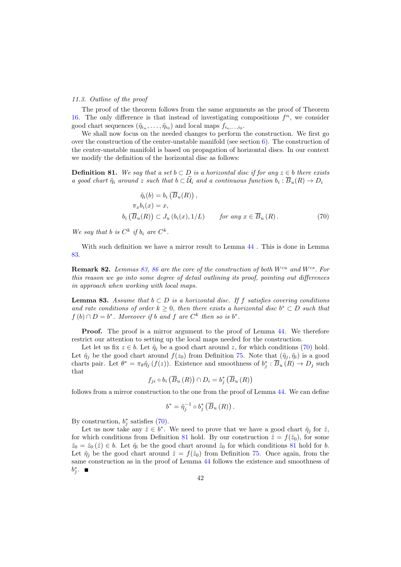#### 11.3. Outline of the proof

The proof of the theorem follows from the same arguments as the proof of Theorem [16.](#page-8-0) The only difference is that instead of investigating compositions  $f^n$ , we consider good chart sequences  $(\tilde{\eta}_{i_n}, \ldots, \tilde{\eta}_{i_0})$  and local maps  $f_{i_n, \ldots, i_0}$ .

We shall now focus on the needed changes to perform the construction. We first go over the construction of the center-unstable manifold (see section  $6$ ). The construction of the center-unstable manifold is based on propagation of horizontal discs. In our context we modify the definition of the horizontal disc as follows:

<span id="page-41-2"></span>**Definition 81.** We say that a set  $b \subset D$  is a horizontal disc if for any  $z \in b$  there exists a good chart  $\tilde{\eta}_i$  around z such that  $b \subset \mathcal{U}_i$  and a continuous function  $b_i : B_u(R) \to D_i$ 

<span id="page-41-1"></span>
$$
\tilde{\eta}_i(b) = b_i \left( \overline{B}_u(R) \right),
$$
  
\n
$$
\pi_x b_i(x) = x,
$$
  
\n
$$
b_i \left( \overline{B}_u(R) \right) \subset J_u \left( b_i(x), 1/L \right) \qquad \text{for any } x \in \overline{B}_u \left( R \right). \tag{70}
$$

We say that b is  $C^k$  if  $b_i$  are  $C^k$ .

With such definition we have a mirror result to Lemma [44](#page-17-0) . This is done in Lemma [83.](#page-41-0)

**Remark 82.** Lemmas [83,](#page-41-0) [86](#page-42-0) are the core of the construction of both  $W^{cu}$  and  $W^{cs}$ . For this reason we go into some degree of detail outlining its proof, pointing out differences in approach when working with local maps.

<span id="page-41-0"></span>**Lemma 83.** Assume that  $b \subset D$  is a horizontal disc. If f satisfies covering conditions and rate conditions of order  $k \geq 0$ , then there exists a horizontal disc  $b^* \subset D$  such that  $f(b) \cap D = b^*$ . Moreover if b and f are  $C^k$  then so is  $b^*$ .

**Proof.** The proof is a mirror argument to the proof of Lemma [44.](#page-17-0) We therefore restrict our attention to setting up the local maps needed for the construction.

Let let us fix  $z \in b$ . Let  $\tilde{\eta}_i$  be a good chart around z, for which conditions [\(70\)](#page-41-1) hold. Let  $\tilde{\eta}_j$  be the good chart around  $f(z_0)$  from Definition [75.](#page-38-0) Note that  $(\tilde{\eta}_j, \tilde{\eta}_i)$  is a good charts pair. Let  $\theta^* = \pi_\theta \tilde{\eta}_j(f(z))$ . Existence and smoothness of  $b_j^* : \overline{B}_u(R) \to D_j$  such that

$$
f_{ji} \circ b_i \left( \overline{B}_u \left( R \right) \right) \cap D_i = b_j^* \left( \overline{B}_u \left( R \right) \right)
$$

follows from a mirror construction to the one from the proof of Lemma [44.](#page-17-0) We can define

$$
b^* = \tilde{\eta}_j^{-1} \circ b_j^* \left( \overline{B}_u \left( R \right) \right).
$$

By construction,  $b_j^*$  satisfies [\(70\)](#page-41-1).

Let us now take any  $\hat{z} \in b^*$ . We need to prove that we have a good chart  $\tilde{\eta}_j$  for  $\hat{z}$ , for which conditions from Definition [81](#page-41-2) hold. By our construction  $\hat{z} = f(\hat{z}_0)$ , for some  $\hat{z}_0 = \hat{z}_0(\hat{z}) \in b$ . Let  $\tilde{\eta}_i$  be the good chart around  $\hat{z}_0$  for which conditions [81](#page-41-2) hold for b. Let  $\tilde{\eta}_{\hat{\jmath}}$  be the good chart around  $\hat{z} = f(\hat{z}_0)$  from Definition [75.](#page-38-0) Once again, from the same construction as in the proof of Lemma [44](#page-17-0) follows the existence and smoothness of  $b_j^*$ .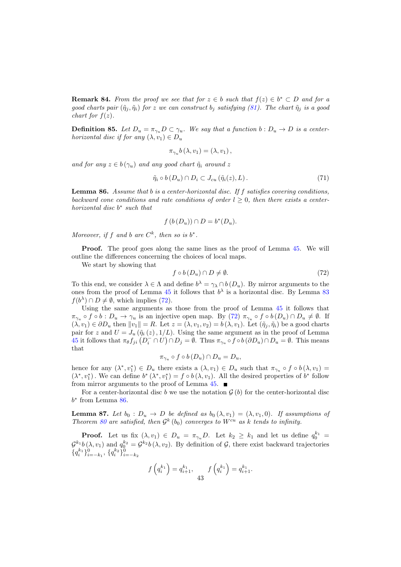**Remark 84.** From the proof we see that for  $z \in b$  such that  $f(z) \in b^* \subset D$  and for a good charts pair  $(\tilde{\eta}_i, \tilde{\eta}_i)$  for z we can construct  $b_i$  satisfying [\(81\)](#page-41-2). The chart  $\tilde{\eta}_i$  is a good chart for  $f(z)$ .

**Definition 85.** Let  $D_u = \pi_{\gamma_u} D \subset \gamma_u$ . We say that a function  $b: D_u \to D$  is a centerhorizontal disc if for any  $(\lambda, v_1) \in D_u$ 

$$
\pi_{\gamma_u}b\left(\lambda, v_1\right) = \left(\lambda, v_1\right),\,
$$

and for any  $z \in b(\gamma_u)$  and any good chart  $\tilde{\eta}_i$  around z

$$
\tilde{\eta}_i \circ b(D_u) \cap D_i \subset J_{cu} \left( \tilde{\eta}_i(z), L \right). \tag{71}
$$

<span id="page-42-0"></span>**Lemma 86.** Assume that b is a center-horizontal disc. If  $f$  satisfies covering conditions, backward cone conditions and rate conditions of order  $l \geq 0$ , then there exists a centerhorizontal disc  $b^*$  such that

$$
f(b(D_u)) \cap D = b^*(D_u).
$$

Moreover, if f and b are  $C^k$ , then so is  $b^*$ .

Proof. The proof goes along the same lines as the proof of Lemma [45.](#page-17-1) We will outline the differences concerning the choices of local maps.

We start by showing that

<span id="page-42-1"></span>
$$
f \circ b \left( D_u \right) \cap D \neq \emptyset. \tag{72}
$$

To this end, we consider  $\lambda \in \Lambda$  and define  $b^{\lambda} = \gamma_{\lambda} \cap b(D_{u})$ . By mirror arguments to the ones from the proof of Lemma [45](#page-17-1) it follows that  $b^{\lambda}$  is a horizontal disc. By Lemma [83](#page-41-0)  $f(b^{\lambda}) \cap D \neq \emptyset$ , which implies [\(72\)](#page-42-1).

Using the same arguments as those from the proof of Lemma [45](#page-17-1) it follows that  $\pi_{\gamma_u} \circ f \circ b : D_u \to \gamma_u$  is an injective open map. By  $(72)$   $\pi_{\gamma_u} \circ f \circ b (D_u) \cap D_u \neq \emptyset$ . If  $(\lambda, v_1) \in \partial D_u$  then  $||v_1|| = R$ . Let  $z = (\lambda, v_1, v_2) = b(\lambda, v_1)$ . Let  $(\tilde{\eta}_j, \tilde{\eta}_i)$  be a good charts pair for z and  $U = J_u(\tilde{\eta}_i(z), 1/L)$ . Using the same argument as in the proof of Lemma [45](#page-17-1) it follows that  $\pi_{\theta} f_{ji} (D_i^-\cap U)\cap D_j = \emptyset$ . Thus  $\pi_{\gamma_u} \circ f \circ b (\partial D_u) \cap D_u = \emptyset$ . This means that

$$
\pi_{\gamma_u} \circ f \circ b \left( D_u \right) \cap D_u = D_u,
$$

hence for any  $(\lambda^*, v_1^*) \in D_u$  there exists a  $(\lambda, v_1) \in D_u$  such that  $\pi_{\gamma_u} \circ f \circ b(\lambda, v_1) =$  $(\lambda^*, v_1^*)$ . We can define  $b^* (\lambda^*, v_1^*) = f \circ b(\lambda, v_1)$ . All the desired properties of  $b^*$  follow from mirror arguments to the proof of Lemma  $45.$ 

For a center-horizontal disc b we use the notation  $G(b)$  for the center-horizontal disc  $b^*$  from Lemma  $86$ .

<span id="page-42-2"></span>**Lemma 87.** Let  $b_0$ :  $D_u \rightarrow D$  be defined as  $b_0(\lambda, v_1) = (\lambda, v_1, 0)$ . If assumptions of Theorem [80](#page-39-0) are satisfied, then  $\mathcal{G}^k(b_0)$  converges to  $W^{cu}$  as k tends to infinity.

**Proof.** Let us fix  $(\lambda, v_1) \in D_u = \pi_{\gamma_u} D$ . Let  $k_2 \geq k_1$  and let us define  $q_0^{k_1} =$  $\mathcal{G}^{k_1}b(\lambda, v_1)$  and  $q_0^{k_2} = \mathcal{G}^{k_2}b(\lambda, v_2)$ . By definition of  $\mathcal{G}$ , there exist backward trajectories  ${q_i^{k_1}}_{i=-k_1}^0, {q_i^{k_2}}_{i=-k_2}^0$ 

$$
f\left(q_i^{k_1}\right) = q_{i+1}^{k_1}, \quad f\left(q_i^{k_1}\right) = q_{i+1}^{k_1}.
$$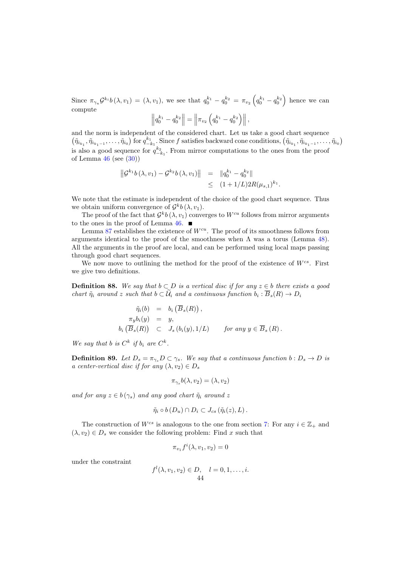Since  $\pi_{\gamma_u} \mathcal{G}^{k_i} b(\lambda, v_1) = (\lambda, v_1)$ , we see that  $q_0^{k_1} - q_0^{k_2} = \pi_{v_2} \left( q_0^{k_1} - q_0^{k_2} \right)$  hence we can compute

$$
\left\|q_0^{k_1} - q_0^{k_2}\right\| = \left\|\pi_{v_2}\left(q_0^{k_1} - q_0^{k_2}\right)\right\|,
$$

and the norm is independent of the considered chart. Let us take a good chart sequence  $(\tilde{\eta}_{i_{k_1}}, \tilde{\eta}_{i_{k_1-1}}, \ldots, \tilde{\eta}_{i_0})$  for  $q_{-k_1}^{k_1}$ . Since f satisfies backward cone conditions,  $(\tilde{\eta}_{i_{k_1}}, \tilde{\eta}_{i_{k_1-1}}, \ldots, \tilde{\eta}_{i_0})$ is also a good sequence for  $q_{-k_1}^{k_2}$ . From mirror computations to the ones from the proof of Lemma [46](#page-18-4) (see [\(30\)](#page-18-3))

$$
\begin{aligned} \left\| \mathcal{G}^{k_1} b\left(\lambda, v_1\right) - \mathcal{G}^{k_2} b\left(\lambda, v_1\right) \right\| &= \left\| q_0^{k_1} - q_0^{k_2} \right\| \\ &\leq \left( 1 + 1/L \right) 2R(\mu_{s,1})^{k_1} .\end{aligned}
$$

We note that the estimate is independent of the choice of the good chart sequence. Thus we obtain uniform convergence of  $\mathcal{G}^k b\left(\lambda, v_1\right)$ .

The proof of the fact that  $\mathcal{G}^k b(\lambda, v_1)$  converges to  $W^{cu}$  follows from mirror arguments to the ones in the proof of Lemma  $46.$ 

Lemma [87](#page-42-2) establishes the existence of  $W^{cu}$ . The proof of its smoothness follows from arguments identical to the proof of the smoothness when  $\Lambda$  was a torus (Lemma [48\)](#page-20-0). All the arguments in the proof are local, and can be performed using local maps passing through good chart sequences.

We now move to outlining the method for the proof of the existence of  $W^{cs}$ . First we give two definitions.

**Definition 88.** We say that  $b \subset D$  is a vertical disc if for any  $z \in b$  there exists a good chart  $\tilde{\eta}_i$  around z such that  $b \subset \mathcal{U}_i$  and a continuous function  $b_i : \overline{B}_s(R) \to D_i$ 

$$
\tilde{\eta}_i(b) = b_i \left( \overline{B}_s(R) \right),
$$
  
\n
$$
\pi_y b_i(y) = y,
$$
  
\n
$$
b_i \left( \overline{B}_s(R) \right) \subset J_s \left( b_i(y), 1/L \right) \quad \text{for any } y \in \overline{B}_s \left( R \right).
$$

We say that b is  $C^k$  if  $b_i$  are  $C^k$ .

**Definition 89.** Let  $D_s = \pi_{\gamma_s} D \subset \gamma_s$ . We say that a continuous function  $b : D_s \to D$  is a center-vertical disc if for any  $(\lambda, v_2) \in D_s$ 

$$
\pi_{\gamma_s}b(\lambda,v_2)=(\lambda,v_2)
$$

and for any  $z \in b(\gamma_s)$  and any good chart  $\tilde{\eta}_i$  around z

$$
\tilde{\eta}_i \circ b(D_u) \cap D_i \subset J_{cs}(\tilde{\eta}_i(z), L).
$$

The construction of  $W^{cs}$  is analogous to the one from section [7:](#page-21-0) For any  $i \in \mathbb{Z}_+$  and  $(\lambda, v_2) \in D_s$  we consider the following problem: Find x such that

$$
\pi_{v_1} f^i(\lambda, v_1, v_2) = 0
$$

under the constraint

$$
f^{l}(\lambda, v_1, v_2) \in D, \quad l = 0, 1, ..., i.
$$
  
44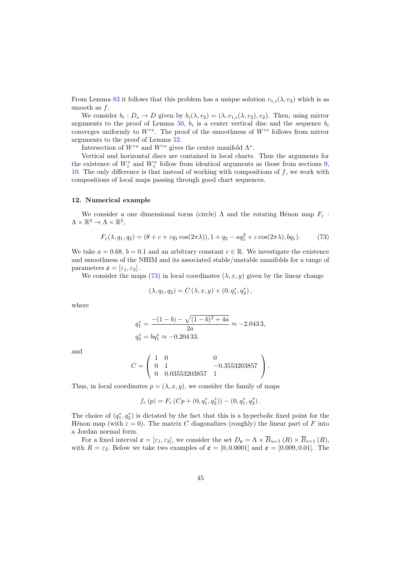From Lemma [83](#page-41-0) it follows that this problem has a unique solution  $v_{1,i}(\lambda, v_2)$  which is as smooth as f.

We consider  $b_i: D_s \to D$  given by  $b_i(\lambda, v_2) = (\lambda, v_{1,i}(\lambda, v_2), v_2)$ . Then, using mirror arguments to the proof of Lemma [50,](#page-21-4)  $b_i$  is a center vertical disc and the sequence  $b_i$ converges uniformly to  $W^{cs}$ . The proof of the smoothness of  $W^{cs}$  follows from mirror arguments to the proof of Lemma [52.](#page-23-0)

Intersection of  $W^{cu}$  and  $W^{cs}$  gives the center manifold  $\Lambda^*$ .

Vertical and horizontal discs are contained in local charts. Thus the arguments for the existence of  $W_z^s$  and  $W_z^u$  follow from identical arguments as those from sections [9,](#page-26-2) [10.](#page-31-0) The only difference is that instead of working with compositions of  $f$ , we work with compositions of local maps passing through good chart sequences.

### <span id="page-44-0"></span>12. Numerical example

We consider a one dimensional torus (circle)  $\Lambda$  and the rotating Hénon map  $F_{\varepsilon}$ :  $\Lambda\times\mathbb{R}^2\to\Lambda\times\mathbb{R}^2,$ 

<span id="page-44-1"></span>
$$
F_{\varepsilon}(\lambda, q_1, q_2) = (\theta + c + \varepsilon q_1 \cos(2\pi\lambda)), 1 + q_2 - a q_1^2 + \varepsilon \cos(2\pi\lambda), bq_1). \tag{73}
$$

We take  $a = 0.68$ ,  $b = 0.1$  and an arbitrary constant  $c \in \mathbb{R}$ . We investigate the existence and smoothness of the NHIM and its associated stable/unstable manifolds for a range of parameters  $\varepsilon = [\varepsilon_1, \varepsilon_2]$ .

We consider the maps [\(73\)](#page-44-1) in local coordinates  $(\lambda, x, y)$  given by the linear change

$$
(\lambda, q_1, q_2) = C(\lambda, x, y) + (0, q_1^*, q_2^*),
$$

where

$$
q_1^* = \frac{-(1-b) - \sqrt{(1-b)^2 + 4a}}{2a} \approx -2.0433,
$$
  

$$
q_2^* = bq_1^* \approx -0.20433.
$$

and

$$
C = \left(\begin{array}{ccc} 1 & 0 & 0 \\ 0 & 1 & -0.3553203857 \\ 0 & 0.03553203857 & 1 \end{array}\right).
$$

Thus, in local coordinates  $p = (\lambda, x, y)$ , we consider the family of maps

$$
f_{\varepsilon}(p) = F_{\varepsilon}(Cp + (0, q_1^*, q_2^*)) - (0, q_1^*, q_2^*).
$$

The choice of  $(q_1^*, q_2^*)$  is dictated by the fact that this is a hyperbolic fixed point for the Henon map (with  $\varepsilon = 0$ ). The matrix C diagonalizes (roughly) the linear part of F into a Jordan normal form.

For a fixed interval  $\varepsilon = [\varepsilon_1, \varepsilon_2]$ , we consider the set  $D_{\varepsilon} = \Lambda \times \overline{B}_{u=1} (R) \times \overline{B}_{s=1} (R)$ , with  $R = \varepsilon_2$ . Below we take two examples of  $\varepsilon = [0, 0.0001]$  and  $\varepsilon = [0.009, 0.01]$ . The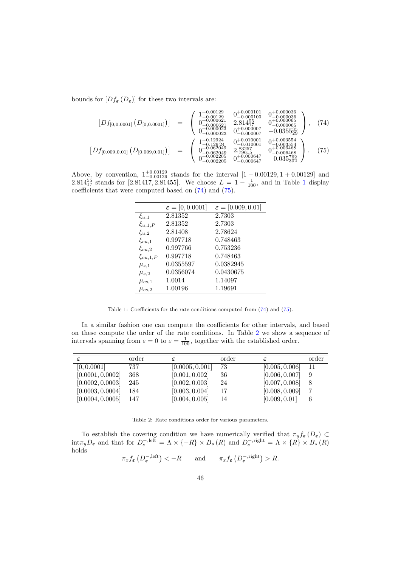bounds for  $[Df_{\epsilon}(D_{\epsilon})]$  for these two intervals are:

<span id="page-45-1"></span>
$$
\begin{bmatrix}\nDf_{[0,0.0001]} \left(D_{[0,0.0001]}\right)\n\end{bmatrix} = \begin{pmatrix}\n\frac{1+0.00129}{1-0.00129} & \frac{0+0.000101}{-0.000100} & \frac{0+0.000036}{-0.000065} \\
\frac{0+0.00029}{0-0.000621} & 2.81455 & \frac{0+0.000065}{-0.000065} \\
0-0.000023 & 0+0.000007 & -0.035535 \\
0-0.000023 & 0-0.00007 & -0.03554 \\
0-0.000023 & 0-0.010001 & \frac{0+0.003554}{-0.000655} \\
0-0.000007 & 0-0.003554 & \frac{0+0.003554}{-0.0006468} \\
0-0.0002205 & 0+0.000647 & -0.035762 \\
0-0.002205 & 0+0.000647 & -0.035762 \\
0-0.0002205 & 0-0.000647 & -0.035762\n\end{bmatrix}.
$$
\n(75)

Above, by convention,  $1^{+0.00129}_{-0.00129}$  stands for the interval  $[1 - 0.00129, 1 + 0.00129]$  and 2.8[1](#page-45-0)4 $_{17}^{55}$  stands for [2.81417, 2.81455]. We choose  $L = 1 - \frac{1}{100}$ , and in Table 1 display coefficients that were computed based on [\(74\)](#page-45-1) and [\(75\)](#page-45-1).

|                | $\varepsilon = [0, 0.0001]$ | $\varepsilon = [0.009, 0.01]$ |
|----------------|-----------------------------|-------------------------------|
| $\xi_{u,1}$    | 2.81352                     | 2.7303                        |
| $\xi_{u,1,P}$  | 2.81352                     | 2.7303                        |
| $\xi_{u,2}$    | 2.81408                     | 2.78624                       |
| $\xi_{cu,1}$   | 0.997718                    | 0.748463                      |
| $\xi_{cu,2}$   | 0.997766                    | 0.753236                      |
| $\xi_{cu,1,P}$ | 0.997718                    | 0.748463                      |
| $\mu_{s,1}$    | 0.0355597                   | 0.0382945                     |
| $\mu_{s,2}$    | 0.0356074                   | 0.0430675                     |
| $\mu_{cs,1}$   | 1.0014                      | 1.14097                       |
| $\mu_{cs,2}$   | 1.00196                     | 1.19691                       |

<span id="page-45-0"></span>Table 1: Coefficients for the rate conditions computed from [\(74\)](#page-45-1) and [\(75\)](#page-45-1).

In a similar fashion one can compute the coefficients for other intervals, and based on these compute the order of the rate conditions. In Table [2](#page-45-2) we show a sequence of intervals spanning from  $\varepsilon = 0$  to  $\varepsilon = \frac{1}{100}$ , together with the established order.

| ε                | order | ε               | order | ε              | order |
|------------------|-------|-----------------|-------|----------------|-------|
| [0, 0.0001]      | 737   | [0.0005, 0.001] | 73    | [0.005, 0.006] | 11    |
| [0.0001, 0.0002] | 368   | [0.001, 0.002]  | 36    | [0.006, 0.007] | 9     |
| [0.0002, 0.0003] | 245   | [0.002, 0.003]  | 24    | [0.007, 0.008] | 8     |
| [0.0003, 0.0004] | 184   | [0.003, 0.004]  |       | [0.008, 0.009] |       |
| [0.0004, 0.0005] | 147   | [0.004, 0.005]  | 14    | [0.009, 0.01]  |       |

<span id="page-45-2"></span>Table 2: Rate conditions order for various parameters.

To establish the covering condition we have numerically verified that  $\pi_y f_\epsilon (D_\epsilon) \subset$  $\text{int}\pi_y D_\epsilon$  and that for  $D_\epsilon^{-\text{,left}} = \Lambda \times \{-R\} \times \overline{B}_s(R)$  and  $D_\epsilon^{-\text{,right}} = \Lambda \times \{R\} \times \overline{B}_s(R)$ holds

$$
\pi_x f_{\epsilon} \left( D_{\epsilon}^{-,\text{left}} \right) < -R
$$
 and  $\pi_x f_{\epsilon} \left( D_{\epsilon}^{-,\text{right}} \right) > R$ .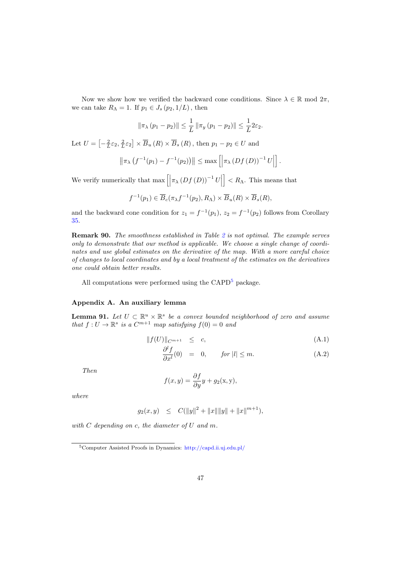Now we show how we verified the backward cone conditions. Since  $\lambda \in \mathbb{R}$  mod  $2\pi$ , we can take  $R_{\Lambda} = 1$ . If  $p_1 \in J_s(p_2, 1/L)$ , then

$$
\|\pi_{\lambda}(p_1 - p_2)\| \le \frac{1}{L} \|\pi_y(p_1 - p_2)\| \le \frac{1}{L} 2\varepsilon_2.
$$

Let  $U = \left[-\frac{2}{L}\varepsilon_2, \frac{2}{L}\varepsilon_2\right] \times \overline{B}_u(R) \times \overline{B}_s(R)$ , then  $p_1 - p_2 \in U$  and

$$
\|\pi_{\lambda}(f^{-1}(p_1) - f^{-1}(p_2))\| \le \max [\left|\pi_{\lambda}(Df(D))^{-1} U\right|].
$$

We verify numerically that  $\max \left[ \left| \pi_{\lambda} \left( Df\left( D \right) \right)^{-1}U \right|$  $\vert R_{\Lambda}$ . This means that

$$
f^{-1}(p_1) \in \overline{B}_c(\pi_\lambda f^{-1}(p_2), R_\Lambda) \times \overline{B}_u(R) \times \overline{B}_s(R),
$$

and the backward cone condition for  $z_1 = f^{-1}(p_1)$ ,  $z_2 = f^{-1}(p_2)$  follows from Corollary [35.](#page-16-2)

Remark 90. The smoothness established in Table [2](#page-45-2) is not optimal. The example serves only to demonstrate that our method is applicable. We choose a single change of coordinates and use global estimates on the derivative of the map. With a more careful choice of changes to local coordinates and by a local treatment of the estimates on the derivatives one could obtain better results.

All computations were performed using the  $\text{CAPD}^5$  $\text{CAPD}^5$  package.

# Appendix A. An auxiliary lemma

<span id="page-46-1"></span>**Lemma 91.** Let  $U \subset \mathbb{R}^u \times \mathbb{R}^s$  be a convex bounded neighborhood of zero and assume that  $f: U \to \mathbb{R}^s$  is a  $C^{m+1}$  map satisfying  $f(0) = 0$  and

$$
||f(U)||_{C^{m+1}} \leq c,
$$
\n(A.1)

$$
\frac{\partial^l f}{\partial x^l}(0) = 0, \quad \text{for } |l| \le m. \tag{A.2}
$$

Then

$$
f(x,y) = \frac{\partial f}{\partial y}y + g_2(x,y),
$$

where

$$
g_2(x, y) \leq C(||y||^2 + ||x|| ||y|| + ||x||^{m+1}),
$$

with C depending on c, the diameter of U and m.

<span id="page-46-0"></span><sup>5</sup>Computer Assisted Proofs in Dynamics: <http://capd.ii.uj.edu.pl/>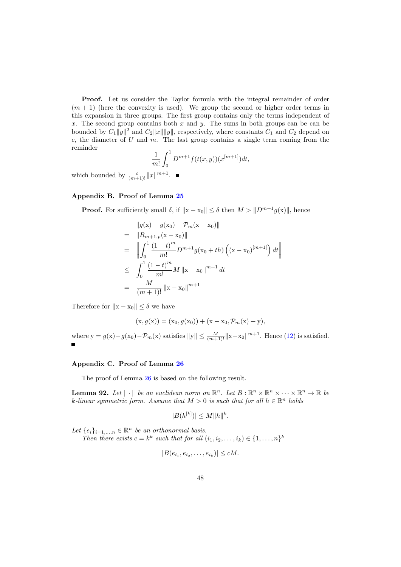Proof. Let us consider the Taylor formula with the integral remainder of order  $(m + 1)$  (here the convexity is used). We group the second or higher order terms in this expansion in three groups. The first group contains only the terms independent of x. The second group contains both  $x$  and  $y$ . The sums in both groups can be can be bounded by  $C_1||y||^2$  and  $C_2||x|| ||y||$ , respectively, where constants  $C_1$  and  $C_2$  depend on c, the diameter of  $U$  and  $m$ . The last group contains a single term coming from the reminder

$$
\frac{1}{m!} \int_0^1 D^{m+1} f(t(x, y))(x^{[m+1]}) dt,
$$

which bounded by  $\frac{c}{(m+1)!}||x||^{m+1}$ .

## <span id="page-47-0"></span>Appendix B. Proof of Lemma [25](#page-12-1)

**Proof.** For sufficiently small  $\delta$ , if  $||x - x_0|| \leq \delta$  then  $M > ||D^{m+1}g(x)||$ , hence

$$
\|g(x) - g(x_0) - \mathcal{P}_m(x - x_0)\|
$$
\n
$$
= \|R_{m+1,p}(x - x_0)\|
$$
\n
$$
= \left\| \int_0^1 \frac{(1 - t)^m}{m!} D^{m+1} g(x_0 + th) \left( (x - x_0)^{[m+1]} \right) dt \right\|
$$
\n
$$
\leq \int_0^1 \frac{(1 - t)^m}{m!} M \|x - x_0\|^{m+1} dt
$$
\n
$$
= \frac{M}{(m+1)!} \|x - x_0\|^{m+1}
$$

Therefore for  $||x - x_0|| \leq \delta$  we have

$$
(x, g(x)) = (x_0, g(x_0)) + (x - x_0, P_m(x) + y),
$$

where  $y = g(x) - g(x_0) - \mathcal{P}_m(x)$  satisfies  $||y|| \leq \frac{M}{(m+1)!} ||x - x_0||^{m+1}$ . Hence [\(12\)](#page-12-4) is satisfied.

# <span id="page-47-1"></span>Appendix C. Proof of Lemma [26](#page-12-2)

The proof of Lemma [26](#page-12-2) is based on the following result.

<span id="page-47-2"></span>**Lemma 92.** Let  $\|\cdot\|$  be an euclidean norm on  $\mathbb{R}^n$ . Let  $B: \mathbb{R}^n \times \mathbb{R}^n \times \cdots \times \mathbb{R}^n \to \mathbb{R}$  be k-linear symmetric form. Assume that  $M > 0$  is such that for all  $h \in \mathbb{R}^n$  holds

$$
|B(h^{[k]})| \le M \|h\|^k.
$$

Let  $\{e_i\}_{i=1,\ldots,n} \in \mathbb{R}^n$  be an orthonormal basis.

Then there exists  $c = k^k$  such that for all  $(i_1, i_2, \ldots, i_k) \in \{1, \ldots, n\}^k$ 

$$
|B(e_{i_1}, e_{i_2}, \dots, e_{i_k})| \le cM.
$$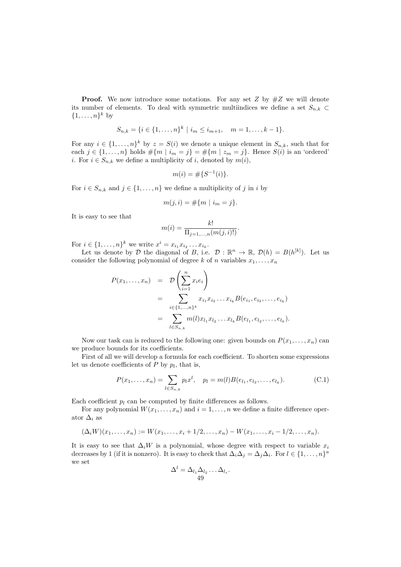**Proof.** We now introduce some notations. For any set Z by  $#Z$  we will denote its number of elements. To deal with symmetric multiindices we define a set  $S_{n,k}$  $\{1,\ldots,n\}^k$  by

$$
S_{n,k} = \{i \in \{1, \ldots, n\}^k \mid i_m \leq i_{m+1}, \quad m = 1, \ldots, k-1\}.
$$

For any  $i \in \{1, \ldots, n\}^k$  by  $z = S(i)$  we denote a unique element in  $S_{n,k}$ , such that for each  $j \in \{1, \ldots, n\}$  holds  $\#\{m \mid i_m = j\} = \#\{m \mid z_m = j\}$ . Hence  $S(i)$  is an 'ordered' i. For  $i \in S_{n,k}$  we define a multiplicity of i, denoted by  $m(i)$ ,

$$
m(i) = \# \{ S^{-1}(i) \}.
$$

For  $i \in S_{n,k}$  and  $j \in \{1, \ldots, n\}$  we define a multiplicity of j in i by

$$
m(j, i) = #\{m \mid i_m = j\}.
$$

It is easy to see that

$$
m(i) = \frac{k!}{\prod_{j=1,...,n} (m(j,i)!)}.
$$

For  $i \in \{1, ..., n\}^k$  we write  $x^i = x_{i_1} x_{i_2} ... x_{i_k}$ .

Let us denote by D the diagonal of B, i.e.  $\mathcal{D}: \mathbb{R}^n \to \mathbb{R}, \mathcal{D}(h) = B(h^{[k]})$ . Let us consider the following polynomial of degree k of n variables  $x_1, \ldots, x_n$ 

$$
P(x_1,...,x_n) = D\left(\sum_{i=1}^n x_i e_i\right)
$$
  
= 
$$
\sum_{i \in \{1,...,n\}^k} x_{i_1} x_{i_2} ... x_{i_k} B(e_{i_1}, e_{i_2},...,e_{i_k})
$$
  
= 
$$
\sum_{l \in S_{n,k}} m(l) x_{l_1} x_{l_2} ... x_{l_k} B(e_{l_1}, e_{l_2},...,e_{l_k}).
$$

Now our task can is reduced to the following one: given bounds on  $P(x_1, \ldots, x_n)$  can we produce bounds for its coefficients.

First of all we will develop a formula for each coefficient. To shorten some expressions let us denote coefficients of  $P$  by  $p_l$ , that is,

<span id="page-48-0"></span>
$$
P(x_1, \ldots, x_n) = \sum_{l \in S_{n,k}} p_l x^l, \quad p_l = m(l)B(e_{l_1}, e_{l_2}, \ldots, e_{l_k}).
$$
 (C.1)

Each coefficient  $p_l$  can be computed by finite differences as follows.

For any polynomial  $W(x_1, \ldots, x_n)$  and  $i = 1, \ldots, n$  we define a finite difference operator  $\Delta_i$  as

$$
(\Delta_i W)(x_1,\ldots,x_n) := W(x_1,\ldots,x_i+1/2,\ldots,x_n) - W(x_1,\ldots,x_i-1/2,\ldots,x_n).
$$

It is easy to see that  $\Delta_i W$  is a polynomial, whose degree with respect to variable  $x_i$ decreases by 1 (if it is nonzero). It is easy to check that  $\Delta_i\Delta_j = \Delta_j\Delta_i$ . For  $l \in \{1,\ldots,n\}^d$ we set

$$
\Delta^l = \Delta_{l_1} \Delta_{l_2} \dots \Delta_{l_s}.
$$
  
49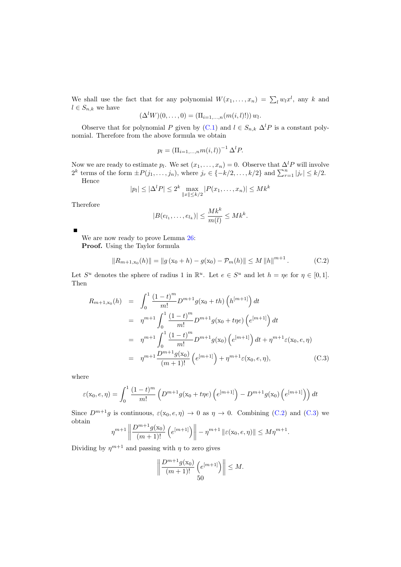We shall use the fact that for any polynomial  $W(x_1, \ldots, x_n) = \sum_l w_l x^l$ , any k and  $l \in S_{n,k}$  we have

$$
(\Delta^l W)(0,\ldots,0) = (\Pi_{i=1,\ldots,n}(m(i,l)!)) w_l.
$$

Observe that for polynomial P given by [\(C.1\)](#page-48-0) and  $l \in S_{n,k} \Delta^l P$  is a constant polynomial. Therefore from the above formula we obtain

$$
p_l = (\Pi_{i=1,...,n} m(i,l))^{-1} \Delta^l P.
$$

Now we are ready to estimate  $p_l$ . We set  $(x_1, \ldots, x_n) = 0$ . Observe that  $\Delta^l P$  will involve  $2^k$  terms of the form  $\pm P(j_1,\ldots,j_n)$ , where  $j_r \in \{-k/2,\ldots,k/2\}$  and  $\sum_{r=1}^n |j_r| \leq k/2$ .

Hence

$$
|p_l| \le |\Delta^l P| \le 2^k \max_{\|x\| \le k/2} |P(x_1, \dots, x_n)| \le Mk^k
$$

Therefore

<span id="page-49-0"></span>
$$
|B(e_{l_1},\ldots,e_{l_k})| \leq \frac{Mk^k}{m(l)} \leq Mk^k.
$$

We are now ready to prove Lemma [26:](#page-12-2)

Proof. Using the Taylor formula

$$
||R_{m+1,x_0}(h)|| = ||g(x_0 + h) - g(x_0) - P_m(h)|| \le M ||h||^{m+1}.
$$
 (C.2)

Let  $S^u$  denotes the sphere of radius 1 in  $\mathbb{R}^u$ . Let  $e \in S^u$  and let  $h = \eta e$  for  $\eta \in [0,1]$ . Then

<span id="page-49-1"></span>
$$
R_{m+1,x_0}(h) = \int_0^1 \frac{(1-t)^m}{m!} D^{m+1} g(x_0 + th) \left( h^{[m+1]} \right) dt
$$
  
\n
$$
= \eta^{m+1} \int_0^1 \frac{(1-t)^m}{m!} D^{m+1} g(x_0 + t \eta e) \left( e^{[m+1]} \right) dt
$$
  
\n
$$
= \eta^{m+1} \int_0^1 \frac{(1-t)^m}{m!} D^{m+1} g(x_0) \left( e^{[m+1]} \right) dt + \eta^{m+1} \varepsilon(x_0, e, \eta)
$$
  
\n
$$
= \eta^{m+1} \frac{D^{m+1} g(x_0)}{(m+1)!} \left( e^{[m+1]} \right) + \eta^{m+1} \varepsilon(x_0, e, \eta), \qquad (C.3)
$$

where

$$
\varepsilon(\mathbf{x}_0, e, \eta) = \int_0^1 \frac{(1-t)^m}{m!} \left( D^{m+1} g(\mathbf{x}_0 + t\eta e) \left( e^{[m+1]} \right) - D^{m+1} g(\mathbf{x}_0) \left( e^{[m+1]} \right) \right) dt
$$

Since  $D^{m+1}g$  is continuous,  $\varepsilon(x_0, e, \eta) \to 0$  as  $\eta \to 0$ . Combining [\(C.2\)](#page-49-0) and [\(C.3\)](#page-49-1) we obtain

$$
\eta^{m+1} \left\| \frac{D^{m+1} g(x_0)}{(m+1)!} \left( e^{[m+1]} \right) \right\| - \eta^{m+1} \left\| \varepsilon(x_0, e, \eta) \right\| \le M \eta^{m+1}.
$$

Dividing by  $\eta^{m+1}$  and passing with  $\eta$  to zero gives

$$
\left\|\frac{D^{m+1}g(\mathbf{x}_0)}{(m+1)!}\left(e^{[m+1]}\right)\right\| \le M.
$$
50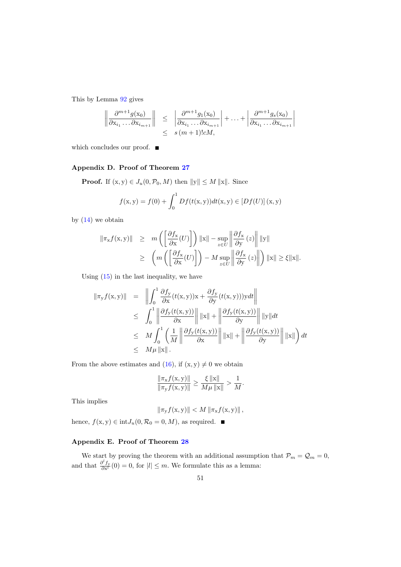This by Lemma [92](#page-47-2) gives

$$
\left\|\frac{\partial^{m+1}g(x_0)}{\partial x_{i_1}\dots\partial x_{i_{m+1}}}\right\| \leq \left\|\frac{\partial^{m+1}g_1(x_0)}{\partial x_{i_1}\dots\partial x_{i_{m+1}}}\right| + \dots + \left\|\frac{\partial^{m+1}g_s(x_0)}{\partial x_{i_1}\dots\partial x_{i_{m+1}}}\right\|
$$
  

$$
\leq s(m+1)!cM,
$$

which concludes our proof. ■

# <span id="page-50-0"></span>Appendix D. Proof of Theorem [27](#page-13-0)

**Proof.** If  $(x, y) \in J_u(0, \mathcal{P}_0, M)$  then  $||y|| \leq M ||x||$ . Since

$$
f(x, y) = f(0) + \int_0^1 Df(t(x, y))dt(x, y) \in [Df(U)] (x, y)
$$

by  $(14)$  we obtain

$$
\begin{array}{rcl} \|\pi_{\mathbf{x}}f(\mathbf{x},\mathbf{y})\| & \geq & m\left(\left[\frac{\partial f_{\mathbf{x}}}{\partial \mathbf{x}}(U)\right]\right) \|\mathbf{x}\| - \sup_{z \in U} \left\|\frac{\partial f_{\mathbf{x}}}{\partial \mathbf{y}}(z)\right\| \|\mathbf{y}\| \\ & \geq & \left(m\left(\left[\frac{\partial f_{\mathbf{x}}}{\partial \mathbf{x}}(U)\right]\right) - M \sup_{z \in U} \left\|\frac{\partial f_{\mathbf{x}}}{\partial \mathbf{y}}(z)\right\| \right) \|\mathbf{x}\| \geq \xi \|\mathbf{x}\|. \end{array}
$$

Using [\(15\)](#page-13-4) in the last inequality, we have

$$
\|\pi_y f(\mathbf{x}, \mathbf{y})\| = \left\| \int_0^1 \frac{\partial f_{\mathbf{y}}}{\partial \mathbf{x}} (t(\mathbf{x}, \mathbf{y})) \mathbf{x} + \frac{\partial f_{\mathbf{y}}}{\partial \mathbf{y}} (t(\mathbf{x}, \mathbf{y}))) \mathbf{y} dt \right\|
$$
  
\n
$$
\leq \int_0^1 \left\| \frac{\partial f_{\mathbf{y}}(t(\mathbf{x}, \mathbf{y}))}{\partial \mathbf{x}} \right\| \|\mathbf{x}\| + \left\| \frac{\partial f_{\mathbf{y}}(t(\mathbf{x}, \mathbf{y}))}{\partial \mathbf{y}} \right\| \|\mathbf{y}\| dt
$$
  
\n
$$
\leq M \int_0^1 \left( \frac{1}{M} \left\| \frac{\partial f_{\mathbf{y}}(t(\mathbf{x}, \mathbf{y}))}{\partial \mathbf{x}} \right\| \|\mathbf{x}\| + \left\| \frac{\partial f_{\mathbf{y}}(t(\mathbf{x}, \mathbf{y}))}{\partial \mathbf{y}} \right\| \|\mathbf{x}\| \right) dt
$$
  
\n
$$
\leq M \mu \|\mathbf{x}\|.
$$

From the above estimates and [\(16\)](#page-13-2), if  $(x, y) \neq 0$  we obtain

$$
\frac{\|\pi_{\mathbf{x}}f(\mathbf{x}, \mathbf{y})\|}{\|\pi_{\mathbf{y}}f(\mathbf{x}, \mathbf{y})\|} \ge \frac{\xi \|\mathbf{x}\|}{M\mu \|\mathbf{x}\|} > \frac{1}{M}.
$$

This implies

$$
\|\pi_{\mathbf{y}}f(\mathbf{x},\mathbf{y})\| < M \|\pi_{\mathbf{x}}f(\mathbf{x},\mathbf{y})\|,
$$

hence,  $f(x, y) \in int J_u(0, \mathcal{R}_0 = 0, M)$ , as required.

# <span id="page-50-1"></span>Appendix E. Proof of Theorem [28](#page-13-1)

<span id="page-50-2"></span>We start by proving the theorem with an additional assumption that  $\mathcal{P}_m = \mathcal{Q}_m = 0$ , and that  $\frac{\partial^l f_y}{\partial x^l}(0) = 0$ , for  $|l| \leq m$ . We formulate this as a lemma: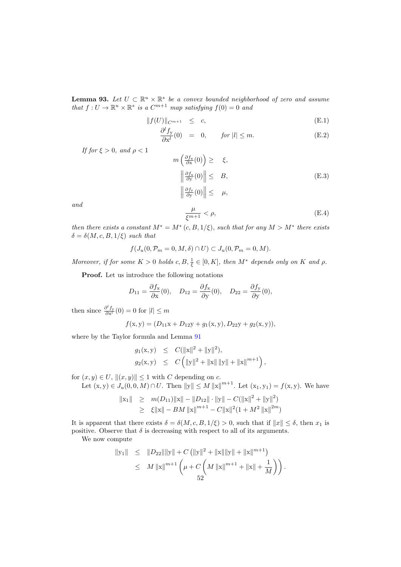**Lemma 93.** Let  $U \subset \mathbb{R}^u \times \mathbb{R}^s$  be a convex bounded neighborhood of zero and assume that  $f: U \to \mathbb{R}^u \times \mathbb{R}^s$  is a  $C^{m+1}$  map satisfying  $f(0) = 0$  and

<span id="page-51-2"></span>
$$
||f(U)||_{C^{m+1}} \leq c,
$$
\n(E.1)

<span id="page-51-1"></span>
$$
\frac{\partial^l f_y}{\partial x^l}(0) = 0, \qquad \text{for } |l| \le m. \tag{E.2}
$$

If for  $\xi > 0$ , and  $\rho < 1$ 

$$
m\left(\frac{\partial f_x}{\partial x}(0)\right) \geq \xi,
$$
  

$$
\left\|\frac{\partial f_x}{\partial y}(0)\right\| \leq B,
$$
  

$$
\left\|\frac{\partial f_y}{\partial y}(0)\right\| \leq \mu,
$$
 (E.3)

<span id="page-51-0"></span>and

$$
\frac{\mu}{\xi^{m+1}} < \rho,\tag{E.4}
$$

then there exists a constant  $M^* = M^*(c, B, 1/\xi)$ , such that for any  $M > M^*$  there exists  $\delta = \delta(M, c, B, 1/\xi)$  such that

$$
f(J_u(0, \mathcal{P}_m = 0, M, \delta) \cap U) \subset J_u(0, \mathcal{P}_m = 0, M).
$$

Moreover, if for some  $K > 0$  holds  $c, B, \frac{1}{\xi} \in [0, K]$ , then  $M^*$  depends only on K and  $\rho$ .

Proof. Let us introduce the following notations

$$
D_{11} = \frac{\partial f_{\mathbf{x}}}{\partial \mathbf{x}}(0), \quad D_{12} = \frac{\partial f_{\mathbf{x}}}{\partial \mathbf{y}}(0), \quad D_{22} = \frac{\partial f_{\mathbf{y}}}{\partial \mathbf{y}}(0),
$$

then since  $\frac{\partial^l f_y}{\partial x^l}(0) = 0$  for  $|l| \leq m$ 

$$
f(x, y) = (D_{11}x + D_{12}y + g_1(x, y), D_{22}y + g_2(x, y)),
$$

where by the Taylor formula and Lemma [91](#page-46-1)

$$
g_1(x, y) \leq C(||x||^2 + ||y||^2),
$$
  
\n $g_2(x, y) \leq C(||y||^2 + ||x|| ||y|| + ||x||^{m+1}),$ 

for  $(x, y) \in U$ ,  $||(x, y)|| \le 1$  with C depending on c.

Let  $(x, y) \in J_u(0, 0, M) \cap U$ . Then  $||y|| \le M ||x||^{m+1}$ . Let  $(x_1, y_1) = f(x, y)$ . We have

$$
\begin{array}{rcl}\n\|\mathbf{x}_1\| & \geq & m(D_{11})\|\mathbf{x}\| - \|D_{12}\| \cdot \|\mathbf{y}\| - C(\|\mathbf{x}\|^2 + \|\mathbf{y}\|^2) \\
& \geq & \xi \|\mathbf{x}\| - BM \|\mathbf{x}\|^{m+1} - C\|\mathbf{x}\|^2 (1 + M^2 \|\mathbf{x}\|^{2m})\n\end{array}
$$

It is apparent that there exists  $\delta = \delta(M, c, B, 1/\xi) > 0$ , such that if  $||x|| \leq \delta$ , then  $x_1$  is positive. Observe that  $\delta$  is decreasing with respect to all of its arguments.

We now compute

$$
\begin{array}{rcl} \|y_1\| & \leq & \|D_{22}\| \|y\| + C \left( \|y\|^2 + \|x\| \|y\| + \|x\|^{m+1} \right) \\ & \leq & M \left\| x \right\|^{m+1} \left( \mu + C \left( M \left\| x \right\|^{m+1} + \left\| x \right\| + \frac{1}{M} \right) \right). \end{array}
$$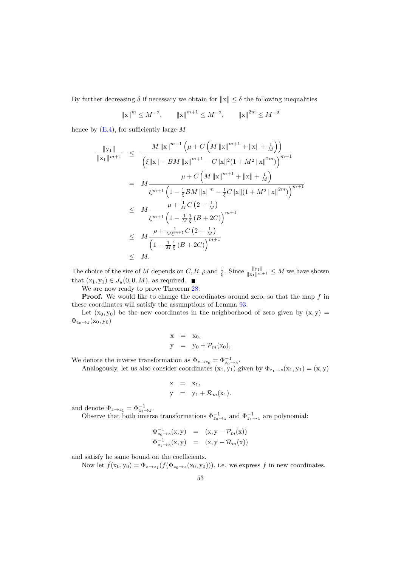By further decreasing  $\delta$  if necessary we obtain for  $||x|| \leq \delta$  the following inequalities

$$
||x||^m \le M^{-2}
$$
,  $||x||^{m+1} \le M^{-2}$ ,  $||x||^{2m} \le M^{-2}$ 

hence by  $(E.4)$ , for sufficiently large M

$$
\frac{\|y_1\|}{\|x_1\|^{m+1}} \leq \frac{M \left\|x\right\|^{m+1} \left(\mu + C \left(M \left\|x\right\|^{m+1} + \left\|x\right\| + \frac{1}{M}\right)\right)}{\left(\xi\|x\| - BM \left\|x\right\|^{m+1} - C\|x\|^2 (1 + M^2 \left\|x\right\|^{2m})\right)^{m+1}}
$$
\n
$$
= M \frac{\mu + C \left(M \left\|x\right\|^{m+1} + \left\|x\right\| + \frac{1}{M}\right)}{\xi^{m+1} \left(1 - \frac{1}{\xi} BM \left\|x\right\|^{m} - \frac{1}{\xi} C\|x\| (1 + M^2 \left\|x\right\|^{2m})\right)^{m+1}}
$$
\n
$$
\leq M \frac{\mu + \frac{1}{M} C \left(2 + \frac{1}{M}\right)}{\xi^{m+1} \left(1 - \frac{1}{M} \frac{1}{\xi} \left(B + 2C\right)\right)^{m+1}}
$$
\n
$$
\leq M \frac{\rho + \frac{1}{M\xi^{m+1}} C \left(2 + \frac{1}{M}\right)}{\left(1 - \frac{1}{M} \frac{1}{\xi} \left(B + 2C\right)\right)^{m+1}}
$$
\n
$$
\leq M.
$$

The choice of the size of M depends on  $C, B, \rho$  and  $\frac{1}{\xi}$ . Since  $\frac{||y_1||}{||x_1||^{m+1}} \leq M$  we have shown that  $(x_1, y_1) \in J_u(0, 0, M)$ , as required.  $\blacksquare$ 

We are now ready to prove Theorem [28:](#page-13-1)

**Proof.** We would like to change the coordinates around zero, so that the map  $f$  in these coordinates will satisfy the assumptions of Lemma [93.](#page-50-2)

Let  $(x_0, y_0)$  be the new coordinates in the neighborhood of zero given by  $(x, y)$  =  $\Phi_{z_0\to z}(x_0, y_0)$ 

$$
x = x_0,
$$
  
\n
$$
y = y_0 + \mathcal{P}_m(x_0),
$$

We denote the inverse transformation as  $\Phi_{z \to z_0} = \Phi_{z_0 \to z}^{-1}$ .

Analogously, let us also consider coordinates  $(x_1, y_1)$  given by  $\Phi_{z_1 \to z}(x_1, y_1) = (x, y)$ 

$$
x = x_1,
$$
  
\n
$$
y = y_1 + \mathcal{R}_m(x_1).
$$

and denote  $\Phi_{z \to z_1} = \Phi_{z_1 \to z}^{-1}$ .

Observe that both inverse transformations  $\Phi_{z_0 \to z}^{-1}$  and  $\Phi_{z_1 \to z}^{-1}$  are polynomial:

$$
\Phi_{z_0 \to z}^{-1}(\mathbf{x}, \mathbf{y}) = (\mathbf{x}, \mathbf{y} - \mathcal{P}_m(\mathbf{x})) \n\Phi_{z_1 \to z}^{-1}(\mathbf{x}, \mathbf{y}) = (\mathbf{x}, \mathbf{y} - \mathcal{R}_m(\mathbf{x}))
$$

and satisfy he same bound on the coefficients.

Now let  $\tilde{f}(x_0, y_0) = \Phi_{z \to z_1}(f(\Phi_{z_0 \to z}(x_0, y_0))),$  i.e. we express f in new coordinates.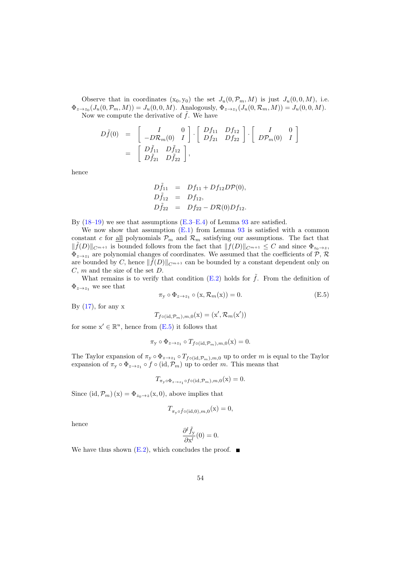Observe that in coordinates  $(x_0, y_0)$  the set  $J_u(0, \mathcal{P}_m, M)$  is just  $J_u(0, 0, M)$ , i.e.  $\Phi_{z \to z_0}(J_u(0, \mathcal{P}_m, M)) = J_u(0, 0, M)$ . Analogously,  $\Phi_{z \to z_1}(J_u(0, \mathcal{R}_m, M)) = J_u(0, 0, M)$ . Now we compute the derivative of  $\tilde{f}$ . We have

$$
D\tilde{f}(0) = \begin{bmatrix} I & 0 \\ -D\mathcal{R}_m(0) & I \end{bmatrix} \cdot \begin{bmatrix} Df_{11} & Df_{12} \\ Df_{21} & Df_{22} \end{bmatrix} \cdot \begin{bmatrix} I & 0 \\ D\mathcal{P}_m(0) & I \end{bmatrix}
$$
  
= 
$$
\begin{bmatrix} D\tilde{f}_{11} & D\tilde{f}_{12} \\ D\tilde{f}_{21} & D\tilde{f}_{22} \end{bmatrix},
$$

hence

$$
D\tilde{f}_{11} = Df_{11} + Df_{12}D\mathcal{P}(0), \nD\tilde{f}_{12} = Df_{12}, \nD\tilde{f}_{22} = Df_{22} - D\mathcal{R}(0)Df_{12}.
$$

By  $(18-19)$  $(18-19)$  we see that assumptions  $(E.3-E.4)$  $(E.3-E.4)$  of Lemma [93](#page-50-2) are satisfied.

We now show that assumption  $(E.1)$  from Lemma [93](#page-50-2) is satisfied with a common constant c for <u>all</u> polynomials  $P_m$  and  $\mathcal{R}_m$  satisfying our assumptions. The fact that  $\|\tilde{f}(D)\|_{C^{m+1}}$  is bounded follows from the fact that  $\|f(D)\|_{C^{m+1}} \leq C$  and since  $\Phi_{z_0 \to z}$ ,  $\Phi_{z\rightarrow z_1}$  are polynomial changes of coordinates. We assumed that the coefficients of  $\mathcal{P}, \mathcal{R}$ are bounded by C, hence  $\|\tilde{f}(D)\|_{C^{m+1}}$  can be bounded by a constant dependent only on  $C, m$  and the size of the set  $D$ .

What remains is to verify that condition [\(E.2\)](#page-51-2) holds for  $\tilde{f}$ . From the definition of  $\Phi_{z\to z_1}$  we see that

<span id="page-53-0"></span>
$$
\pi_{\mathbf{y}} \circ \Phi_{z \to z_1} \circ (\mathbf{x}, \mathcal{R}_m(\mathbf{x})) = 0.
$$
 (E.5)

By  $(17)$ , for any x

 $T_{f \circ (\mathrm{id}, \mathcal{P}_m), m, 0}(\mathbf{x}) = (\mathbf{x}', \mathcal{R}_m(\mathbf{x}'))$ 

for some  $x' \in \mathbb{R}^u$ , hence from  $(E.5)$  it follows that

$$
\pi_{\mathbf{y}} \circ \Phi_{z \to z_1} \circ T_{f \circ (\mathrm{id}, \mathcal{P}_m), m, 0}(\mathbf{x}) = 0.
$$

The Taylor expansion of  $\pi_y \circ \Phi_{z \to z_1} \circ T_{f \circ (\mathrm{id}, \mathcal{P}_m), m, 0}$  up to order m is equal to the Taylor expansion of  $\pi_y \circ \Phi_{z \to z_1} \circ f \circ (\mathrm{id}, \mathcal{P}_m)$  up to order m. This means that

$$
T_{\pi_y \circ \Phi_{z \to z_1} \circ f \circ (\mathrm{id}, \mathcal{P}_m), m, 0}(\mathbf{x}) = 0.
$$

Since  $(id, \mathcal{P}_m)(x) = \Phi_{z_0 \to z}(x, 0)$ , above implies that

$$
T_{\pi_{\mathbf{y}} \circ \tilde{f} \circ (\mathrm{id}, 0), m, 0}(\mathbf{x}) = 0,
$$

hence

$$
\frac{\partial^l \tilde{f}_y}{\partial x^l}(0) = 0.
$$

We have thus shown  $(E.2)$ , which concludes the proof.  $\blacksquare$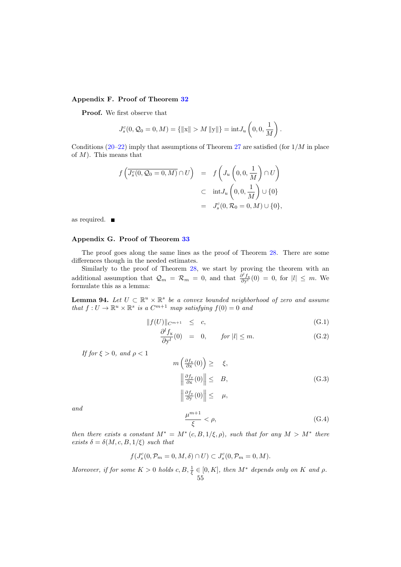# <span id="page-54-0"></span>Appendix F. Proof of Theorem [32](#page-14-3)

Proof. We first observe that

$$
J_s^c(0, Q_0 = 0, M) = \{ ||\mathbf{x}|| > M ||\mathbf{y}|| \} = \text{int} J_u\left(0, 0, \frac{1}{M}\right).
$$

Conditions [\(20–](#page-14-4)[22\)](#page-15-2) imply that assumptions of Theorem [27](#page-13-0) are satisfied (for  $1/M$  in place of  $M$ ). This means that

$$
f\left(\overline{J_s^c(0, \mathcal{Q}_0 = 0, M)} \cap U\right) = f\left(J_u\left(0, 0, \frac{1}{M}\right) \cap U\right)
$$
  

$$
\subset \text{int} J_u\left(0, 0, \frac{1}{M}\right) \cup \{0\}
$$
  

$$
= J_s^c(0, \mathcal{R}_0 = 0, M) \cup \{0\},
$$

as required.

# <span id="page-54-1"></span>Appendix G. Proof of Theorem [33](#page-15-0)

The proof goes along the same lines as the proof of Theorem [28.](#page-13-1) There are some differences though in the needed estimates.

Similarly to the proof of Theorem [28,](#page-13-1) we start by proving the theorem with an additional assumption that  $\mathcal{Q}_m = \mathcal{R}_m = 0$ , and that  $\frac{\partial^l f_x}{\partial y^l}(0) = 0$ , for  $|l| \leq m$ . We formulate this as a lemma:

<span id="page-54-3"></span>**Lemma 94.** Let  $U \subset \mathbb{R}^u \times \mathbb{R}^s$  be a convex bounded neighborhood of zero and assume that  $f: U \to \mathbb{R}^u \times \mathbb{R}^s$  is a  $C^{m+1}$  map satisfying  $f(0) = 0$  and

$$
||f(U)||_{C^{m+1}} \leq c,
$$
\n(G.1)

<span id="page-54-2"></span>
$$
\frac{\partial^l f_x}{\partial y^l}(0) = 0, \quad \text{for } |l| \le m. \tag{G.2}
$$

If for  $\xi > 0$ , and  $\rho < 1$ 

$$
m\left(\frac{\partial f_x}{\partial x}(0)\right) \geq \xi,
$$
  

$$
\left\|\frac{\partial f_y}{\partial x}(0)\right\| \leq B,
$$
  

$$
\left\|\frac{\partial f_y}{\partial y}(0)\right\| \leq \mu,
$$
  
(G.3)

and

$$
\frac{\mu^{m+1}}{\xi} < \rho,\tag{G.4}
$$

then there exists a constant  $M^* = M^*(c, B, 1/\xi, \rho)$ , such that for any  $M > M^*$  there exists  $\delta = \delta(M, c, B, 1/\xi)$  such that

$$
f(J_s^c(0,\mathcal{P}_m=0,M,\delta)\cap U)\subset J_s^c(0,\mathcal{P}_m=0,M).
$$

Moreover, if for some  $K > 0$  holds  $c, B, \frac{1}{\xi} \in [0, K]$ , then  $M^*$  depends only on K and  $\rho$ . 55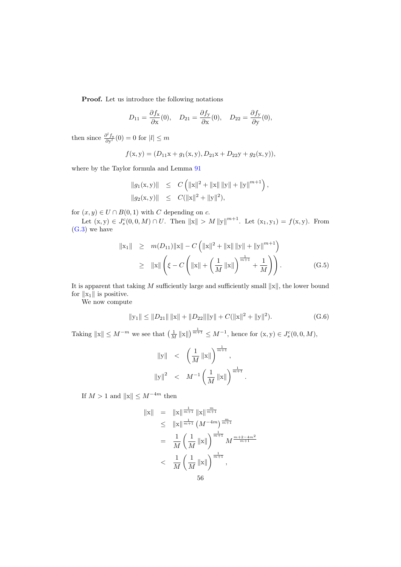Proof. Let us introduce the following notations

$$
D_{11} = \frac{\partial f_{\mathbf{x}}}{\partial \mathbf{x}}(0), \quad D_{21} = \frac{\partial f_{\mathbf{y}}}{\partial \mathbf{x}}(0), \quad D_{22} = \frac{\partial f_{\mathbf{y}}}{\partial \mathbf{y}}(0),
$$

then since  $\frac{\partial^l f_{\mathbf{x}}}{\partial \mathbf{y}^l}(0) = 0$  for  $|l| \leq m$ 

$$
f(x, y) = (D_{11}x + g_1(x, y), D_{21}x + D_{22}y + g_2(x, y)),
$$

where by the Taylor formula and Lemma [91](#page-46-1)

$$
\begin{array}{rcl} \|g_1(\mathbf{x},\mathbf{y})\| & \leq & C\left(\|\mathbf{x}\|^2+\|\mathbf{x}\|\,\|\mathbf{y}\|+\|\mathbf{y}\|^{m+1}\right),\\[0.2cm] \|g_2(\mathbf{x},\mathbf{y})\| & \leq & C(\|\mathbf{x}\|^2+\|\mathbf{y}\|^2), \end{array}
$$

for  $(x, y) \in U \cap B(0, 1)$  with C depending on c.

Let  $(x, y) \in J_s^c(0, 0, M) \cap U$ . Then  $||x|| > M ||y||^{m+1}$ . Let  $(x_1, y_1) = f(x, y)$ . From [\(G.3\)](#page-54-2) we have

<span id="page-55-1"></span>
$$
\|x_1\| \geq m(D_{11})\|x\| - C\left(\|x\|^2 + \|x\| \|y\| + \|y\|^{m+1}\right)
$$
  
\n
$$
\geq \|x\| \left(\xi - C\left(\|x\| + \left(\frac{1}{M} \|x\|\right)^{\frac{1}{m+1}} + \frac{1}{M}\right)\right).
$$
 (G.5)

It is apparent that taking  $M$  sufficiently large and sufficiently small  $||x||$ , the lower bound for  $\|x_1\|$  is positive.

We now compute

<span id="page-55-0"></span>
$$
||y_1|| \le ||D_{21}|| \, ||x|| + ||D_{22}|| ||y|| + C(||x||^2 + ||y||^2). \tag{G.6}
$$

.

Taking  $||x|| \leq M^{-m}$  we see that  $\left(\frac{1}{M}||x||\right)^{\frac{1}{m+1}} \leq M^{-1}$ , hence for  $(x, y) \in J_s^c(0, 0, M)$ ,

$$
||y||
$$
  $<\left(\frac{1}{M} ||x||\right)^{\frac{1}{m+1}},$   
\n $||y||^2 < M^{-1} \left(\frac{1}{M} ||x||\right)^{\frac{1}{m+1}}$ 

If  $M > 1$  and  $||\mathbf{x}|| \leq M^{-4m}$  then

$$
||x|| = ||x||^{\frac{1}{m+1}} ||x||^{\frac{m}{m+1}} \n\leq ||x||^{\frac{1}{m+1}} (M^{-4m})^{\frac{m}{m+1}} \n= \frac{1}{M} \left(\frac{1}{M} ||x||\right)^{\frac{1}{m+1}} M^{\frac{m+2-4m^2}{m+1}} \n< \frac{1}{M} \left(\frac{1}{M} ||x||\right)^{\frac{1}{m+1}},
$$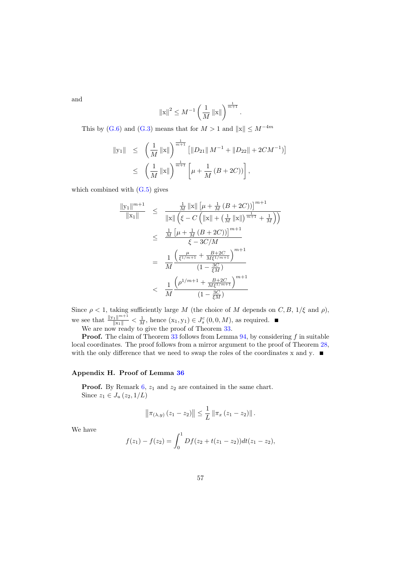and

$$
||x||^2 \le M^{-1} \left(\frac{1}{M} ||x||\right)^{\frac{1}{m+1}}.
$$

This by [\(G.6\)](#page-55-0) and [\(G.3\)](#page-54-2) means that for  $M > 1$  and  $||x|| \leq M^{-4m}$ 

$$
\begin{array}{rcl} \|y_1\| & \leq & \left(\frac{1}{M} \left\|x\right\|\right)^{\frac{1}{m+1}} \left[\left\|D_{21}\right\| M^{-1} + \left\|D_{22}\right\| + 2CM^{-1}\right)\right] \\ & \leq & \left(\frac{1}{M} \left\|x\right\|\right)^{\frac{1}{m+1}} \left[\mu + \frac{1}{M} \left(B + 2C\right)\right], \end{array}
$$

which combined with  $(G.5)$  gives

$$
\frac{\|y_1\|^{m+1}}{\|x_1\|} \leq \frac{\frac{1}{M} \|x\| \left[\mu + \frac{1}{M} (B + 2C)\right]\right]^{m+1}}{\|x\| \left(\xi - C \left(\|x\| + \left(\frac{1}{M} \|x\|\right)^{\frac{1}{m+1}} + \frac{1}{M}\right)\right)}
$$
  

$$
\leq \frac{\frac{1}{M} \left[\mu + \frac{1}{M} (B + 2C)\right]^{m+1}}{\xi - 3C/M}
$$
  

$$
= \frac{1}{M} \frac{\left(\frac{\mu}{\xi^{1/m+1}} + \frac{B + 2C}{M \xi^{1/m+1}}\right)^{m+1}}{(1 - \frac{3C}{\xi M})}
$$
  

$$
< \frac{1}{M} \frac{\left(\rho^{1/m+1} + \frac{B + 2C}{M \xi^{1/m+1}}\right)^{m+1}}{(1 - \frac{3C}{\xi M})}
$$

Since  $\rho < 1$ , taking sufficiently large M (the choice of M depends on C, B,  $1/\xi$  and  $\rho$ ), we see that  $\frac{\|y_1\|^{m+1}}{\|x_1\|} < \frac{1}{M}$ , hence  $(x_1, y_1) \in J_s^c(0, 0, M)$ , as required.

We are now ready to give the proof of Theorem [33.](#page-15-0)

**Proof.** The claim of Theorem  $33$  follows from Lemma  $94$ , by considering f in suitable local coordinates. The proof follows from a mirror argument to the proof of Theorem [28,](#page-13-1) with the only difference that we need to swap the roles of the coordinates x and y.  $\blacksquare$ 

# <span id="page-56-0"></span>Appendix H. Proof of Lemma [36](#page-16-1)

**Proof.** By Remark  $6$ ,  $z_1$  and  $z_2$  are contained in the same chart. Since  $z_1 \in J_u(z_2, 1/L)$ 

$$
\left\|\pi_{(\lambda,y)}(z_1-z_2)\right\| \leq \frac{1}{L} \left\|\pi_x(z_1-z_2)\right\|.
$$

We have

$$
f(z_1) - f(z_2) = \int_0^1 Df(z_2 + t(z_1 - z_2))dt(z_1 - z_2),
$$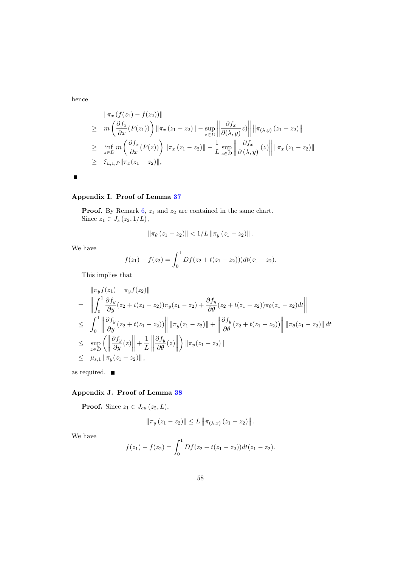hence

$$
\|\pi_x(f(z_1) - f(z_2))\|
$$
\n
$$
\geq m\left(\frac{\partial f_x}{\partial x}(P(z_1))\right) \|\pi_x(z_1 - z_2)\| - \sup_{z \in D} \left\|\frac{\partial f_x}{\partial(\lambda, y)}z\right\| \|\pi_{(\lambda, y)}(z_1 - z_2)\|
$$
\n
$$
\geq \inf_{z \in D} m\left(\frac{\partial f_x}{\partial x}(P(z))\right) \|\pi_x(z_1 - z_2)\| - \frac{1}{L} \sup_{z \in D} \left\|\frac{\partial f_x}{\partial(\lambda, y)}(z)\right\| \|\pi_x(z_1 - z_2)\|
$$
\n
$$
\geq \xi_{u, 1, P} \|\pi_x(z_1 - z_2)\|,
$$

$$
\blacksquare
$$

# <span id="page-57-0"></span>Appendix I. Proof of Lemma [37](#page-16-3)

**Proof.** By Remark [6,](#page-6-2)  $z_1$  and  $z_2$  are contained in the same chart. Since  $z_1 \in J_s(z_2, 1/L)$ ,

$$
\|\pi_{\theta}(z_1 - z_2)\| < 1/L \|\pi_y(z_1 - z_2)\|.
$$

We have

$$
f(z_1) - f(z_2) = \int_0^1 Df(z_2 + t(z_1 - z_2)))dt(z_1 - z_2).
$$

This implies that

$$
\|\pi_y f(z_1) - \pi_y f(z_2)\|
$$
\n
$$
= \left\| \int_0^1 \frac{\partial f_y}{\partial y} (z_2 + t(z_1 - z_2)) \pi_y (z_1 - z_2) + \frac{\partial f_y}{\partial \theta} (z_2 + t(z_1 - z_2)) \pi_{\theta} (z_1 - z_2) dt \right\|
$$
\n
$$
\leq \int_0^1 \left\| \frac{\partial f_y}{\partial y} (z_2 + t(z_1 - z_2)) \right\| \|\pi_y (z_1 - z_2)\| + \left\| \frac{\partial f_y}{\partial \theta} (z_2 + t(z_1 - z_2)) \right\| \|\pi_{\theta} (z_1 - z_2)\| dt
$$
\n
$$
\leq \sup_{z \in D} \left( \left\| \frac{\partial f_y}{\partial y} (z) \right\| + \frac{1}{L} \left\| \frac{\partial f_y}{\partial \theta} (z) \right\| \right) \|\pi_y (z_1 - z_2)\|
$$
\n
$$
\leq \mu_{s,1} \|\pi_y (z_1 - z_2)\|,
$$

as required.

# <span id="page-57-1"></span>Appendix J. Proof of Lemma [38](#page-16-5)

**Proof.** Since  $z_1 \in J_{cu} (z_2, L)$ ,

$$
\|\pi_y(z_1 - z_2)\| \le L \|\pi_{(\lambda,x)}(z_1 - z_2)\|.
$$

We have

$$
f(z_1) - f(z_2) = \int_0^1 Df(z_2 + t(z_1 - z_2))dt(z_1 - z_2).
$$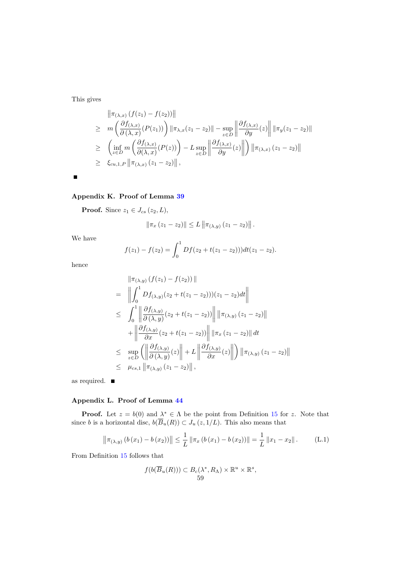This gives

$$
\|\pi_{(\lambda,x)}(f(z_1)-f(z_2))\|
$$
\n
$$
\geq m\left(\frac{\partial f_{(\lambda,x)}}{\partial(\lambda,x)}(P(z_1))\right)\|\pi_{\lambda,x}(z_1-z_2)\| - \sup_{z\in D} \left\|\frac{\partial f_{(\lambda,x)}}{\partial y}(z)\right\| \|\pi_y(z_1-z_2)\|
$$
\n
$$
\geq \left(\inf_{z\in D} m\left(\frac{\partial f_{(\lambda,x)}}{\partial(\lambda,x)}(P(z))\right) - L \sup_{z\in D} \left\|\frac{\partial f_{(\lambda,x)}}{\partial y}(z)\right\| \right) \|\pi_{(\lambda,x)}(z_1-z_2)\|
$$
\n
$$
\geq \xi_{cu,1,P} \|\pi_{(\lambda,x)}(z_1-z_2)\|,
$$

 $\blacksquare$ 

# <span id="page-58-0"></span>Appendix K. Proof of Lemma [39](#page-16-4)

**Proof.** Since  $z_1 \in J_{cs}(z_2, L)$ ,

$$
\|\pi_x(z_1 - z_2)\| \le L \|\pi_{(\lambda, y)}(z_1 - z_2)\|.
$$

We have

$$
f(z_1) - f(z_2) = \int_0^1 Df(z_2 + t(z_1 - z_2))dt(z_1 - z_2).
$$

hence

$$
\|\pi_{(\lambda,y)}(f(z_1) - f(z_2))\|
$$
\n
$$
= \left\|\int_0^1 Df_{(\lambda,y)}(z_2 + t(z_1 - z_2))(z_1 - z_2)dt\right\|
$$
\n
$$
\leq \int_0^1 \left\|\frac{\partial f_{(\lambda,y)}}{\partial(\lambda,y)}(z_2 + t(z_1 - z_2))\right\| \|\pi_{(\lambda,y)}(z_1 - z_2)\|
$$
\n
$$
+ \left\|\frac{\partial f_{(\lambda,y)}}{\partial x}(z_2 + t(z_1 - z_2))\right\| \|\pi_x(z_1 - z_2)\| dt
$$
\n
$$
\leq \sup_{z \in D} \left(\left\|\frac{\partial f_{(\lambda,y)}}{\partial(\lambda,y)}(z)\right\| + L \left\|\frac{\partial f_{(\lambda,y)}}{\partial x}(z)\right\| \right) \|\pi_{(\lambda,y)}(z_1 - z_2)\|
$$
\n
$$
\leq \mu_{cs,1} \|\pi_{(\lambda,y)}(z_1 - z_2)\|,
$$

as required.

# <span id="page-58-1"></span>Appendix L. Proof of Lemma [44](#page-17-0)

**Proof.** Let  $z = b(0)$  and  $\lambda^* \in \Lambda$  be the point from Definition [15](#page-7-3) for z. Note that since b is a horizontal disc,  $b(\overline{B}_u(R)) \subset J_u(z, 1/L)$ . This also means that

$$
\left\|\pi_{(\lambda,y)}\left(b\left(x_1\right)-b\left(x_2\right)\right)\right\| \leq \frac{1}{L}\left\|\pi_x\left(b\left(x_1\right)-b\left(x_2\right)\right)\right\| = \frac{1}{L}\left\|x_1 - x_2\right\|.
$$
 (L.1)

From Definition [15](#page-7-3) follows that

<span id="page-58-2"></span>
$$
f(b(\overline{B}_u(R))) \subset B_c(\lambda^*, R_\Lambda) \times \mathbb{R}^u \times \mathbb{R}^s,
$$
  
59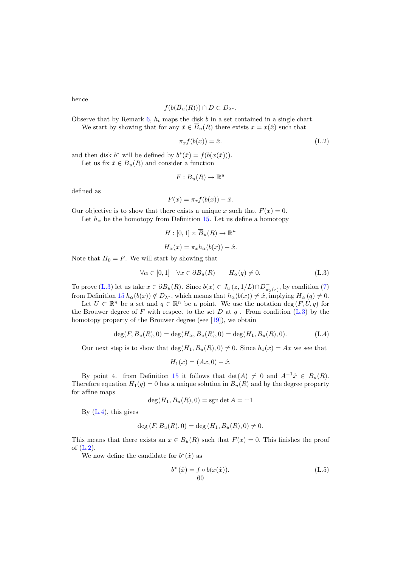hence

$$
f(b(\overline{B}_u(R))) \cap D \subset D_{\lambda^*}.
$$

Observe that by Remark [6,](#page-6-2)  $h_t$  maps the disk b in a set contained in a single chart. We start by showing that for any  $\hat{x} \in \overline{B}_u(R)$  there exists  $x = x(\hat{x})$  such that

<span id="page-59-2"></span>
$$
\pi_x f(b(x)) = \hat{x}.\tag{L.2}
$$

and then disk  $b^*$  will be defined by  $b^*(\hat{x}) = f(b(x(\hat{x})))$ . Let us fix  $\hat{x} \in \overline{B}_u(R)$  and consider a function

$$
F:\overline{B}_u(R)\to\mathbb{R}^u
$$

defined as

$$
F(x) = \pi_x f(b(x)) - \hat{x}.
$$

Our objective is to show that there exists a unique x such that  $F(x) = 0$ .

Let  $h_{\alpha}$  be the homotopy from Definition [15.](#page-7-3) Let us define a homotopy

<span id="page-59-0"></span>
$$
H: [0,1] \times \overline{B}_u(R) \to \mathbb{R}^u
$$

$$
H_{\alpha}(x) = \pi_x h_{\alpha}(b(x)) - \hat{x}.
$$

Note that  $H_0 = F$ . We will start by showing that

$$
\forall \alpha \in [0,1] \quad \forall x \in \partial B_u(R) \qquad H_\alpha(q) \neq 0. \tag{L.3}
$$

To prove [\(L.3\)](#page-59-0) let us take  $x \in \partial B_u(R)$ . Since  $b(x) \in J_u(z, 1/L) \cap D_{\pi_\lambda(z)}^{\sim}$ , by condition [\(7\)](#page-8-1) from Definition [15](#page-7-3)  $h_{\alpha}(b(x)) \notin D_{\lambda^*}$ , which means that  $h_{\alpha}(b(x)) \neq \hat{x}$ , implying  $H_{\alpha}(q) \neq 0$ .

Let  $U \subset \mathbb{R}^n$  be a set and  $q \in \mathbb{R}^n$  be a point. We use the notation deg  $(F, U, q)$  for the Brouwer degree of F with respect to the set D at  $q$ . From condition [\(L.3\)](#page-59-0) by the homotopy property of the Brouwer degree (see [\[19\]](#page-63-12)), we obtain

$$
\deg(F, B_u(R), 0) = \deg(H_\alpha, B_u(R), 0) = \deg(H_1, B_u(R), 0). \tag{L.4}
$$

Our next step is to show that  $\deg(H_1, B_u(R), 0) \neq 0$ . Since  $h_1(x) = Ax$  we see that

<span id="page-59-1"></span>
$$
H_1(x) = (Ax, 0) - \hat{x}.
$$

By point 4. from Definition [15](#page-7-3) it follows that  $\det(A) \neq 0$  and  $A^{-1}\hat{x} \in B_u(R)$ . Therefore equation  $H_1(q) = 0$  has a unique solution in  $B_u(R)$  and by the degree property for affine maps

$$
\deg(H_1, B_u(R), 0) = \text{sgn} \det A = \pm 1
$$

By  $(L.4)$ , this gives

$$
\deg(F, B_u(R), 0) = \deg(H_1, B_u(R), 0) \neq 0.
$$

This means that there exists an  $x \in B_u(R)$  such that  $F(x) = 0$ . This finishes the proof of [\(L.2\)](#page-59-2).

We now define the candidate for  $b^*(\hat{x})$  as

<span id="page-59-3"></span>
$$
b^*(\hat{x}) = f \circ b(x(\hat{x})).
$$
 (L.5)  
60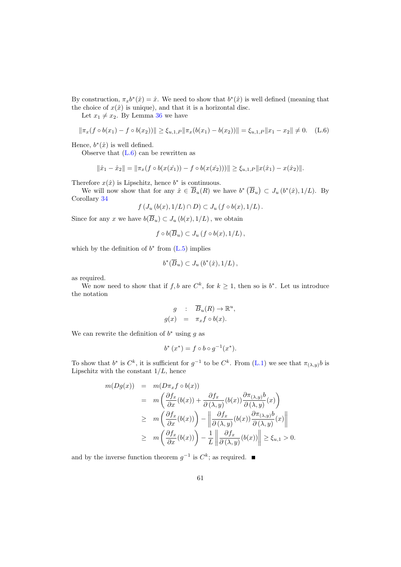By construction,  $\pi_x b^*(\hat{x}) = \hat{x}$ . We need to show that  $b^*(\hat{x})$  is well defined (meaning that the choice of  $x(\hat{x})$  is unique), and that it is a horizontal disc.

Let  $x_1 \neq x_2$ . By Lemma [36](#page-16-1) we have

$$
\|\pi_x(f \circ b(x_1) - f \circ b(x_2))\| \ge \xi_{u,1,P} \|\pi_x(b(x_1) - b(x_2))\| = \xi_{u,1,P} \|x_1 - x_2\| \ne 0. \quad \text{(L.6)}
$$

Hence,  $b^*(\hat{x})$  is well defined.

Observe that [\(L.6\)](#page-60-0) can be rewritten as

<span id="page-60-0"></span>
$$
\|\hat{x}_1 - \hat{x}_2\| = \|\pi_x(f \circ b(x(\hat{x}_1)) - f \circ b(x(\hat{x}_2)))\| \ge \xi_{u,1,P} \|x(\hat{x}_1) - x(\hat{x}_2)\|.
$$

Therefore  $x(\hat{x})$  is Lipschitz, hence  $b^*$  is continuous.

We will now show that for any  $\hat{x} \in \overline{B}_u(R)$  we have  $b^* (\overline{B}_u) \subset J_u(b^*(\hat{x}), 1/L)$ . By Corollary [34](#page-16-0)

$$
f\left(J_u\left(b(x),1/L\right)\cap D\right)\subset J_u\left(f\circ b(x),1/L\right).
$$

Since for any x we have  $b(\overline{B}_u) \subset J_u(b(x), 1/L)$ , we obtain

$$
f\circ b(\overline{B}_u)\subset J_u\left(f\circ b(x),1/L\right),\,
$$

which by the definition of  $b^*$  from  $(L.5)$  implies

$$
b^*(\overline{B}_u) \subset J_u\left(b^*(\hat{x}), 1/L\right),
$$

as required.

We now need to show that if  $f, b$  are  $C^k$ , for  $k \geq 1$ , then so is  $b^*$ . Let us introduce the notation

$$
g : \overline{B}_u(R) \to \mathbb{R}^u,
$$
  

$$
g(x) = \pi_x f \circ b(x).
$$

We can rewrite the definition of  $b^*$  using g as

$$
b^* (x^*) = f \circ b \circ g^{-1} (x^*).
$$

To show that  $b^*$  is  $C^k$ , it is sufficient for  $g^{-1}$  to be  $C^k$ . From  $(L.1)$  we see that  $\pi_{(\lambda,y)}b$  is Lipschitz with the constant  $1/L$ , hence

$$
m(Dg(x)) = m(D\pi_x f \circ b(x))
$$
  
\n
$$
= m\left(\frac{\partial f_x}{\partial x}(b(x)) + \frac{\partial f_x}{\partial (\lambda, y)}(b(x))\frac{\partial \pi_{(\lambda, y)}b}{\partial (\lambda, y)}(x)\right)
$$
  
\n
$$
\geq m\left(\frac{\partial f_x}{\partial x}(b(x))\right) - \left\|\frac{\partial f_x}{\partial (\lambda, y)}(b(x))\frac{\partial \pi_{(\lambda, y)}b}{\partial (\lambda, y)}(x)\right\|
$$
  
\n
$$
\geq m\left(\frac{\partial f_x}{\partial x}(b(x))\right) - \frac{1}{L}\left\|\frac{\partial f_x}{\partial (\lambda, y)}(b(x))\right\| \geq \xi_{u, 1} > 0.
$$

and by the inverse function theorem  $g^{-1}$  is  $C^k$ ; as required.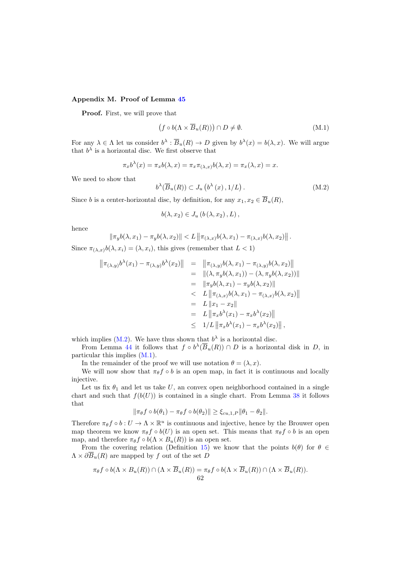# <span id="page-61-0"></span>Appendix M. Proof of Lemma [45](#page-17-1)

Proof. First, we will prove that

<span id="page-61-2"></span>
$$
(f \circ b(\Lambda \times \overline{B}_u(R))) \cap D \neq \emptyset.
$$
 (M.1)

For any  $\lambda \in \Lambda$  let us consider  $b^{\lambda} : \overline{B}_u(R) \to D$  given by  $b^{\lambda}(x) = b(\lambda, x)$ . We will argue that  $b^{\lambda}$  is a horizontal disc. We first observe that

<span id="page-61-1"></span>
$$
\pi_x b^{\lambda}(x) = \pi_x b(\lambda, x) = \pi_x \pi_{(\lambda, x)} b(\lambda, x) = \pi_x(\lambda, x) = x.
$$

We need to show that

$$
b^{\lambda}(\overline{B}_u(R)) \subset J_u\left(b^{\lambda}(x), 1/L\right). \tag{M.2}
$$

Since b is a center-horizontal disc, by definition, for any  $x_1, x_2 \in \overline{B}_u(R)$ ,

$$
b(\lambda, x_2) \in J_u(b(\lambda, x_2), L),
$$

hence

$$
\|\pi_y b(\lambda, x_1) - \pi_y b(\lambda, x_2)\| < L \left\|\pi_{(\lambda, x)} b(\lambda, x_1) - \pi_{(\lambda, x)} b(\lambda, x_2)\right\|.
$$

Since  $\pi_{(\lambda, x)}b(\lambda, x_i) = (\lambda, x_i)$ , this gives (remember that  $L < 1$ )

$$
\begin{array}{rcl}\n\left\| \pi_{(\lambda,y)} b^{\lambda}(x_1) - \pi_{(\lambda,y)} b^{\lambda}(x_2) \right\| & = & \left\| \pi_{(\lambda,y)} b(\lambda, x_1) - \pi_{(\lambda,y)} b(\lambda, x_2) \right\| \\
& = & \left\| (\lambda, \pi_y b(\lambda, x_1)) - (\lambda, \pi_y b(\lambda, x_2)) \right\| \\
& = & \left\| \pi_y b(\lambda, x_1) - \pi_y b(\lambda, x_2) \right\| \\
& < L \left\| \pi_{(\lambda,x)} b(\lambda, x_1) - \pi_{(\lambda,x)} b(\lambda, x_2) \right\| \\
& = & L \left\| x_1 - x_2 \right\| \\
& = & L \left\| \pi_x b^{\lambda}(x_1) - \pi_x b^{\lambda}(x_2) \right\| \\
& \leq & 1/L \left\| \pi_x b^{\lambda}(x_1) - \pi_x b^{\lambda}(x_2) \right\|,\n\end{array}
$$

which implies  $(M.2)$ . We have thus shown that  $b^{\lambda}$  is a horizontal disc.

From Lemma [44](#page-17-0) it follows that  $f \circ b^{\lambda}(\overline{B}_u(R)) \cap D$  is a horizontal disk in D, in particular this implies [\(M.1\)](#page-61-2).

In the remainder of the proof we will use notation  $\theta = (\lambda, x)$ .

We will now show that  $\pi_{\theta} f \circ b$  is an open map, in fact it is continuous and locally injective.

Let us fix  $\theta_1$  and let us take U, an convex open neighborhood contained in a single chart and such that  $f(b(U))$  is contained in a single chart. From Lemma [38](#page-16-5) it follows that

$$
\|\pi_{\theta}f \circ b(\theta_1) - \pi_{\theta}f \circ b(\theta_2)\| \geq \xi_{cu,1,P} \|\theta_1 - \theta_2\|.
$$

Therefore  $\pi_{\theta} f \circ b : U \to \Lambda \times \mathbb{R}^u$  is continuous and injective, hence by the Brouwer open map theorem we know  $\pi_{\theta} f \circ b(U)$  is an open set. This means that  $\pi_{\theta} f \circ b$  is an open map, and therefore  $\pi_{\theta} f \circ b(\Lambda \times B_u(R))$  is an open set.

From the covering relation (Definition [15\)](#page-7-3) we know that the points  $b(\theta)$  for  $\theta \in$  $\Lambda \times \partial \overline{B}_u(R)$  are mapped by f out of the set D

$$
\pi_{\theta} f \circ b(\Lambda \times B_u(R)) \cap (\Lambda \times \overline{B}_u(R)) = \pi_{\theta} f \circ b(\Lambda \times \overline{B}_u(R)) \cap (\Lambda \times \overline{B}_u(R)).
$$
  
62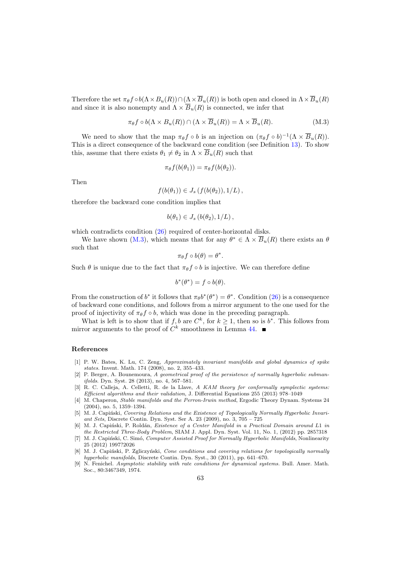Therefore the set  $\pi_\theta f \circ b(\Lambda \times B_u(R)) \cap (\Lambda \times \overline{B}_u(R))$  is both open and closed in  $\Lambda \times \overline{B}_u(R)$ and since it is also nonempty and  $\Lambda \times \overline{B}_u(R)$  is connected, we infer that

$$
\pi_{\theta} f \circ b(\Lambda \times B_u(R)) \cap (\Lambda \times \overline{B}_u(R)) = \Lambda \times \overline{B}_u(R). \tag{M.3}
$$

We need to show that the map  $\pi_{\theta} f \circ b$  is an injection on  $(\pi_{\theta} f \circ b)^{-1} (\Lambda \times \overline{B}_u(R)).$ This is a direct consequence of the backward cone condition (see Definition [13\)](#page-7-2). To show this, assume that there exists  $\theta_1 \neq \theta_2$  in  $\Lambda \times \overline{B}_u(R)$  such that

<span id="page-62-9"></span>
$$
\pi_{\theta}f(b(\theta_1)) = \pi_{\theta}f(b(\theta_2)).
$$

Then

$$
f(b(\theta_1)) \in J_s(f(b(\theta_2)), 1/L),
$$

therefore the backward cone condition implies that

$$
b(\theta_1) \in J_s(b(\theta_2), 1/L),
$$

which contradicts condition  $(26)$  required of center-horizontal disks.

We have shown [\(M.3\)](#page-62-9), which means that for any  $\theta^* \in \Lambda \times \overline{B}_u(R)$  there exists an  $\theta$ such that

$$
\pi_{\theta}f\circ b(\theta)=\theta^*.
$$

Such  $\theta$  is unique due to the fact that  $\pi_{\theta} f \circ b$  is injective. We can therefore define

$$
b^*(\theta^*) = f \circ b(\theta).
$$

From the construction of  $b^*$  it follows that  $\pi_\theta b^* (\theta^*) = \theta^*$ . Condition [\(26\)](#page-17-2) is a consequence of backward cone conditions, and follows from a mirror argument to the one used for the proof of injectivity of  $\pi_{\theta} f \circ b$ , which was done in the preceding paragraph.

What is left is to show that if  $f, b$  are  $C^k$ , for  $k \geq 1$ , then so is  $b^*$ . This follows from mirror arguments to the proof of  $C^k$  smoothness in Lemma [44.](#page-17-0)

#### References

- <span id="page-62-1"></span>[1] P. W. Bates, K. Lu, C. Zeng, Approximately invariant manifolds and global dynamics of spike states. Invent. Math. 174 (2008), no. 2, 355–433.
- <span id="page-62-5"></span>[2] P. Berger, A. Bounemoura, A geometrical proof of the persistence of normally hyperbolic submanifolds. Dyn. Syst. 28 (2013), no. 4, 567–581.
- <span id="page-62-2"></span>[3] R. C. Calleja, A. Celletti, R. de la Llave, A KAM theory for conformally symplectic systems: Efficient algorithms and their validation, J. Differential Equations 255 (2013) 978–1049
- <span id="page-62-0"></span>[4] M. Chaperon, Stable manifolds and the Perron-Irwin method, Ergodic Theory Dynam. Systems 24 (2004), no. 5, 1359–1394.
- <span id="page-62-3"></span>[5] M. J. Capiński, Covering Relations and the Existence of Topologically Normally Hyperbolic Invariant Sets, Discrete Contin. Dyn. Syst. Ser A. 23 (2009), no. 3, 705 – 725
- <span id="page-62-7"></span>[6] M. J. Capiński, P. Roldán, Existence of a Center Manifold in a Practical Domain around L1 in the Restricted Three-Body Problem, SIAM J. Appl. Dyn. Syst. Vol. 11, No. 1, (2012) pp. 285?318
- <span id="page-62-8"></span>[7] M. J. Capiński, C. Simó, Computer Assisted Proof for Normally Hyperbolic Manifolds, Nonlinearity 25 (2012) 1997?2026
- <span id="page-62-4"></span>[8] M. J. Capiński, P. Zgliczyński, Cone conditions and covering relations for topologically normally hyperbolic manifolds, Discrete Contin. Dyn. Syst., 30 (2011), pp. 641–670.
- <span id="page-62-6"></span>[9] N. Fenichel. Asymptotic stability with rate conditions for dynamical systems. Bull. Amer. Math. Soc., 80:346?349, 1974.